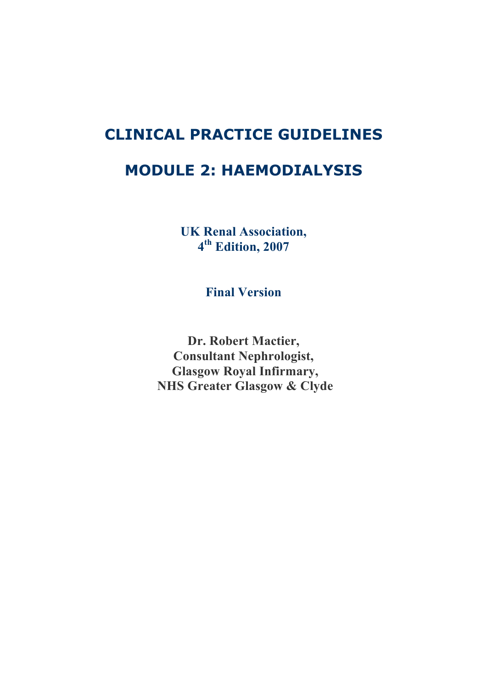# **CLINICAL PRACTICE GUIDELINES MODULE 2: HAEMODIALYSIS**

**UK Renal Association, 4th Edition, 2007**

**Final Version**

**Dr. Robert Mactier, Consultant Nephrologist, Glasgow Royal Infirmary, NHS Greater Glasgow & Clyde**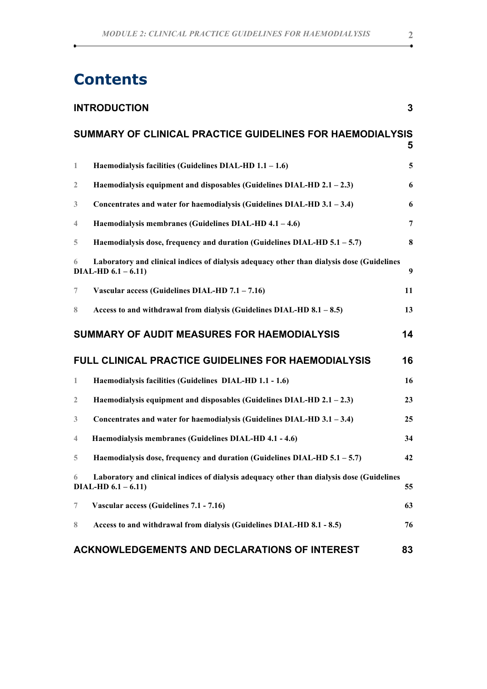# **Contents**

|                          | <b>INTRODUCTION</b>                                                                                                      | 3  |  |  |  |  |  |
|--------------------------|--------------------------------------------------------------------------------------------------------------------------|----|--|--|--|--|--|
|                          | SUMMARY OF CLINICAL PRACTICE GUIDELINES FOR HAEMODIALYSIS                                                                | 5  |  |  |  |  |  |
| $\mathbf{1}$             | Haemodialysis facilities (Guidelines DIAL-HD $1.1 - 1.6$ )                                                               | 5  |  |  |  |  |  |
| $\overline{2}$           | Haemodialysis equipment and disposables (Guidelines DIAL-HD $2.1 - 2.3$ )                                                | 6  |  |  |  |  |  |
| 3                        | Concentrates and water for haemodialysis (Guidelines DIAL-HD $3.1 - 3.4$ )                                               | 6  |  |  |  |  |  |
| 4                        | Haemodialysis membranes (Guidelines DIAL-HD $4.1 - 4.6$ )                                                                | 7  |  |  |  |  |  |
| 5                        | Haemodialysis dose, frequency and duration (Guidelines DIAL-HD $5.1 - 5.7$ )                                             | 8  |  |  |  |  |  |
| 6                        | Laboratory and clinical indices of dialysis adequacy other than dialysis dose (Guidelines<br>$DIAL-HD 6.1 - 6.11)$<br>9  |    |  |  |  |  |  |
| $\tau$                   | Vascular access (Guidelines DIAL-HD $7.1 - 7.16$ )                                                                       | 11 |  |  |  |  |  |
| 8                        | Access to and withdrawal from dialysis (Guidelines DIAL-HD $8.1 - 8.5$ )                                                 | 13 |  |  |  |  |  |
|                          | SUMMARY OF AUDIT MEASURES FOR HAEMODIALYSIS                                                                              | 14 |  |  |  |  |  |
|                          | <b>FULL CLINICAL PRACTICE GUIDELINES FOR HAEMODIALYSIS</b>                                                               | 16 |  |  |  |  |  |
| 1                        | Haemodialysis facilities (Guidelines DIAL-HD 1.1 - 1.6)                                                                  | 16 |  |  |  |  |  |
| 2                        | Haemodialysis equipment and disposables (Guidelines DIAL-HD $2.1 - 2.3$ )                                                | 23 |  |  |  |  |  |
| 3                        | Concentrates and water for haemodialysis (Guidelines DIAL-HD $3.1 - 3.4$ )                                               | 25 |  |  |  |  |  |
| $\overline{4}$           | Haemodialysis membranes (Guidelines DIAL-HD 4.1 - 4.6)                                                                   | 34 |  |  |  |  |  |
| 5                        | Haemodialysis dose, frequency and duration (Guidelines DIAL-HD $5.1 - 5.7$ )                                             | 42 |  |  |  |  |  |
| 6                        | Laboratory and clinical indices of dialysis adequacy other than dialysis dose (Guidelines<br>$DIAL-HD 6.1 - 6.11)$<br>55 |    |  |  |  |  |  |
| $\overline{\mathcal{I}}$ | Vascular access (Guidelines 7.1 - 7.16)                                                                                  | 63 |  |  |  |  |  |
| 8                        | Access to and withdrawal from dialysis (Guidelines DIAL-HD 8.1 - 8.5)                                                    | 76 |  |  |  |  |  |
|                          | ACKNOWLEDGEMENTS AND DECLARATIONS OF INTEREST<br>83                                                                      |    |  |  |  |  |  |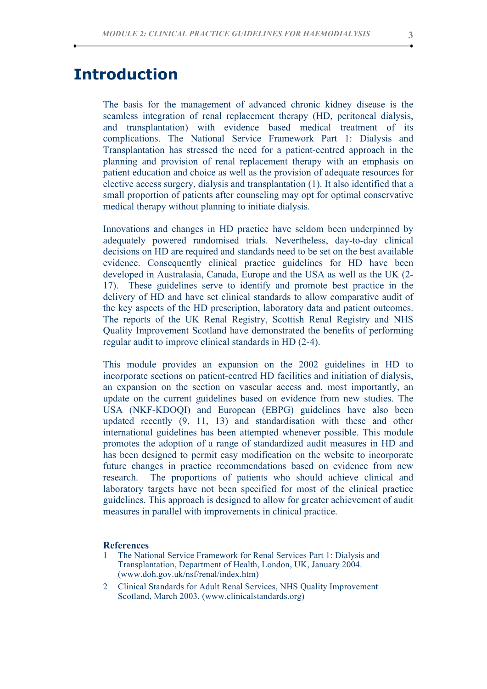# **Introduction**

The basis for the management of advanced chronic kidney disease is the seamless integration of renal replacement therapy (HD, peritoneal dialysis, and transplantation) with evidence based medical treatment of its complications. The National Service Framework Part 1: Dialysis and Transplantation has stressed the need for a patient-centred approach in the planning and provision of renal replacement therapy with an emphasis on patient education and choice as well as the provision of adequate resources for elective access surgery, dialysis and transplantation (1). It also identified that a small proportion of patients after counseling may opt for optimal conservative medical therapy without planning to initiate dialysis.

Innovations and changes in HD practice have seldom been underpinned by adequately powered randomised trials. Nevertheless, day-to-day clinical decisions on HD are required and standards need to be set on the best available evidence. Consequently clinical practice guidelines for HD have been developed in Australasia, Canada, Europe and the USA as well as the UK (2- 17). These guidelines serve to identify and promote best practice in the delivery of HD and have set clinical standards to allow comparative audit of the key aspects of the HD prescription, laboratory data and patient outcomes. The reports of the UK Renal Registry, Scottish Renal Registry and NHS Quality Improvement Scotland have demonstrated the benefits of performing regular audit to improve clinical standards in HD (2-4).

This module provides an expansion on the 2002 guidelines in HD to incorporate sections on patient-centred HD facilities and initiation of dialysis, an expansion on the section on vascular access and, most importantly, an update on the current guidelines based on evidence from new studies. The USA (NKF-KDOQI) and European (EBPG) guidelines have also been updated recently (9, 11, 13) and standardisation with these and other international guidelines has been attempted whenever possible. This module promotes the adoption of a range of standardized audit measures in HD and has been designed to permit easy modification on the website to incorporate future changes in practice recommendations based on evidence from new research. The proportions of patients who should achieve clinical and laboratory targets have not been specified for most of the clinical practice guidelines. This approach is designed to allow for greater achievement of audit measures in parallel with improvements in clinical practice.

#### **References**

- 1 The National Service Framework for Renal Services Part 1: Dialysis and Transplantation, Department of Health, London, UK, January 2004. (www.doh.gov.uk/nsf/renal/index.htm)
- 2 Clinical Standards for Adult Renal Services, NHS Quality Improvement Scotland, March 2003. (www.clinicalstandards.org)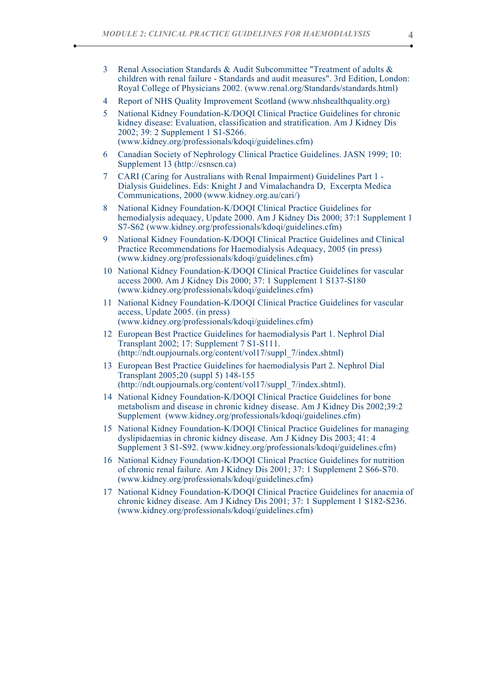- 3 Renal Association Standards & Audit Subcommittee "Treatment of adults & children with renal failure - Standards and audit measures". 3rd Edition, London: Royal College of Physicians 2002. (www.renal.org/Standards/standards.html)
- 4 Report of NHS Quality Improvement Scotland (www.nhshealthquality.org)
- 5 National Kidney Foundation-K/DOQI Clinical Practice Guidelines for chronic kidney disease: Evaluation, classification and stratification. Am J Kidney Dis 2002; 39: 2 Supplement 1 S1-S266. (www.kidney.org/professionals/kdoqi/guidelines.cfm)
- 6 Canadian Society of Nephrology Clinical Practice Guidelines. JASN 1999; 10: Supplement 13 (http://csnscn.ca)
- 7 CARI (Caring for Australians with Renal Impairment) Guidelines Part 1 Dialysis Guidelines. Eds: Knight J and Vimalachandra D, Excerpta Medica Communications, 2000 (www.kidney.org.au/cari/)
- 8 National Kidney Foundation-K/DOQI Clinical Practice Guidelines for hemodialysis adequacy, Update 2000. Am J Kidney Dis 2000; 37:1 Supplement 1 S7-S62 (www.kidney.org/professionals/kdoqi/guidelines.cfm)
- 9 National Kidney Foundation-K/DOQI Clinical Practice Guidelines and Clinical Practice Recommendations for Haemodialysis Adequacy, 2005 (in press) (www.kidney.org/professionals/kdoqi/guidelines.cfm)
- 10 National Kidney Foundation-K/DOQI Clinical Practice Guidelines for vascular access 2000. Am J Kidney Dis 2000; 37: 1 Supplement 1 S137-S180 (www.kidney.org/professionals/kdoqi/guidelines.cfm)
- 11 National Kidney Foundation-K/DOQI Clinical Practice Guidelines for vascular access, Update 2005. (in press) (www.kidney.org/professionals/kdoqi/guidelines.cfm)
- 12 European Best Practice Guidelines for haemodialysis Part 1. Nephrol Dial Transplant 2002; 17: Supplement 7 S1-S111. (http://ndt.oupjournals.org/content/vol17/suppl\_7/index.shtml)
- 13 European Best Practice Guidelines for haemodialysis Part 2. Nephrol Dial Transplant 2005;20 (suppl 5) 148-155 (http://ndt.oupjournals.org/content/vol17/suppl\_7/index.shtml).
- 14 National Kidney Foundation-K/DOQI Clinical Practice Guidelines for bone metabolism and disease in chronic kidney disease. Am J Kidney Dis 2002;39:2 Supplement (www.kidney.org/professionals/kdoqi/guidelines.cfm)
- 15 National Kidney Foundation-K/DOQI Clinical Practice Guidelines for managing dyslipidaemias in chronic kidney disease. Am J Kidney Dis 2003; 41: 4 Supplement 3 S1-S92. (www.kidney.org/professionals/kdoqi/guidelines.cfm)
- 16 National Kidney Foundation-K/DOQI Clinical Practice Guidelines for nutrition of chronic renal failure. Am J Kidney Dis 2001; 37: 1 Supplement 2 S66-S70. (www.kidney.org/professionals/kdoqi/guidelines.cfm)
- 17 National Kidney Foundation-K/DOQI Clinical Practice Guidelines for anaemia of chronic kidney disease. Am J Kidney Dis 2001; 37: 1 Supplement 1 S182-S236. (www.kidney.org/professionals/kdoqi/guidelines.cfm)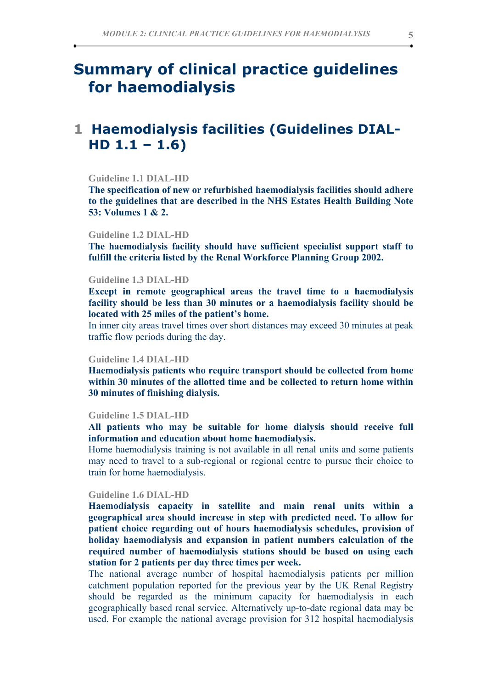# **Summary of clinical practice guidelines for haemodialysis**

# **1 Haemodialysis facilities (Guidelines DIAL-HD 1.1 – 1.6)**

#### **Guideline 1.1 DIAL-HD**

**The specification of new or refurbished haemodialysis facilities should adhere to the guidelines that are described in the NHS Estates Health Building Note 53: Volumes 1 & 2.** 

#### **Guideline 1.2 DIAL-HD**

**The haemodialysis facility should have sufficient specialist support staff to fulfill the criteria listed by the Renal Workforce Planning Group 2002.**

#### **Guideline 1.3 DIAL-HD**

**Except in remote geographical areas the travel time to a haemodialysis facility should be less than 30 minutes or a haemodialysis facility should be located with 25 miles of the patient's home.** 

In inner city areas travel times over short distances may exceed 30 minutes at peak traffic flow periods during the day.

#### **Guideline 1.4 DIAL-HD**

**Haemodialysis patients who require transport should be collected from home**  within 30 minutes of the allotted time and be collected to return home within **30 minutes of finishing dialysis.**

#### **Guideline 1.5 DIAL-HD**

# **All patients who may be suitable for home dialysis should receive full information and education about home haemodialysis.**

Home haemodialysis training is not available in all renal units and some patients may need to travel to a sub-regional or regional centre to pursue their choice to train for home haemodialysis.

### **Guideline 1.6 DIAL-HD**

**Haemodialysis capacity in satellite and main renal units within a geographical area should increase in step with predicted need. To allow for patient choice regarding out of hours haemodialysis schedules, provision of holiday haemodialysis and expansion in patient numbers calculation of the required number of haemodialysis stations should be based on using each station for 2 patients per day three times per week.** 

The national average number of hospital haemodialysis patients per million catchment population reported for the previous year by the UK Renal Registry should be regarded as the minimum capacity for haemodialysis in each geographically based renal service. Alternatively up-to-date regional data may be used. For example the national average provision for 312 hospital haemodialysis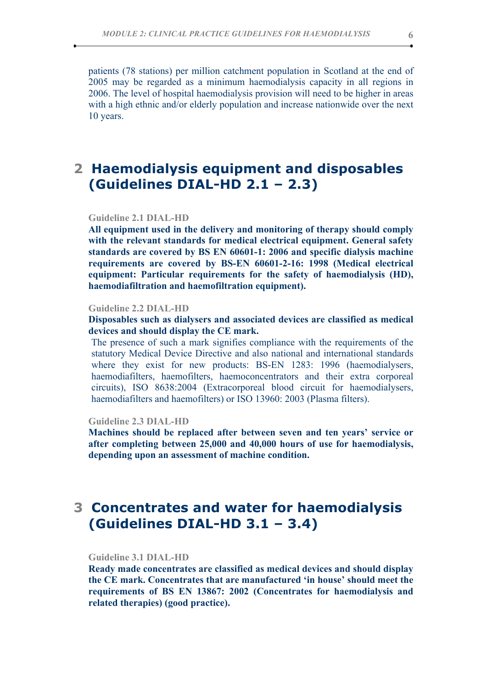# **2 Haemodialysis equipment and disposables (Guidelines DIAL-HD 2.1 – 2.3)**

#### **Guideline 2.1 DIAL-HD**

**All equipment used in the delivery and monitoring of therapy should comply with the relevant standards for medical electrical equipment. General safety standards are covered by BS EN 60601-1: 2006 and specific dialysis machine requirements are covered by BS-EN 60601-2-16: 1998 (Medical electrical equipment: Particular requirements for the safety of haemodialysis (HD), haemodiafiltration and haemofiltration equipment).** 

#### **Guideline 2.2 DIAL-HD**

# **Disposables such as dialysers and associated devices are classified as medical devices and should display the CE mark.**

The presence of such a mark signifies compliance with the requirements of the statutory Medical Device Directive and also national and international standards where they exist for new products: BS-EN 1283: 1996 (haemodialysers, haemodiafilters, haemofilters, haemoconcentrators and their extra corporeal circuits), ISO 8638:2004 (Extracorporeal blood circuit for haemodialysers, haemodiafilters and haemofilters) or ISO 13960: 2003 (Plasma filters).

**Guideline 2.3 DIAL-HD**

**Machines should be replaced after between seven and ten years' service or after completing between 25,000 and 40,000 hours of use for haemodialysis, depending upon an assessment of machine condition.**

# **3 Concentrates and water for haemodialysis (Guidelines DIAL-HD 3.1 – 3.4)**

**Guideline 3.1 DIAL-HD**

**Ready made concentrates are classified as medical devices and should display the CE mark. Concentrates that are manufactured 'in house' should meet the requirements of BS EN 13867: 2002 (Concentrates for haemodialysis and related therapies) (good practice).**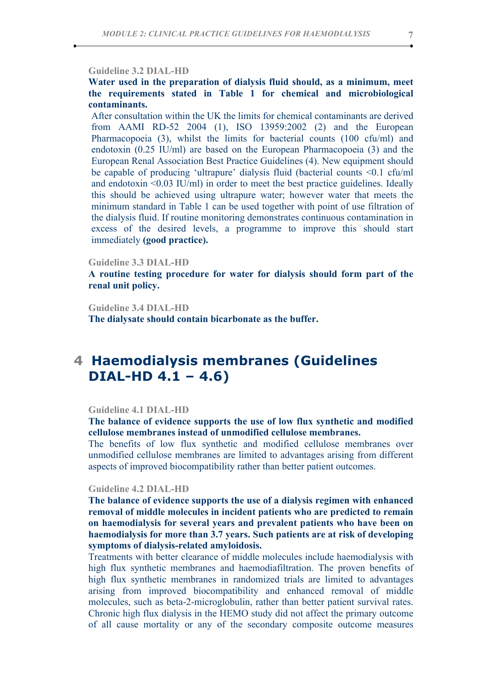#### **Guideline 3.2 DIAL-HD**

# **Water used in the preparation of dialysis fluid should, as a minimum, meet the requirements stated in Table 1 for chemical and microbiological contaminants.**

After consultation within the UK the limits for chemical contaminants are derived from AAMI RD-52 2004 (1), ISO 13959:2002 (2) and the European Pharmacopoeia (3), whilst the limits for bacterial counts (100 cfu/ml) and endotoxin (0.25 IU/ml) are based on the European Pharmacopoeia (3) and the European Renal Association Best Practice Guidelines (4). New equipment should be capable of producing 'ultrapure' dialysis fluid (bacterial counts <0.1 cfu/ml and endotoxin <0.03 IU/ml) in order to meet the best practice guidelines. Ideally this should be achieved using ultrapure water; however water that meets the minimum standard in Table 1 can be used together with point of use filtration of the dialysis fluid. If routine monitoring demonstrates continuous contamination in excess of the desired levels, a programme to improve this should start immediately **(good practice).**

#### **Guideline 3.3 DIAL-HD**

**A routine testing procedure for water for dialysis should form part of the renal unit policy.**

**Guideline 3.4 DIAL-HD The dialysate should contain bicarbonate as the buffer.** 

# **4 Haemodialysis membranes (Guidelines DIAL-HD 4.1 – 4.6)**

#### **Guideline 4.1 DIAL-HD**

**The balance of evidence supports the use of low flux synthetic and modified cellulose membranes instead of unmodified cellulose membranes.**

The benefits of low flux synthetic and modified cellulose membranes over unmodified cellulose membranes are limited to advantages arising from different aspects of improved biocompatibility rather than better patient outcomes.

#### **Guideline 4.2 DIAL-HD**

**The balance of evidence supports the use of a dialysis regimen with enhanced removal of middle molecules in incident patients who are predicted to remain on haemodialysis for several years and prevalent patients who have been on haemodialysis for more than 3.7 years. Such patients are at risk of developing symptoms of dialysis-related amyloidosis.** 

Treatments with better clearance of middle molecules include haemodialysis with high flux synthetic membranes and haemodiafiltration. The proven benefits of high flux synthetic membranes in randomized trials are limited to advantages arising from improved biocompatibility and enhanced removal of middle molecules, such as beta-2-microglobulin, rather than better patient survival rates. Chronic high flux dialysis in the HEMO study did not affect the primary outcome of all cause mortality or any of the secondary composite outcome measures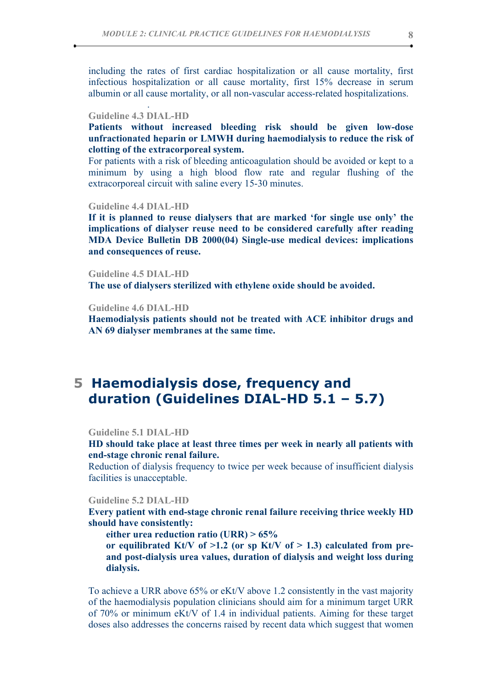including the rates of first cardiac hospitalization or all cause mortality, first infectious hospitalization or all cause mortality, first 15% decrease in serum albumin or all cause mortality, or all non-vascular access-related hospitalizations.

#### **Guideline 4.3 DIAL-HD**

.

**Patients without increased bleeding risk should be given low-dose unfractionated heparin or LMWH during haemodialysis to reduce the risk of clotting of the extracorporeal system.**

For patients with a risk of bleeding anticoagulation should be avoided or kept to a minimum by using a high blood flow rate and regular flushing of the extracorporeal circuit with saline every 15-30 minutes.

#### **Guideline 4.4 DIAL-HD**

**If it is planned to reuse dialysers that are marked 'for single use only' the implications of dialyser reuse need to be considered carefully after reading MDA Device Bulletin DB 2000(04) Single-use medical devices: implications and consequences of reuse.**

**Guideline 4.5 DIAL-HD The use of dialysers sterilized with ethylene oxide should be avoided.**

**Guideline 4.6 DIAL-HD**

**Haemodialysis patients should not be treated with ACE inhibitor drugs and AN 69 dialyser membranes at the same time.**

# **5 Haemodialysis dose, frequency and duration (Guidelines DIAL-HD 5.1 – 5.7)**

**Guideline 5.1 DIAL-HD**

# **HD should take place at least three times per week in nearly all patients with end-stage chronic renal failure.**

Reduction of dialysis frequency to twice per week because of insufficient dialysis facilities is unacceptable.

**Guideline 5.2 DIAL-HD**

**Every patient with end-stage chronic renal failure receiving thrice weekly HD should have consistently:**

**either urea reduction ratio (URR) > 65%**

**or equilibrated Kt/V of >1.2 (or sp Kt/V of > 1.3) calculated from preand post-dialysis urea values, duration of dialysis and weight loss during dialysis.** 

To achieve a URR above 65% or eKt/V above 1.2 consistently in the vast majority of the haemodialysis population clinicians should aim for a minimum target URR of 70% or minimum eKt/V of 1.4 in individual patients. Aiming for these target doses also addresses the concerns raised by recent data which suggest that women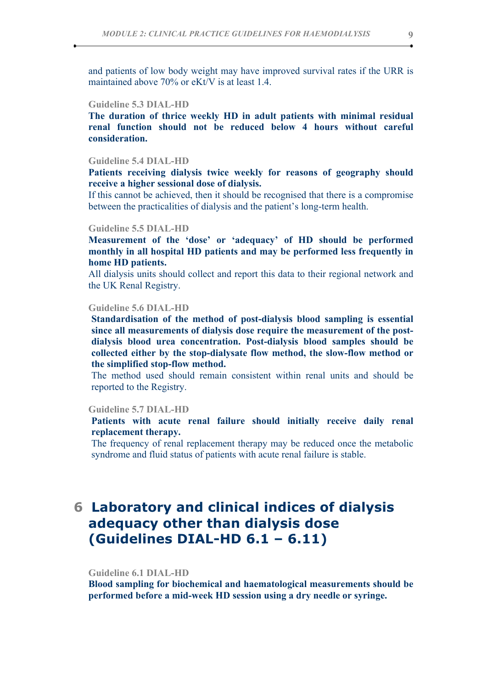# **Guideline 5.3 DIAL-HD**

**The duration of thrice weekly HD in adult patients with minimal residual renal function should not be reduced below 4 hours without careful consideration.** 

#### **Guideline 5.4 DIAL-HD**

# **Patients receiving dialysis twice weekly for reasons of geography should receive a higher sessional dose of dialysis.**

If this cannot be achieved, then it should be recognised that there is a compromise between the practicalities of dialysis and the patient's long-term health.

# **Guideline 5.5 DIAL-HD**

**Measurement of the 'dose' or 'adequacy' of HD should be performed monthly in all hospital HD patients and may be performed less frequently in home HD patients.**

All dialysis units should collect and report this data to their regional network and the UK Renal Registry.

#### **Guideline 5.6 DIAL-HD**

**Standardisation of the method of post-dialysis blood sampling is essential since all measurements of dialysis dose require the measurement of the postdialysis blood urea concentration. Post-dialysis blood samples should be collected either by the stop-dialysate flow method, the slow-flow method or the simplified stop-flow method.**

The method used should remain consistent within renal units and should be reported to the Registry.

### **Guideline 5.7 DIAL-HD**

# **Patients with acute renal failure should initially receive daily renal replacement therapy.**

The frequency of renal replacement therapy may be reduced once the metabolic syndrome and fluid status of patients with acute renal failure is stable.

# **6 Laboratory and clinical indices of dialysis adequacy other than dialysis dose (Guidelines DIAL-HD 6.1 – 6.11)**

**Guideline 6.1 DIAL-HD**

**Blood sampling for biochemical and haematological measurements should be performed before a mid-week HD session using a dry needle or syringe.**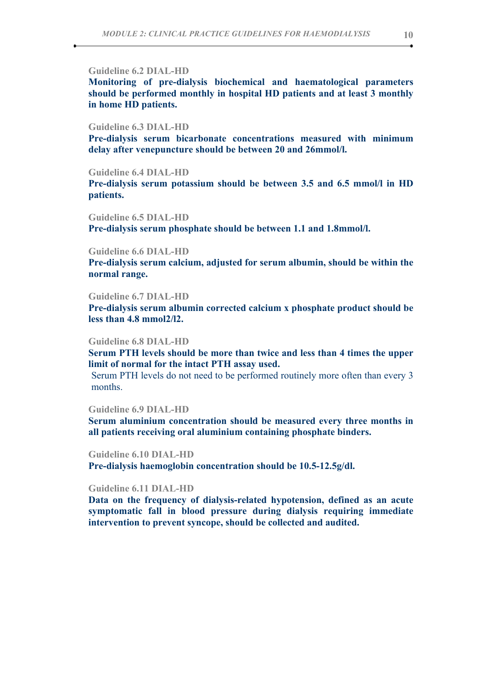#### **Guideline 6.2 DIAL-HD**

**Monitoring of pre-dialysis biochemical and haematological parameters should be performed monthly in hospital HD patients and at least 3 monthly in home HD patients.** 

### **Guideline 6.3 DIAL-HD**

**Pre-dialysis serum bicarbonate concentrations measured with minimum delay after venepuncture should be between 20 and 26mmol/l.**

**Guideline 6.4 DIAL-HD**

**Pre-dialysis serum potassium should be between 3.5 and 6.5 mmol/l in HD patients.**

**Guideline 6.5 DIAL-HD Pre-dialysis serum phosphate should be between 1.1 and 1.8mmol/l.**

### **Guideline 6.6 DIAL-HD**

**Pre-dialysis serum calcium, adjusted for serum albumin, should be within the normal range.**

#### **Guideline 6.7 DIAL-HD**

**Pre-dialysis serum albumin corrected calcium x phosphate product should be less than 4.8 mmol2/l2.**

#### **Guideline 6.8 DIAL-HD**

**Serum PTH levels should be more than twice and less than 4 times the upper limit of normal for the intact PTH assay used.** 

Serum PTH levels do not need to be performed routinely more often than every 3 months.

### **Guideline 6.9 DIAL-HD**

**Serum aluminium concentration should be measured every three months in all patients receiving oral aluminium containing phosphate binders.**

**Guideline 6.10 DIAL-HD**

**Pre-dialysis haemoglobin concentration should be 10.5-12.5g/dl.**

#### **Guideline 6.11 DIAL-HD**

**Data on the frequency of dialysis-related hypotension, defined as an acute symptomatic fall in blood pressure during dialysis requiring immediate intervention to prevent syncope, should be collected and audited.**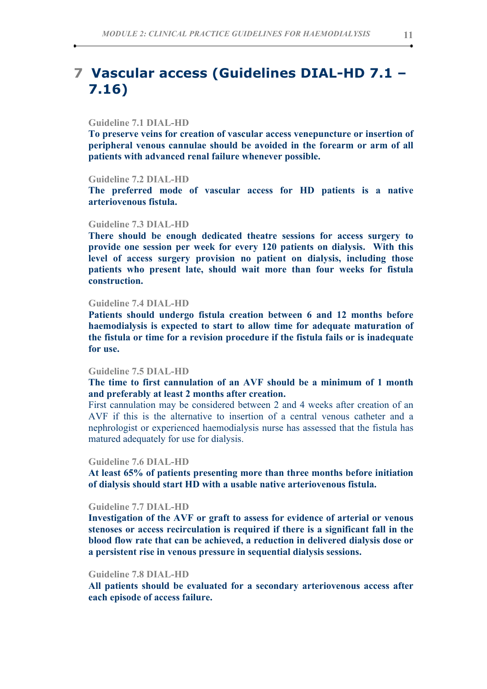# **7 Vascular access (Guidelines DIAL-HD 7.1 – 7.16)**

#### **Guideline 7.1 DIAL-HD**

**To preserve veins for creation of vascular access venepuncture or insertion of peripheral venous cannulae should be avoided in the forearm or arm of all patients with advanced renal failure whenever possible.**

**Guideline 7.2 DIAL-HD**

**The preferred mode of vascular access for HD patients is a native arteriovenous fistula.** 

# **Guideline 7.3 DIAL-HD**

**There should be enough dedicated theatre sessions for access surgery to provide one session per week for every 120 patients on dialysis. With this level of access surgery provision no patient on dialysis, including those patients who present late, should wait more than four weeks for fistula construction.** 

#### **Guideline 7.4 DIAL-HD**

**Patients should undergo fistula creation between 6 and 12 months before haemodialysis is expected to start to allow time for adequate maturation of the fistula or time for a revision procedure if the fistula fails or is inadequate for use.**

### **Guideline 7.5 DIAL-HD**

# **The time to first cannulation of an AVF should be a minimum of 1 month and preferably at least 2 months after creation.**

First cannulation may be considered between 2 and 4 weeks after creation of an AVF if this is the alternative to insertion of a central venous catheter and a nephrologist or experienced haemodialysis nurse has assessed that the fistula has matured adequately for use for dialysis.

#### **Guideline 7.6 DIAL-HD**

# **At least 65% of patients presenting more than three months before initiation of dialysis should start HD with a usable native arteriovenous fistula.**

#### **Guideline 7.7 DIAL-HD**

**Investigation of the AVF or graft to assess for evidence of arterial or venous stenoses or access recirculation is required if there is a significant fall in the blood flow rate that can be achieved, a reduction in delivered dialysis dose or a persistent rise in venous pressure in sequential dialysis sessions.** 

#### **Guideline 7.8 DIAL-HD**

**All patients should be evaluated for a secondary arteriovenous access after each episode of access failure.**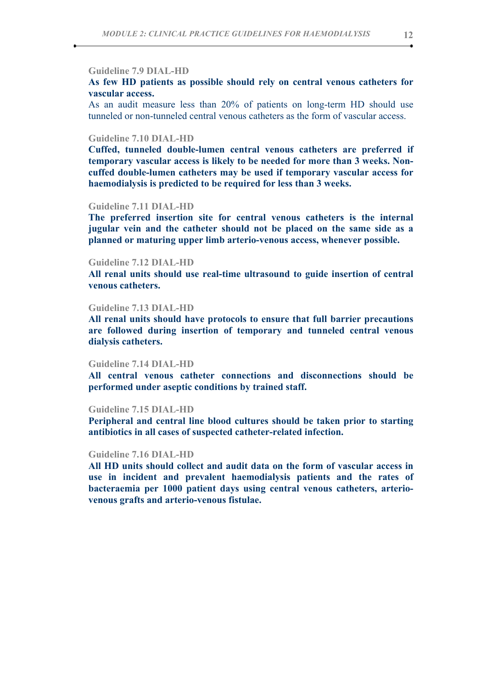#### **Guideline 7.9 DIAL-HD**

### **As few HD patients as possible should rely on central venous catheters for vascular access.**

As an audit measure less than 20% of patients on long-term HD should use tunneled or non-tunneled central venous catheters as the form of vascular access.

# **Guideline 7.10 DIAL-HD**

**Cuffed, tunneled double-lumen central venous catheters are preferred if temporary vascular access is likely to be needed for more than 3 weeks. Noncuffed double-lumen catheters may be used if temporary vascular access for haemodialysis is predicted to be required for less than 3 weeks.**

#### **Guideline 7.11 DIAL-HD**

**The preferred insertion site for central venous catheters is the internal jugular vein and the catheter should not be placed on the same side as a planned or maturing upper limb arterio-venous access, whenever possible.**

#### **Guideline 7.12 DIAL-HD**

**All renal units should use real-time ultrasound to guide insertion of central venous catheters.** 

#### **Guideline 7.13 DIAL-HD**

**All renal units should have protocols to ensure that full barrier precautions are followed during insertion of temporary and tunneled central venous dialysis catheters.** 

#### **Guideline 7.14 DIAL-HD**

**All central venous catheter connections and disconnections should be performed under aseptic conditions by trained staff.**

### **Guideline 7.15 DIAL-HD**

**Peripheral and central line blood cultures should be taken prior to starting antibiotics in all cases of suspected catheter-related infection.**

#### **Guideline 7.16 DIAL-HD**

**All HD units should collect and audit data on the form of vascular access in use in incident and prevalent haemodialysis patients and the rates of bacteraemia per 1000 patient days using central venous catheters, arteriovenous grafts and arterio-venous fistulae.**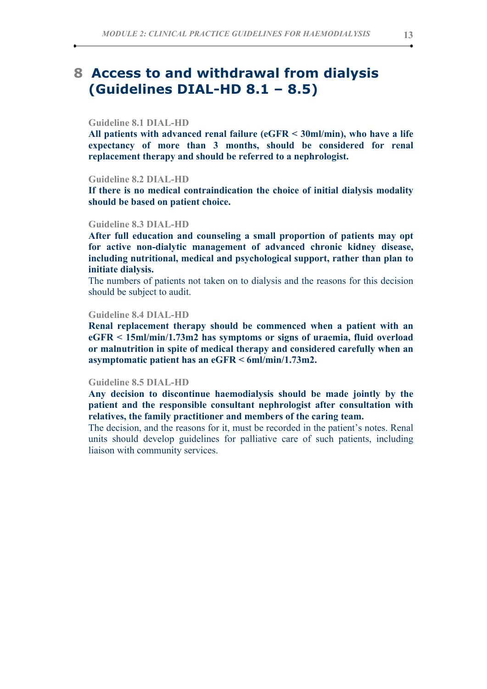# **8 Access to and withdrawal from dialysis (Guidelines DIAL-HD 8.1 – 8.5)**

#### **Guideline 8.1 DIAL-HD**

**All patients with advanced renal failure (eGFR < 30ml/min), who have a life expectancy of more than 3 months, should be considered for renal replacement therapy and should be referred to a nephrologist.** 

**Guideline 8.2 DIAL-HD**

**If there is no medical contraindication the choice of initial dialysis modality should be based on patient choice.**

#### **Guideline 8.3 DIAL-HD**

**After full education and counseling a small proportion of patients may opt for active non-dialytic management of advanced chronic kidney disease, including nutritional, medical and psychological support, rather than plan to initiate dialysis.** 

The numbers of patients not taken on to dialysis and the reasons for this decision should be subject to audit.

#### **Guideline 8.4 DIAL-HD**

**Renal replacement therapy should be commenced when a patient with an eGFR < 15ml/min/1.73m2 has symptoms or signs of uraemia, fluid overload or malnutrition in spite of medical therapy and considered carefully when an asymptomatic patient has an eGFR < 6ml/min/1.73m2.** 

#### **Guideline 8.5 DIAL-HD**

**Any decision to discontinue haemodialysis should be made jointly by the patient and the responsible consultant nephrologist after consultation with relatives, the family practitioner and members of the caring team.** 

The decision, and the reasons for it, must be recorded in the patient's notes. Renal units should develop guidelines for palliative care of such patients, including liaison with community services.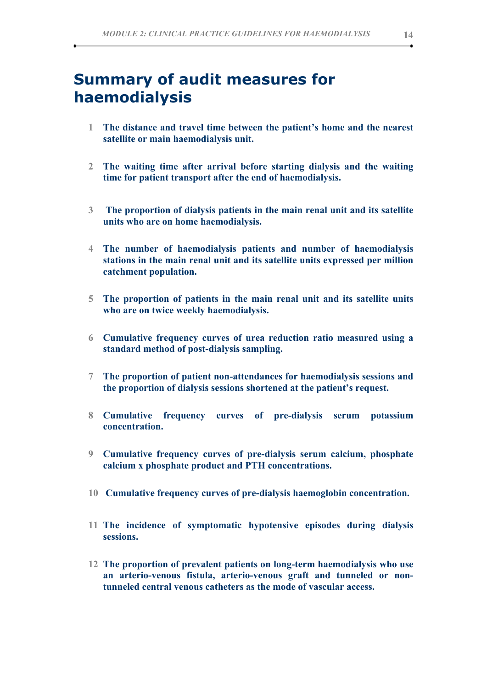# **Summary of audit measures for haemodialysis**

- **1 The distance and travel time between the patient's home and the nearest satellite or main haemodialysis unit.**
- **2 The waiting time after arrival before starting dialysis and the waiting time for patient transport after the end of haemodialysis.**
- **3 The proportion of dialysis patients in the main renal unit and its satellite units who are on home haemodialysis.**
- **4 The number of haemodialysis patients and number of haemodialysis stations in the main renal unit and its satellite units expressed per million catchment population.**
- **5 The proportion of patients in the main renal unit and its satellite units who are on twice weekly haemodialysis.**
- **6 Cumulative frequency curves of urea reduction ratio measured using a standard method of post-dialysis sampling.**
- **7 The proportion of patient non-attendances for haemodialysis sessions and the proportion of dialysis sessions shortened at the patient's request.**
- **8 Cumulative frequency curves of pre-dialysis serum potassium concentration.**
- **9 Cumulative frequency curves of pre-dialysis serum calcium, phosphate calcium x phosphate product and PTH concentrations.**
- **10 Cumulative frequency curves of pre-dialysis haemoglobin concentration.**
- **11 The incidence of symptomatic hypotensive episodes during dialysis sessions.**
- **12 The proportion of prevalent patients on long-term haemodialysis who use an arterio-venous fistula, arterio-venous graft and tunneled or nontunneled central venous catheters as the mode of vascular access.**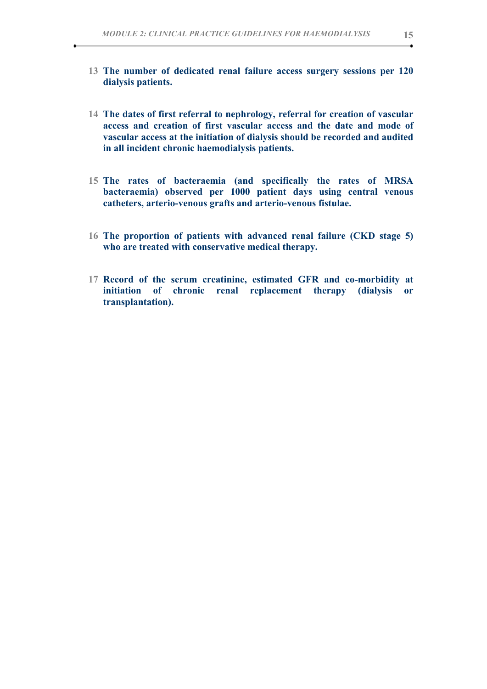- **13 The number of dedicated renal failure access surgery sessions per 120 dialysis patients.**
- **14 The dates of first referral to nephrology, referral for creation of vascular access and creation of first vascular access and the date and mode of vascular access at the initiation of dialysis should be recorded and audited in all incident chronic haemodialysis patients.**
- **15 The rates of bacteraemia (and specifically the rates of MRSA bacteraemia) observed per 1000 patient days using central venous catheters, arterio-venous grafts and arterio-venous fistulae.**
- **16 The proportion of patients with advanced renal failure (CKD stage 5) who are treated with conservative medical therapy.**
- **17 Record of the serum creatinine, estimated GFR and co-morbidity at initiation of chronic renal replacement therapy (dialysis or transplantation).**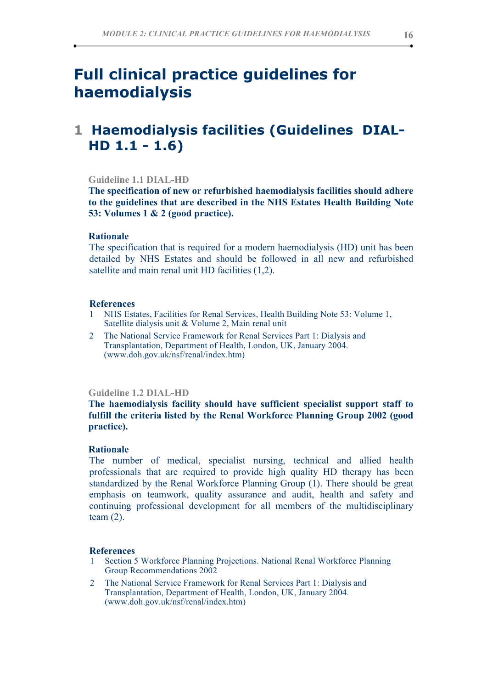# **1 Haemodialysis facilities (Guidelines DIAL-HD 1.1 - 1.6)**

**Guideline 1.1 DIAL-HD**

**The specification of new or refurbished haemodialysis facilities should adhere to the guidelines that are described in the NHS Estates Health Building Note 53: Volumes 1 & 2 (good practice).**

### **Rationale**

The specification that is required for a modern haemodialysis (HD) unit has been detailed by NHS Estates and should be followed in all new and refurbished satellite and main renal unit HD facilities (1,2).

# **References**

- 1 NHS Estates, Facilities for Renal Services, Health Building Note 53: Volume 1, Satellite dialysis unit & Volume 2, Main renal unit
- 2 The National Service Framework for Renal Services Part 1: Dialysis and Transplantation, Department of Health, London, UK, January 2004. (www.doh.gov.uk/nsf/renal/index.htm)

# **Guideline 1.2 DIAL-HD**

**The haemodialysis facility should have sufficient specialist support staff to fulfill the criteria listed by the Renal Workforce Planning Group 2002 (good practice).**

### **Rationale**

The number of medical, specialist nursing, technical and allied health professionals that are required to provide high quality HD therapy has been standardized by the Renal Workforce Planning Group (1). There should be great emphasis on teamwork, quality assurance and audit, health and safety and continuing professional development for all members of the multidisciplinary team (2).

#### **References**

- 1 Section 5 Workforce Planning Projections. National Renal Workforce Planning Group Recommendations 2002
- 2 The National Service Framework for Renal Services Part 1: Dialysis and Transplantation, Department of Health, London, UK, January 2004. (www.doh.gov.uk/nsf/renal/index.htm)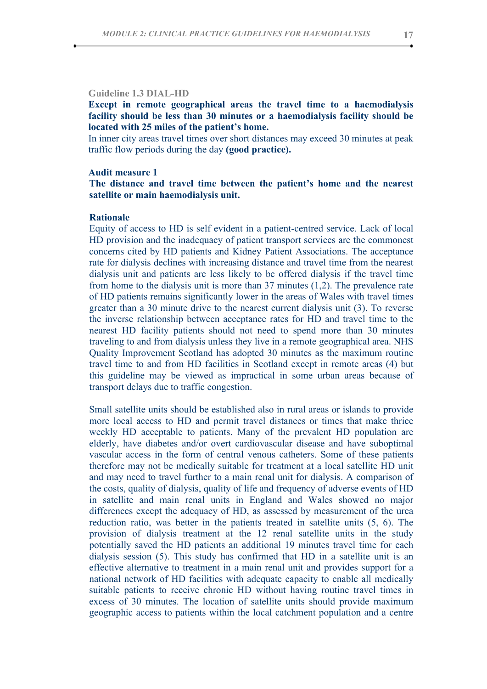# **Except in remote geographical areas the travel time to a haemodialysis facility should be less than 30 minutes or a haemodialysis facility should be located with 25 miles of the patient's home.**

In inner city areas travel times over short distances may exceed 30 minutes at peak traffic flow periods during the day **(good practice).**

#### **Audit measure 1**

# **The distance and travel time between the patient's home and the nearest satellite or main haemodialysis unit.**

#### **Rationale**

Equity of access to HD is self evident in a patient-centred service. Lack of local HD provision and the inadequacy of patient transport services are the commonest concerns cited by HD patients and Kidney Patient Associations. The acceptance rate for dialysis declines with increasing distance and travel time from the nearest dialysis unit and patients are less likely to be offered dialysis if the travel time from home to the dialysis unit is more than 37 minutes (1,2). The prevalence rate of HD patients remains significantly lower in the areas of Wales with travel times greater than a 30 minute drive to the nearest current dialysis unit (3). To reverse the inverse relationship between acceptance rates for HD and travel time to the nearest HD facility patients should not need to spend more than 30 minutes traveling to and from dialysis unless they live in a remote geographical area. NHS Quality Improvement Scotland has adopted 30 minutes as the maximum routine travel time to and from HD facilities in Scotland except in remote areas (4) but this guideline may be viewed as impractical in some urban areas because of transport delays due to traffic congestion.

Small satellite units should be established also in rural areas or islands to provide more local access to HD and permit travel distances or times that make thrice weekly HD acceptable to patients. Many of the prevalent HD population are elderly, have diabetes and/or overt cardiovascular disease and have suboptimal vascular access in the form of central venous catheters. Some of these patients therefore may not be medically suitable for treatment at a local satellite HD unit and may need to travel further to a main renal unit for dialysis. A comparison of the costs, quality of dialysis, quality of life and frequency of adverse events of HD in satellite and main renal units in England and Wales showed no major differences except the adequacy of HD, as assessed by measurement of the urea reduction ratio, was better in the patients treated in satellite units (5, 6). The provision of dialysis treatment at the 12 renal satellite units in the study potentially saved the HD patients an additional 19 minutes travel time for each dialysis session (5). This study has confirmed that HD in a satellite unit is an effective alternative to treatment in a main renal unit and provides support for a national network of HD facilities with adequate capacity to enable all medically suitable patients to receive chronic HD without having routine travel times in excess of 30 minutes. The location of satellite units should provide maximum geographic access to patients within the local catchment population and a centre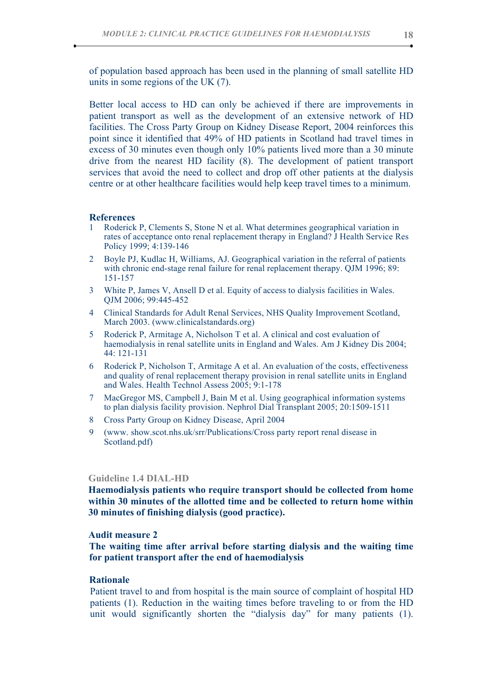of population based approach has been used in the planning of small satellite HD units in some regions of the UK (7).

Better local access to HD can only be achieved if there are improvements in patient transport as well as the development of an extensive network of HD facilities. The Cross Party Group on Kidney Disease Report, 2004 reinforces this point since it identified that 49% of HD patients in Scotland had travel times in excess of 30 minutes even though only 10% patients lived more than a 30 minute drive from the nearest HD facility (8). The development of patient transport services that avoid the need to collect and drop off other patients at the dialysis centre or at other healthcare facilities would help keep travel times to a minimum.

#### **References**

- Roderick P, Clements S, Stone N et al. What determines geographical variation in rates of acceptance onto renal replacement therapy in England? J Health Service Res Policy 1999; 4:139-146
- 2 Boyle PJ, Kudlac H, Williams, AJ. Geographical variation in the referral of patients with chronic end-stage renal failure for renal replacement therapy. QJM 1996; 89: 151-157
- 3 White P, James V, Ansell D et al. Equity of access to dialysis facilities in Wales. QJM 2006; 99:445-452
- 4 Clinical Standards for Adult Renal Services, NHS Quality Improvement Scotland, March 2003. (www.clinicalstandards.org)
- 5 Roderick P, Armitage A, Nicholson T et al. A clinical and cost evaluation of haemodialysis in renal satellite units in England and Wales. Am J Kidney Dis 2004; 44: 121-131
- 6 Roderick P, Nicholson T, Armitage A et al. An evaluation of the costs, effectiveness and quality of renal replacement therapy provision in renal satellite units in England and Wales. Health Technol Assess 2005; 9:1-178
- 7 MacGregor MS, Campbell J, Bain M et al. Using geographical information systems to plan dialysis facility provision. Nephrol Dial Transplant 2005; 20:1509-1511
- 8 Cross Party Group on Kidney Disease, April 2004
- 9 (www. show.scot.nhs.uk/srr/Publications/Cross party report renal disease in Scotland.pdf)

#### **Guideline 1.4 DIAL-HD**

**Haemodialysis patients who require transport should be collected from home within 30 minutes of the allotted time and be collected to return home within 30 minutes of finishing dialysis (good practice).**

#### **Audit measure 2**

**The waiting time after arrival before starting dialysis and the waiting time for patient transport after the end of haemodialysis**

### **Rationale**

Patient travel to and from hospital is the main source of complaint of hospital HD patients (1). Reduction in the waiting times before traveling to or from the HD unit would significantly shorten the "dialysis day" for many patients (1).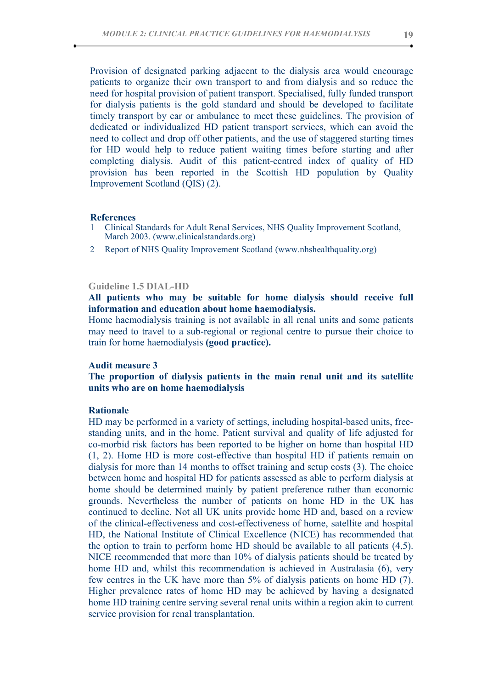Provision of designated parking adjacent to the dialysis area would encourage patients to organize their own transport to and from dialysis and so reduce the need for hospital provision of patient transport. Specialised, fully funded transport for dialysis patients is the gold standard and should be developed to facilitate timely transport by car or ambulance to meet these guidelines. The provision of dedicated or individualized HD patient transport services, which can avoid the need to collect and drop off other patients, and the use of staggered starting times for HD would help to reduce patient waiting times before starting and after completing dialysis. Audit of this patient-centred index of quality of HD provision has been reported in the Scottish HD population by Quality Improvement Scotland (QIS) (2).

#### **References**

- 1 Clinical Standards for Adult Renal Services, NHS Quality Improvement Scotland, March 2003. (www.clinicalstandards.org)
- 2 Report of NHS Quality Improvement Scotland (www.nhshealthquality.org)

#### **Guideline 1.5 DIAL-HD**

# **All patients who may be suitable for home dialysis should receive full information and education about home haemodialysis.**

Home haemodialysis training is not available in all renal units and some patients may need to travel to a sub-regional or regional centre to pursue their choice to train for home haemodialysis **(good practice).**

#### **Audit measure 3**

# **The proportion of dialysis patients in the main renal unit and its satellite units who are on home haemodialysis**

#### **Rationale**

HD may be performed in a variety of settings, including hospital-based units, freestanding units, and in the home. Patient survival and quality of life adjusted for co-morbid risk factors has been reported to be higher on home than hospital HD (1, 2). Home HD is more cost-effective than hospital HD if patients remain on dialysis for more than 14 months to offset training and setup costs (3). The choice between home and hospital HD for patients assessed as able to perform dialysis at home should be determined mainly by patient preference rather than economic grounds. Nevertheless the number of patients on home HD in the UK has continued to decline. Not all UK units provide home HD and, based on a review of the clinical-effectiveness and cost-effectiveness of home, satellite and hospital HD, the National Institute of Clinical Excellence (NICE) has recommended that the option to train to perform home HD should be available to all patients (4,5). NICE recommended that more than 10% of dialysis patients should be treated by home HD and, whilst this recommendation is achieved in Australasia (6), very few centres in the UK have more than 5% of dialysis patients on home HD (7). Higher prevalence rates of home HD may be achieved by having a designated home HD training centre serving several renal units within a region akin to current service provision for renal transplantation.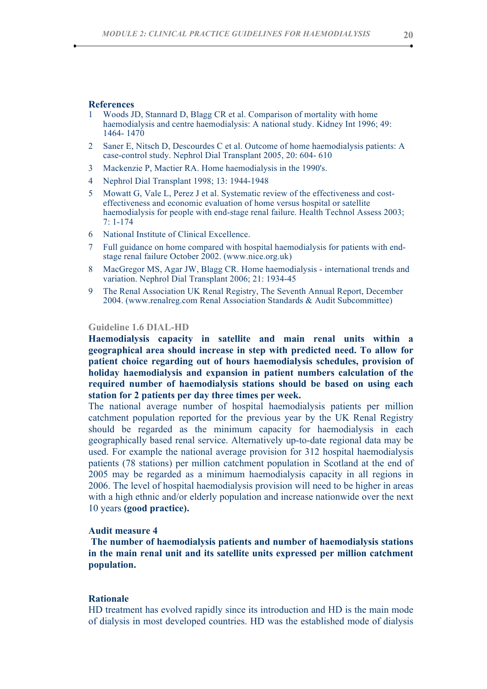#### **References**

- 1 Woods JD, Stannard D, Blagg CR et al. Comparison of mortality with home haemodialysis and centre haemodialysis: A national study. Kidney Int 1996; 49: 1464- 1470
- 2 Saner E, Nitsch D, Descourdes C et al. Outcome of home haemodialysis patients: A case-control study. Nephrol Dial Transplant 2005, 20: 604- 610
- 3 Mackenzie P, Mactier RA. Home haemodialysis in the 1990's.
- 4 Nephrol Dial Transplant 1998; 13: 1944-1948
- 5 Mowatt G, Vale L, Perez J et al. Systematic review of the effectiveness and costeffectiveness and economic evaluation of home versus hospital or satellite haemodialysis for people with end-stage renal failure. Health Technol Assess 2003; 7: 1-174
- 6 National Institute of Clinical Excellence.
- 7 Full guidance on home compared with hospital haemodialysis for patients with endstage renal failure October 2002. (www.nice.org.uk)
- 8 MacGregor MS, Agar JW, Blagg CR. Home haemodialysis international trends and variation. Nephrol Dial Transplant 2006; 21: 1934-45
- 9 The Renal Association UK Renal Registry, The Seventh Annual Report, December 2004. (www.renalreg.com Renal Association Standards & Audit Subcommittee)

#### **Guideline 1.6 DIAL-HD**

**Haemodialysis capacity in satellite and main renal units within a geographical area should increase in step with predicted need. To allow for patient choice regarding out of hours haemodialysis schedules, provision of holiday haemodialysis and expansion in patient numbers calculation of the required number of haemodialysis stations should be based on using each station for 2 patients per day three times per week.**

The national average number of hospital haemodialysis patients per million catchment population reported for the previous year by the UK Renal Registry should be regarded as the minimum capacity for haemodialysis in each geographically based renal service. Alternatively up-to-date regional data may be used. For example the national average provision for 312 hospital haemodialysis patients (78 stations) per million catchment population in Scotland at the end of 2005 may be regarded as a minimum haemodialysis capacity in all regions in 2006. The level of hospital haemodialysis provision will need to be higher in areas with a high ethnic and/or elderly population and increase nationwide over the next 10 years **(good practice).**

#### **Audit measure 4**

**The number of haemodialysis patients and number of haemodialysis stations in the main renal unit and its satellite units expressed per million catchment population.**

#### **Rationale**

HD treatment has evolved rapidly since its introduction and HD is the main mode of dialysis in most developed countries. HD was the established mode of dialysis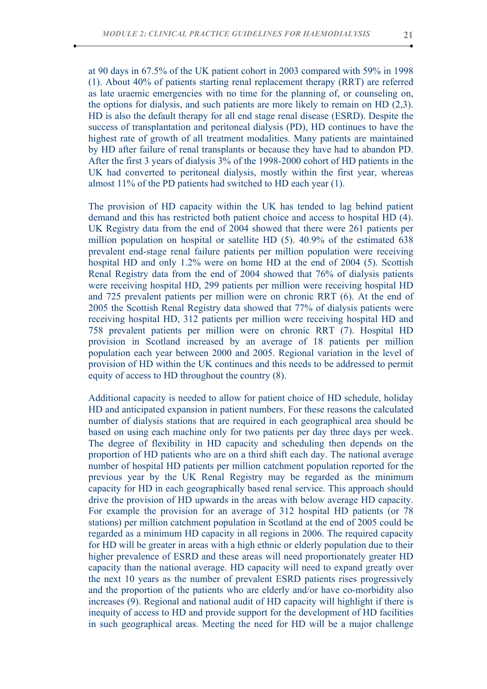at 90 days in 67.5% of the UK patient cohort in 2003 compared with 59% in 1998 (1). About 40% of patients starting renal replacement therapy (RRT) are referred as late uraemic emergencies with no time for the planning of, or counseling on, the options for dialysis, and such patients are more likely to remain on HD (2,3). HD is also the default therapy for all end stage renal disease (ESRD). Despite the success of transplantation and peritoneal dialysis (PD), HD continues to have the highest rate of growth of all treatment modalities. Many patients are maintained by HD after failure of renal transplants or because they have had to abandon PD. After the first 3 years of dialysis 3% of the 1998-2000 cohort of HD patients in the UK had converted to peritoneal dialysis, mostly within the first year, whereas almost 11% of the PD patients had switched to HD each year (1).

The provision of HD capacity within the UK has tended to lag behind patient demand and this has restricted both patient choice and access to hospital HD (4). UK Registry data from the end of 2004 showed that there were 261 patients per million population on hospital or satellite HD (5). 40.9% of the estimated 638 prevalent end-stage renal failure patients per million population were receiving hospital HD and only 1.2% were on home HD at the end of 2004 (5). Scottish Renal Registry data from the end of 2004 showed that 76% of dialysis patients were receiving hospital HD, 299 patients per million were receiving hospital HD and 725 prevalent patients per million were on chronic RRT (6). At the end of 2005 the Scottish Renal Registry data showed that 77% of dialysis patients were receiving hospital HD, 312 patients per million were receiving hospital HD and 758 prevalent patients per million were on chronic RRT (7). Hospital HD provision in Scotland increased by an average of 18 patients per million population each year between 2000 and 2005. Regional variation in the level of provision of HD within the UK continues and this needs to be addressed to permit equity of access to HD throughout the country (8).

Additional capacity is needed to allow for patient choice of HD schedule, holiday HD and anticipated expansion in patient numbers. For these reasons the calculated number of dialysis stations that are required in each geographical area should be based on using each machine only for two patients per day three days per week. The degree of flexibility in HD capacity and scheduling then depends on the proportion of HD patients who are on a third shift each day. The national average number of hospital HD patients per million catchment population reported for the previous year by the UK Renal Registry may be regarded as the minimum capacity for HD in each geographically based renal service. This approach should drive the provision of HD upwards in the areas with below average HD capacity. For example the provision for an average of 312 hospital HD patients (or 78 stations) per million catchment population in Scotland at the end of 2005 could be regarded as a minimum HD capacity in all regions in 2006. The required capacity for HD will be greater in areas with a high ethnic or elderly population due to their higher prevalence of ESRD and these areas will need proportionately greater HD capacity than the national average. HD capacity will need to expand greatly over the next 10 years as the number of prevalent ESRD patients rises progressively and the proportion of the patients who are elderly and/or have co-morbidity also increases (9). Regional and national audit of HD capacity will highlight if there is inequity of access to HD and provide support for the development of HD facilities in such geographical areas. Meeting the need for HD will be a major challenge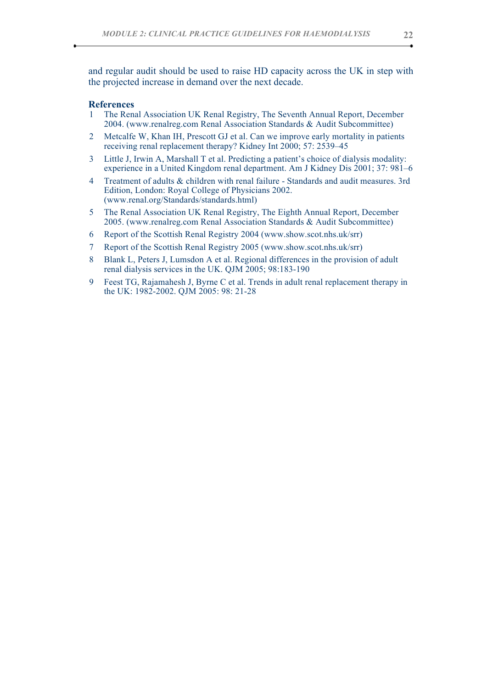and regular audit should be used to raise HD capacity across the UK in step with the projected increase in demand over the next decade.

#### **References**

- 1 The Renal Association UK Renal Registry, The Seventh Annual Report, December 2004. (www.renalreg.com Renal Association Standards & Audit Subcommittee)
- 2 Metcalfe W, Khan IH, Prescott GJ et al. Can we improve early mortality in patients receiving renal replacement therapy? Kidney Int 2000; 57: 2539–45
- 3 Little J, Irwin A, Marshall T et al. Predicting a patient's choice of dialysis modality: experience in a United Kingdom renal department. Am J Kidney Dis 2001; 37: 981–6
- 4 Treatment of adults & children with renal failure Standards and audit measures. 3rd Edition, London: Royal College of Physicians 2002. (www.renal.org/Standards/standards.html)
- 5 The Renal Association UK Renal Registry, The Eighth Annual Report, December 2005. (www.renalreg.com Renal Association Standards & Audit Subcommittee)
- 6 Report of the Scottish Renal Registry 2004 (www.show.scot.nhs.uk/srr)
- 7 Report of the Scottish Renal Registry 2005 (www.show.scot.nhs.uk/srr)
- 8 Blank L, Peters J, Lumsdon A et al. Regional differences in the provision of adult renal dialysis services in the UK. QJM 2005; 98:183-190
- 9 Feest TG, Rajamahesh J, Byrne C et al. Trends in adult renal replacement therapy in the UK: 1982-2002. QJM 2005: 98: 21-28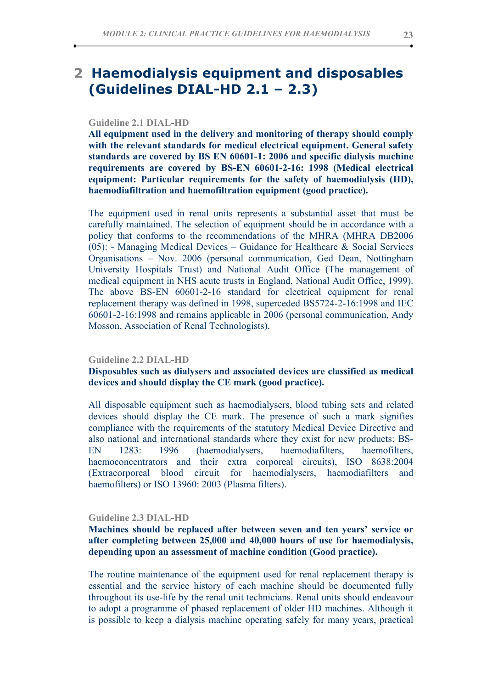# **2 Haemodialysis equipment and disposables (Guidelines DIAL-HD 2.1 – 2.3)**

#### **Guideline 2.1 DIAL-HD**

**All equipment used in the delivery and monitoring of therapy should comply with the relevant standards for medical electrical equipment. General safety standards are covered by BS EN 60601-1: 2006 and specific dialysis machine requirements are covered by BS-EN 60601-2-16: 1998 (Medical electrical equipment: Particular requirements for the safety of haemodialysis (HD), haemodiafiltration and haemofiltration equipment (good practice).**

The equipment used in renal units represents a substantial asset that must be carefully maintained. The selection of equipment should be in accordance with a policy that conforms to the recommendations of the MHRA (MHRA DB2006  $(05)$ : - Managing Medical Devices – Guidance for Healthcare & Social Services Organisations – Nov. 2006 (personal communication, Ged Dean, Nottingham University Hospitals Trust) and National Audit Office (The management of medical equipment in NHS acute trusts in England, National Audit Office, 1999). The above BS-EN 60601-2-16 standard for electrical equipment for renal replacement therapy was defined in 1998, superceded BS5724-2-16:1998 and IEC 60601-2-16:1998 and remains applicable in 2006 (personal communication, Andy Mosson, Association of Renal Technologists).

#### **Guideline 2.2 DIAL-HD**

# **Disposables such as dialysers and associated devices are classified as medical devices and should display the CE mark (good practice).**

All disposable equipment such as haemodialysers, blood tubing sets and related devices should display the CE mark. The presence of such a mark signifies compliance with the requirements of the statutory Medical Device Directive and also national and international standards where they exist for new products: BS-EN 1283: 1996 (haemodialysers, haemodiafilters, haemofilters, haemoconcentrators and their extra corporeal circuits), ISO 8638:2004 (Extracorporeal blood circuit for haemodialysers, haemodiafilters and haemofilters) or ISO 13960: 2003 (Plasma filters).

# **Guideline 2.3 DIAL-HD**

# **Machines should be replaced after between seven and ten years' service or after completing between 25,000 and 40,000 hours of use for haemodialysis, depending upon an assessment of machine condition (Good practice).**

The routine maintenance of the equipment used for renal replacement therapy is essential and the service history of each machine should be documented fully throughout its use-life by the renal unit technicians. Renal units should endeavour to adopt a programme of phased replacement of older HD machines. Although it is possible to keep a dialysis machine operating safely for many years, practical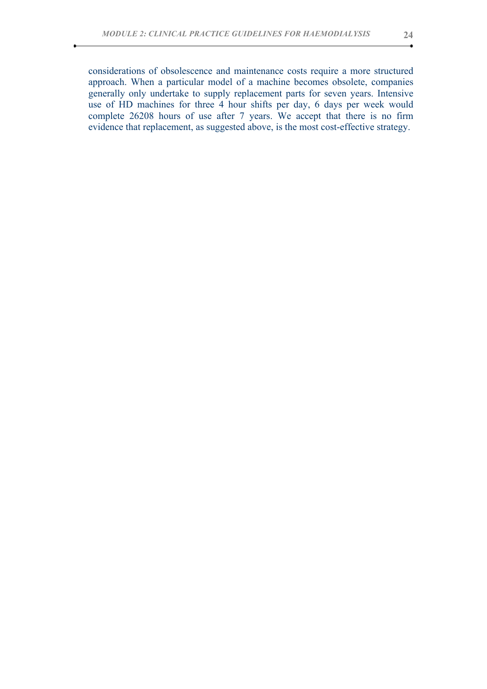considerations of obsolescence and maintenance costs require a more structured approach. When a particular model of a machine becomes obsolete, companies generally only undertake to supply replacement parts for seven years. Intensive use of HD machines for three 4 hour shifts per day, 6 days per week would complete 26208 hours of use after 7 years. We accept that there is no firm evidence that replacement, as suggested above, is the most cost-effective strategy.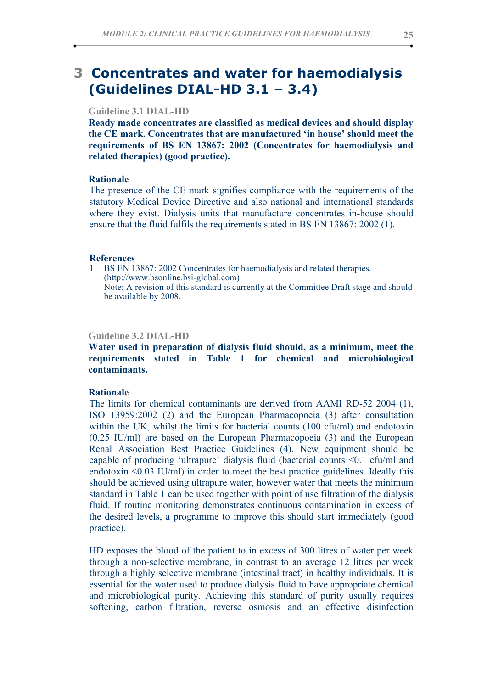# **3 Concentrates and water for haemodialysis (Guidelines DIAL-HD 3.1 – 3.4)**

**Guideline 3.1 DIAL-HD**

**Ready made concentrates are classified as medical devices and should display the CE mark. Concentrates that are manufactured 'in house' should meet the requirements of BS EN 13867: 2002 (Concentrates for haemodialysis and related therapies) (good practice).**

#### **Rationale**

The presence of the CE mark signifies compliance with the requirements of the statutory Medical Device Directive and also national and international standards where they exist. Dialysis units that manufacture concentrates in-house should ensure that the fluid fulfils the requirements stated in BS EN 13867: 2002 (1).

#### **References**

1 BS EN 13867: 2002 Concentrates for haemodialysis and related therapies. (http://www.bsonline.bsi-global.com) Note: A revision of this standard is currently at the Committee Draft stage and should be available by 2008.

#### **Guideline 3.2 DIAL-HD**

# **Water used in preparation of dialysis fluid should, as a minimum, meet the requirements stated in Table 1 for chemical and microbiological contaminants.**

#### **Rationale**

The limits for chemical contaminants are derived from AAMI RD-52 2004 (1), ISO 13959:2002 (2) and the European Pharmacopoeia (3) after consultation within the UK, whilst the limits for bacterial counts (100 cfu/ml) and endotoxin (0.25 IU/ml) are based on the European Pharmacopoeia (3) and the European Renal Association Best Practice Guidelines (4). New equipment should be capable of producing 'ultrapure' dialysis fluid (bacterial counts <0.1 cfu/ml and endotoxin <0.03 IU/ml) in order to meet the best practice guidelines. Ideally this should be achieved using ultrapure water, however water that meets the minimum standard in Table 1 can be used together with point of use filtration of the dialysis fluid. If routine monitoring demonstrates continuous contamination in excess of the desired levels, a programme to improve this should start immediately (good practice).

HD exposes the blood of the patient to in excess of 300 litres of water per week through a non-selective membrane, in contrast to an average 12 litres per week through a highly selective membrane (intestinal tract) in healthy individuals. It is essential for the water used to produce dialysis fluid to have appropriate chemical and microbiological purity. Achieving this standard of purity usually requires softening, carbon filtration, reverse osmosis and an effective disinfection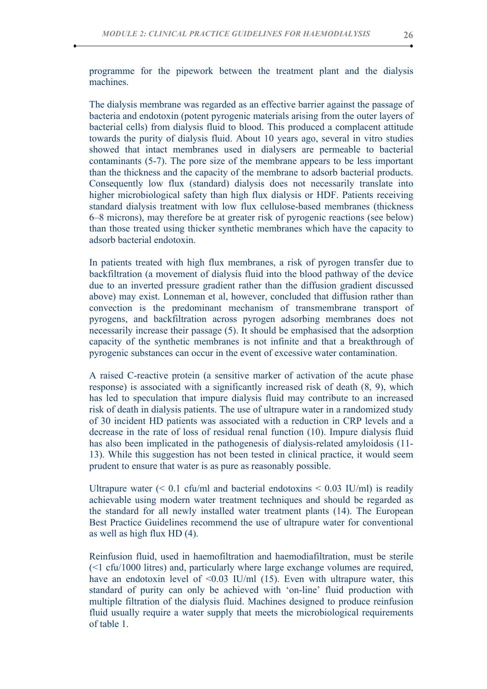programme for the pipework between the treatment plant and the dialysis machines.

The dialysis membrane was regarded as an effective barrier against the passage of bacteria and endotoxin (potent pyrogenic materials arising from the outer layers of bacterial cells) from dialysis fluid to blood. This produced a complacent attitude towards the purity of dialysis fluid. About 10 years ago, several in vitro studies showed that intact membranes used in dialysers are permeable to bacterial contaminants (5-7). The pore size of the membrane appears to be less important than the thickness and the capacity of the membrane to adsorb bacterial products. Consequently low flux (standard) dialysis does not necessarily translate into higher microbiological safety than high flux dialysis or HDF. Patients receiving standard dialysis treatment with low flux cellulose-based membranes (thickness 6–8 microns), may therefore be at greater risk of pyrogenic reactions (see below) than those treated using thicker synthetic membranes which have the capacity to adsorb bacterial endotoxin.

In patients treated with high flux membranes, a risk of pyrogen transfer due to backfiltration (a movement of dialysis fluid into the blood pathway of the device due to an inverted pressure gradient rather than the diffusion gradient discussed above) may exist. Lonneman et al, however, concluded that diffusion rather than convection is the predominant mechanism of transmembrane transport of pyrogens, and backfiltration across pyrogen adsorbing membranes does not necessarily increase their passage (5). It should be emphasised that the adsorption capacity of the synthetic membranes is not infinite and that a breakthrough of pyrogenic substances can occur in the event of excessive water contamination.

A raised C-reactive protein (a sensitive marker of activation of the acute phase response) is associated with a significantly increased risk of death (8, 9), which has led to speculation that impure dialysis fluid may contribute to an increased risk of death in dialysis patients. The use of ultrapure water in a randomized study of 30 incident HD patients was associated with a reduction in CRP levels and a decrease in the rate of loss of residual renal function (10). Impure dialysis fluid has also been implicated in the pathogenesis of dialysis-related amyloidosis (11- 13). While this suggestion has not been tested in clinical practice, it would seem prudent to ensure that water is as pure as reasonably possible.

Ultrapure water  $(< 0.1 \text{ cft/m}$  and bacterial endotoxins  $< 0.03 \text{ IU/m}$ ) is readily achievable using modern water treatment techniques and should be regarded as the standard for all newly installed water treatment plants (14). The European Best Practice Guidelines recommend the use of ultrapure water for conventional as well as high flux HD (4).

Reinfusion fluid, used in haemofiltration and haemodiafiltration, must be sterile (<1 cfu/1000 litres) and, particularly where large exchange volumes are required, have an endotoxin level of  $\leq 0.03$  IU/ml (15). Even with ultrapure water, this standard of purity can only be achieved with 'on-line' fluid production with multiple filtration of the dialysis fluid. Machines designed to produce reinfusion fluid usually require a water supply that meets the microbiological requirements of table 1.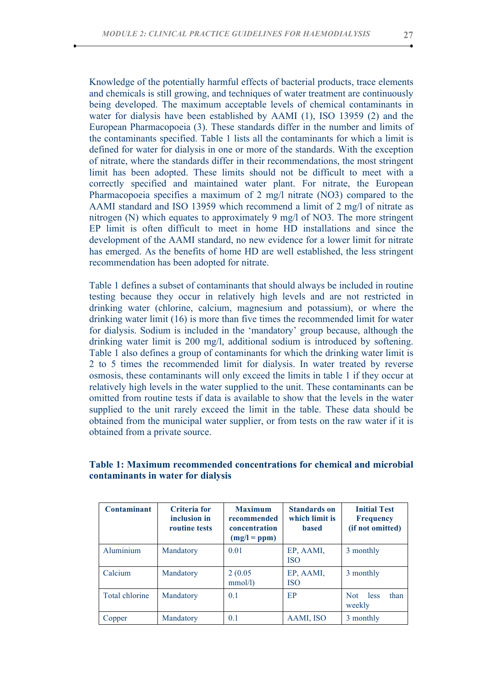Knowledge of the potentially harmful effects of bacterial products, trace elements and chemicals is still growing, and techniques of water treatment are continuously being developed. The maximum acceptable levels of chemical contaminants in water for dialysis have been established by AAMI (1), ISO 13959 (2) and the European Pharmacopoeia (3). These standards differ in the number and limits of the contaminants specified. Table 1 lists all the contaminants for which a limit is defined for water for dialysis in one or more of the standards. With the exception of nitrate, where the standards differ in their recommendations, the most stringent limit has been adopted. These limits should not be difficult to meet with a correctly specified and maintained water plant. For nitrate, the European Pharmacopoeia specifies a maximum of 2 mg/l nitrate (NO3) compared to the AAMI standard and ISO 13959 which recommend a limit of 2 mg/l of nitrate as nitrogen (N) which equates to approximately 9 mg/l of NO3. The more stringent EP limit is often difficult to meet in home HD installations and since the development of the AAMI standard, no new evidence for a lower limit for nitrate has emerged. As the benefits of home HD are well established, the less stringent recommendation has been adopted for nitrate.

Table 1 defines a subset of contaminants that should always be included in routine testing because they occur in relatively high levels and are not restricted in drinking water (chlorine, calcium, magnesium and potassium), or where the drinking water limit (16) is more than five times the recommended limit for water for dialysis. Sodium is included in the 'mandatory' group because, although the drinking water limit is 200 mg/l, additional sodium is introduced by softening. Table 1 also defines a group of contaminants for which the drinking water limit is 2 to 5 times the recommended limit for dialysis. In water treated by reverse osmosis, these contaminants will only exceed the limits in table 1 if they occur at relatively high levels in the water supplied to the unit. These contaminants can be omitted from routine tests if data is available to show that the levels in the water supplied to the unit rarely exceed the limit in the table. These data should be obtained from the municipal water supplier, or from tests on the raw water if it is obtained from a private source.

| <b>Contaminant</b> | Criteria for<br>inclusion in<br>routine tests | <b>Maximum</b><br>recommended<br>concentration<br>$(mg/l = ppm)$ | Standards on<br>which limit is<br><b>based</b> | <b>Initial Test</b><br><b>Frequency</b><br>(if not omitted) |
|--------------------|-----------------------------------------------|------------------------------------------------------------------|------------------------------------------------|-------------------------------------------------------------|
| Aluminium          | Mandatory                                     | 0.01                                                             | EP, AAMI,<br><b>ISO</b>                        | 3 monthly                                                   |
| Calcium            | Mandatory                                     | 2(0.05)<br>mmol/l                                                | EP, AAMI,<br><b>ISO</b>                        | 3 monthly                                                   |
| Total chlorine     | Mandatory                                     | 0.1                                                              | EP                                             | than<br>Not.<br>less<br>weekly                              |
| Copper             | Mandatory                                     | 0.1                                                              | AAMI, ISO                                      | 3 monthly                                                   |

# **Table 1: Maximum recommended concentrations for chemical and microbial contaminants in water for dialysis**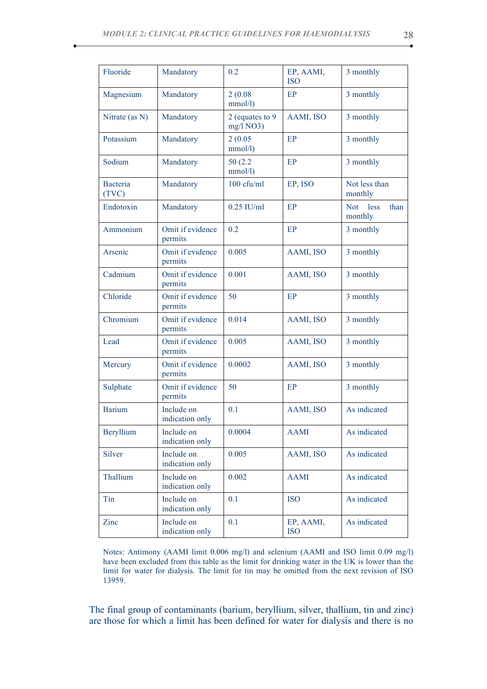| Fluoride                 | Mandatory                     | 0.2                           | EP, AAMI,<br><b>ISO</b> | 3 monthly                      |
|--------------------------|-------------------------------|-------------------------------|-------------------------|--------------------------------|
| Magnesium                | Mandatory                     | 2(0.08)<br>mmol/l)            | EP                      | 3 monthly                      |
| Nitrate (as N)           | Mandatory                     | 2 (equates to 9)<br>mg/l NO3) | AAMI, ISO               | 3 monthly                      |
| Potassium                | Mandatory                     | 2(0.05)<br>mmol/l)            | EP                      | 3 monthly                      |
| Sodium                   | Mandatory                     | 50 (2.2)<br>mmol/l)           | EP                      | 3 monthly                      |
| <b>Bacteria</b><br>(TVC) | Mandatory                     | 100 cfu/ml                    | EP, ISO                 | Not less than<br>monthly       |
| Endotoxin                | Mandatory                     | $0.25$ IU/ml                  | EP                      | less<br>than<br>Not<br>monthly |
| Ammonium                 | Omit if evidence<br>permits   | 0.2                           | EP                      | 3 monthly                      |
| Arsenic                  | Omit if evidence<br>permits   | 0.005                         | AAMI, ISO               | 3 monthly                      |
| Cadmium                  | Omit if evidence<br>permits   | 0.001                         | AAMI, ISO               | 3 monthly                      |
| Chloride                 | Omit if evidence<br>permits   | 50                            | EP                      | 3 monthly                      |
| Chromium                 | Omit if evidence<br>permits   | 0.014                         | AAMI, ISO               | 3 monthly                      |
| Lead                     | Omit if evidence<br>permits   | 0.005                         | AAMI, ISO               | 3 monthly                      |
| Mercury                  | Omit if evidence<br>permits   | 0.0002                        | AAMI, ISO               | 3 monthly                      |
| Sulphate                 | Omit if evidence<br>permits   | 50                            | EP                      | 3 monthly                      |
| <b>Barium</b>            | Include on<br>indication only | 0.1                           | AAMI, ISO               | As indicated                   |
| <b>Beryllium</b>         | Include on<br>indication only | 0.0004                        | <b>AAMI</b>             | As indicated                   |
| Silver                   | Include on<br>indication only | 0.005                         | AAMI, ISO               | As indicated                   |
| Thallium                 | Include on<br>indication only | 0.002                         | <b>AAMI</b>             | As indicated                   |
| Tin                      | Include on<br>indication only | 0.1                           | <b>ISO</b>              | As indicated                   |
| Zinc                     | Include on<br>indication only | 0.1                           | EP, AAMI,<br><b>ISO</b> | As indicated                   |

Notes: Antimony (AAMI limit 0.006 mg/l) and selenium (AAMI and ISO limit 0.09 mg/l) have been excluded from this table as the limit for drinking water in the UK is lower than the limit for water for dialysis. The limit for tin may be omitted from the next revision of ISO 13959.

The final group of contaminants (barium, beryllium, silver, thallium, tin and zinc) are those for which a limit has been defined for water for dialysis and there is no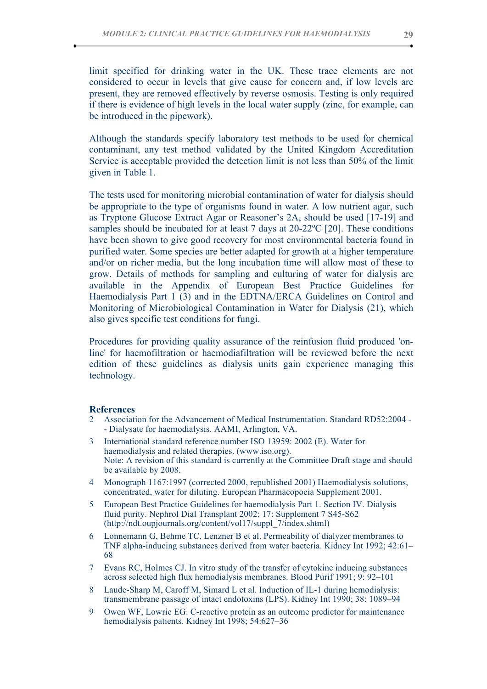limit specified for drinking water in the UK. These trace elements are not considered to occur in levels that give cause for concern and, if low levels are present, they are removed effectively by reverse osmosis. Testing is only required if there is evidence of high levels in the local water supply (zinc, for example, can be introduced in the pipework).

Although the standards specify laboratory test methods to be used for chemical contaminant, any test method validated by the United Kingdom Accreditation Service is acceptable provided the detection limit is not less than 50% of the limit given in Table 1.

The tests used for monitoring microbial contamination of water for dialysis should be appropriate to the type of organisms found in water. A low nutrient agar, such as Tryptone Glucose Extract Agar or Reasoner's 2A, should be used [17-19] and samples should be incubated for at least 7 days at 20-22ºC [20]. These conditions have been shown to give good recovery for most environmental bacteria found in purified water. Some species are better adapted for growth at a higher temperature and/or on richer media, but the long incubation time will allow most of these to grow. Details of methods for sampling and culturing of water for dialysis are available in the Appendix of European Best Practice Guidelines for Haemodialysis Part 1 (3) and in the EDTNA/ERCA Guidelines on Control and Monitoring of Microbiological Contamination in Water for Dialysis (21), which also gives specific test conditions for fungi.

Procedures for providing quality assurance of the reinfusion fluid produced 'online' for haemofiltration or haemodiafiltration will be reviewed before the next edition of these guidelines as dialysis units gain experience managing this technology.

### **References**

- 2 Association for the Advancement of Medical Instrumentation. Standard RD52:2004 - Dialysate for haemodialysis. AAMI, Arlington, VA.
- 3 International standard reference number ISO 13959: 2002 (E). Water for haemodialysis and related therapies. (www.iso.org). Note: A revision of this standard is currently at the Committee Draft stage and should be available by 2008.
- 4 Monograph 1167:1997 (corrected 2000, republished 2001) Haemodialysis solutions, concentrated, water for diluting. European Pharmacopoeia Supplement 2001.
- 5 European Best Practice Guidelines for haemodialysis Part 1. Section IV. Dialysis fluid purity. Nephrol Dial Transplant 2002; 17: Supplement 7 S45-S62 (http://ndt.oupjournals.org/content/vol17/suppl\_7/index.shtml)
- 6 Lonnemann G, Behme TC, Lenzner B et al. Permeability of dialyzer membranes to TNF alpha-inducing substances derived from water bacteria. Kidney Int 1992; 42:61– 68
- 7 Evans RC, Holmes CJ. In vitro study of the transfer of cytokine inducing substances across selected high flux hemodialysis membranes. Blood Purif 1991; 9: 92–101
- 8 Laude-Sharp M, Caroff M, Simard L et al. Induction of IL-1 during hemodialysis: transmembrane passage of intact endotoxins (LPS). Kidney Int 1990; 38: 1089–94
- 9 Owen WF, Lowrie EG. C-reactive protein as an outcome predictor for maintenance hemodialysis patients. Kidney Int 1998; 54:627–36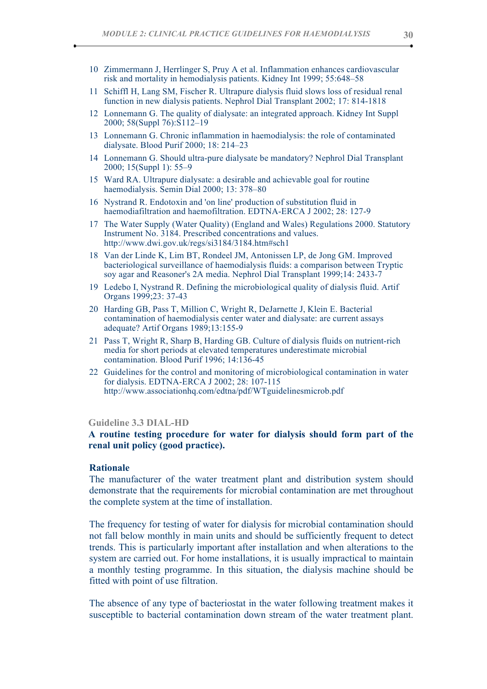- 10 Zimmermann J, Herrlinger S, Pruy A et al. Inflammation enhances cardiovascular risk and mortality in hemodialysis patients. Kidney Int 1999; 55:648–58
- 11 Schiffl H, Lang SM, Fischer R. Ultrapure dialysis fluid slows loss of residual renal function in new dialysis patients. Nephrol Dial Transplant 2002; 17: 814-1818
- 12 Lonnemann G. The quality of dialysate: an integrated approach. Kidney Int Suppl 2000; 58(Suppl 76):S112–19
- 13 Lonnemann G. Chronic inflammation in haemodialysis: the role of contaminated dialysate. Blood Purif 2000; 18: 214–23
- 14 Lonnemann G. Should ultra-pure dialysate be mandatory? Nephrol Dial Transplant 2000; 15(Suppl 1): 55–9
- 15 Ward RA. Ultrapure dialysate: a desirable and achievable goal for routine haemodialysis. Semin Dial 2000; 13: 378–80
- 16 Nystrand R. Endotoxin and 'on line' production of substitution fluid in haemodiafiltration and haemofiltration. EDTNA-ERCA J 2002; 28: 127-9
- 17 The Water Supply (Water Quality) (England and Wales) Regulations 2000. Statutory Instrument No. 3184. Prescribed concentrations and values. http://www.dwi.gov.uk/regs/si3184/3184.htm#sch1
- 18 Van der Linde K, Lim BT, Rondeel JM, Antonissen LP, de Jong GM. Improved bacteriological surveillance of haemodialysis fluids: a comparison between Tryptic soy agar and Reasoner's 2A media. Nephrol Dial Transplant 1999;14: 2433-7
- 19 Ledebo I, Nystrand R. Defining the microbiological quality of dialysis fluid. Artif Organs 1999;23: 37-43
- 20 Harding GB, Pass T, Million C, Wright R, DeJarnette J, Klein E. Bacterial contamination of haemodialysis center water and dialysate: are current assays adequate? Artif Organs 1989;13:155-9
- 21 Pass T, Wright R, Sharp B, Harding GB. Culture of dialysis fluids on nutrient-rich media for short periods at elevated temperatures underestimate microbial contamination. Blood Purif 1996; 14:136-45
- 22 Guidelines for the control and monitoring of microbiological contamination in water for dialysis. EDTNA-ERCA J 2002; 28: 107-115 http://www.associationhq.com/edtna/pdf/WTguidelinesmicrob.pdf

#### **Guideline 3.3 DIAL-HD**

# **A routine testing procedure for water for dialysis should form part of the renal unit policy (good practice).**

#### **Rationale**

The manufacturer of the water treatment plant and distribution system should demonstrate that the requirements for microbial contamination are met throughout the complete system at the time of installation.

The frequency for testing of water for dialysis for microbial contamination should not fall below monthly in main units and should be sufficiently frequent to detect trends. This is particularly important after installation and when alterations to the system are carried out. For home installations, it is usually impractical to maintain a monthly testing programme. In this situation, the dialysis machine should be fitted with point of use filtration.

The absence of any type of bacteriostat in the water following treatment makes it susceptible to bacterial contamination down stream of the water treatment plant.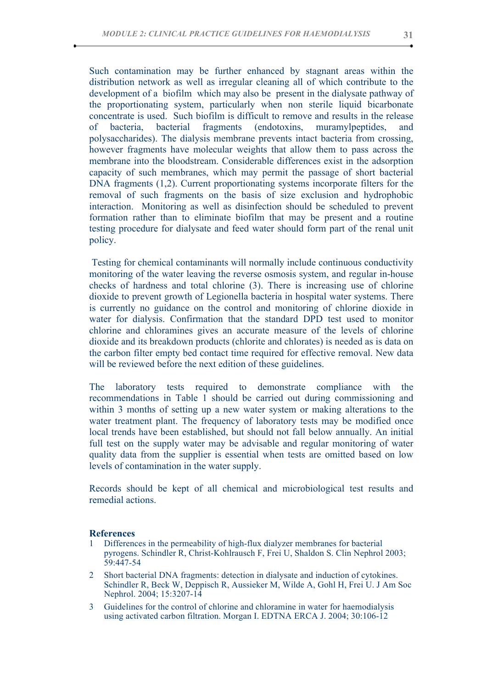Such contamination may be further enhanced by stagnant areas within the distribution network as well as irregular cleaning all of which contribute to the development of a biofilm which may also be present in the dialysate pathway of the proportionating system, particularly when non sterile liquid bicarbonate concentrate is used. Such biofilm is difficult to remove and results in the release of bacteria, bacterial fragments (endotoxins, muramylpeptides, and polysaccharides). The dialysis membrane prevents intact bacteria from crossing, however fragments have molecular weights that allow them to pass across the membrane into the bloodstream. Considerable differences exist in the adsorption capacity of such membranes, which may permit the passage of short bacterial DNA fragments (1,2). Current proportionating systems incorporate filters for the removal of such fragments on the basis of size exclusion and hydrophobic interaction. Monitoring as well as disinfection should be scheduled to prevent formation rather than to eliminate biofilm that may be present and a routine testing procedure for dialysate and feed water should form part of the renal unit policy.

 Testing for chemical contaminants will normally include continuous conductivity monitoring of the water leaving the reverse osmosis system, and regular in-house checks of hardness and total chlorine (3). There is increasing use of chlorine dioxide to prevent growth of Legionella bacteria in hospital water systems. There is currently no guidance on the control and monitoring of chlorine dioxide in water for dialysis. Confirmation that the standard DPD test used to monitor chlorine and chloramines gives an accurate measure of the levels of chlorine dioxide and its breakdown products (chlorite and chlorates) is needed as is data on the carbon filter empty bed contact time required for effective removal. New data will be reviewed before the next edition of these guidelines.

The laboratory tests required to demonstrate compliance with the recommendations in Table 1 should be carried out during commissioning and within 3 months of setting up a new water system or making alterations to the water treatment plant. The frequency of laboratory tests may be modified once local trends have been established, but should not fall below annually. An initial full test on the supply water may be advisable and regular monitoring of water quality data from the supplier is essential when tests are omitted based on low levels of contamination in the water supply.

Records should be kept of all chemical and microbiological test results and remedial actions.

#### **References**

- 1 Differences in the permeability of high-flux dialyzer membranes for bacterial pyrogens. Schindler R, Christ-Kohlrausch F, Frei U, Shaldon S. Clin Nephrol 2003; 59:447-54
- 2 Short bacterial DNA fragments: detection in dialysate and induction of cytokines. Schindler R, Beck W, Deppisch R, Aussieker M, Wilde A, Gohl H, Frei U. J Am Soc Nephrol. 2004; 15:3207-14
- 3 Guidelines for the control of chlorine and chloramine in water for haemodialysis using activated carbon filtration. Morgan I. EDTNA ERCA J. 2004; 30:106-12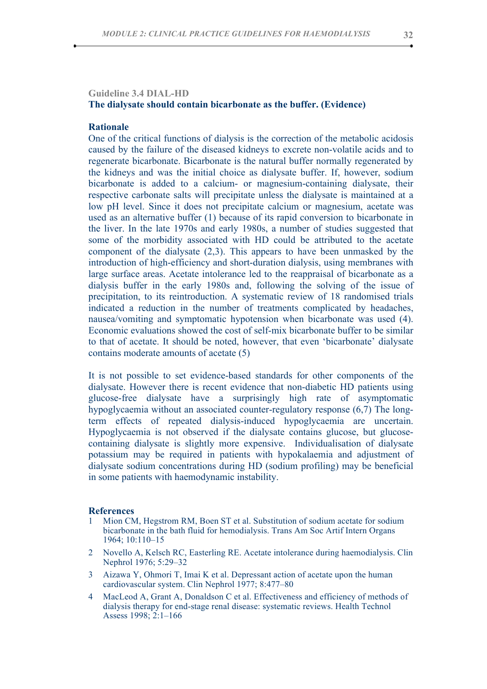# **Guideline 3.4 DIAL-HD The dialysate should contain bicarbonate as the buffer. (Evidence)**

# **Rationale**

One of the critical functions of dialysis is the correction of the metabolic acidosis caused by the failure of the diseased kidneys to excrete non-volatile acids and to regenerate bicarbonate. Bicarbonate is the natural buffer normally regenerated by the kidneys and was the initial choice as dialysate buffer. If, however, sodium bicarbonate is added to a calcium- or magnesium-containing dialysate, their respective carbonate salts will precipitate unless the dialysate is maintained at a low pH level. Since it does not precipitate calcium or magnesium, acetate was used as an alternative buffer (1) because of its rapid conversion to bicarbonate in the liver. In the late 1970s and early 1980s, a number of studies suggested that some of the morbidity associated with HD could be attributed to the acetate component of the dialysate (2,3). This appears to have been unmasked by the introduction of high-efficiency and short-duration dialysis, using membranes with large surface areas. Acetate intolerance led to the reappraisal of bicarbonate as a dialysis buffer in the early 1980s and, following the solving of the issue of precipitation, to its reintroduction. A systematic review of 18 randomised trials indicated a reduction in the number of treatments complicated by headaches, nausea/vomiting and symptomatic hypotension when bicarbonate was used (4). Economic evaluations showed the cost of self-mix bicarbonate buffer to be similar to that of acetate. It should be noted, however, that even 'bicarbonate' dialysate contains moderate amounts of acetate (5)

It is not possible to set evidence-based standards for other components of the dialysate. However there is recent evidence that non-diabetic HD patients using glucose-free dialysate have a surprisingly high rate of asymptomatic hypoglycaemia without an associated counter-regulatory response (6,7) The longterm effects of repeated dialysis-induced hypoglycaemia are uncertain. Hypoglycaemia is not observed if the dialysate contains glucose, but glucosecontaining dialysate is slightly more expensive. Individualisation of dialysate potassium may be required in patients with hypokalaemia and adjustment of dialysate sodium concentrations during HD (sodium profiling) may be beneficial in some patients with haemodynamic instability.

#### **References**

- 1 Mion CM, Hegstrom RM, Boen ST et al. Substitution of sodium acetate for sodium bicarbonate in the bath fluid for hemodialysis. Trans Am Soc Artif Intern Organs 1964; 10:110–15
- 2 Novello A, Kelsch RC, Easterling RE. Acetate intolerance during haemodialysis. Clin Nephrol 1976; 5:29–32
- 3 Aizawa Y, Ohmori T, Imai K et al. Depressant action of acetate upon the human cardiovascular system. Clin Nephrol 1977; 8:477–80
- 4 MacLeod A, Grant A, Donaldson C et al. Effectiveness and efficiency of methods of dialysis therapy for end-stage renal disease: systematic reviews. Health Technol Assess 1998; 2:1–166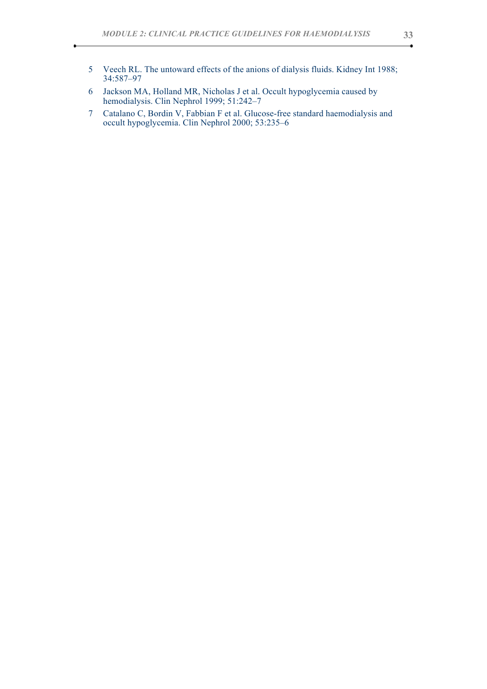- 5 Veech RL. The untoward effects of the anions of dialysis fluids. Kidney Int 1988; 34:587–97
- 6 Jackson MA, Holland MR, Nicholas J et al. Occult hypoglycemia caused by hemodialysis. Clin Nephrol 1999; 51:242–7
- 7 Catalano C, Bordin V, Fabbian F et al. Glucose-free standard haemodialysis and occult hypoglycemia. Clin Nephrol 2000; 53:235–6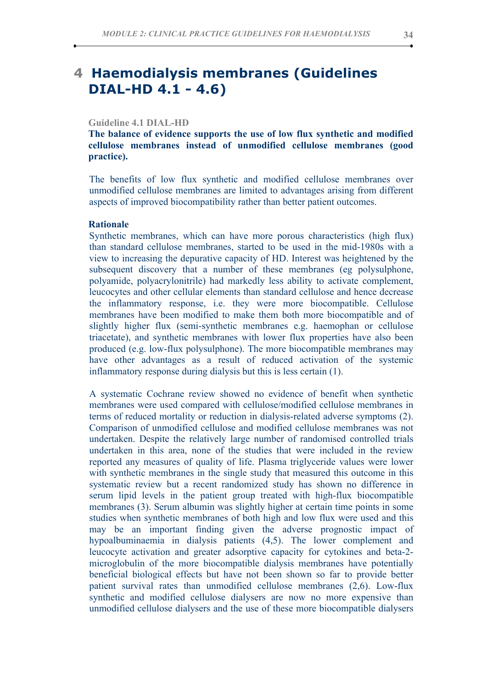# **4 Haemodialysis membranes (Guidelines DIAL-HD 4.1 - 4.6)**

### **Guideline 4.1 DIAL-HD**

**The balance of evidence supports the use of low flux synthetic and modified cellulose membranes instead of unmodified cellulose membranes (good practice).**

The benefits of low flux synthetic and modified cellulose membranes over unmodified cellulose membranes are limited to advantages arising from different aspects of improved biocompatibility rather than better patient outcomes.

#### **Rationale**

Synthetic membranes, which can have more porous characteristics (high flux) than standard cellulose membranes, started to be used in the mid-1980s with a view to increasing the depurative capacity of HD. Interest was heightened by the subsequent discovery that a number of these membranes (eg polysulphone, polyamide, polyacrylonitrile) had markedly less ability to activate complement, leucocytes and other cellular elements than standard cellulose and hence decrease the inflammatory response, i.e. they were more biocompatible. Cellulose membranes have been modified to make them both more biocompatible and of slightly higher flux (semi-synthetic membranes e.g. haemophan or cellulose triacetate), and synthetic membranes with lower flux properties have also been produced (e.g. low-flux polysulphone). The more biocompatible membranes may have other advantages as a result of reduced activation of the systemic inflammatory response during dialysis but this is less certain (1).

A systematic Cochrane review showed no evidence of benefit when synthetic membranes were used compared with cellulose/modified cellulose membranes in terms of reduced mortality or reduction in dialysis-related adverse symptoms (2). Comparison of unmodified cellulose and modified cellulose membranes was not undertaken. Despite the relatively large number of randomised controlled trials undertaken in this area, none of the studies that were included in the review reported any measures of quality of life. Plasma triglyceride values were lower with synthetic membranes in the single study that measured this outcome in this systematic review but a recent randomized study has shown no difference in serum lipid levels in the patient group treated with high-flux biocompatible membranes (3). Serum albumin was slightly higher at certain time points in some studies when synthetic membranes of both high and low flux were used and this may be an important finding given the adverse prognostic impact of hypoalbuminaemia in dialysis patients (4,5). The lower complement and leucocyte activation and greater adsorptive capacity for cytokines and beta-2 microglobulin of the more biocompatible dialysis membranes have potentially beneficial biological effects but have not been shown so far to provide better patient survival rates than unmodified cellulose membranes (2,6). Low-flux synthetic and modified cellulose dialysers are now no more expensive than unmodified cellulose dialysers and the use of these more biocompatible dialysers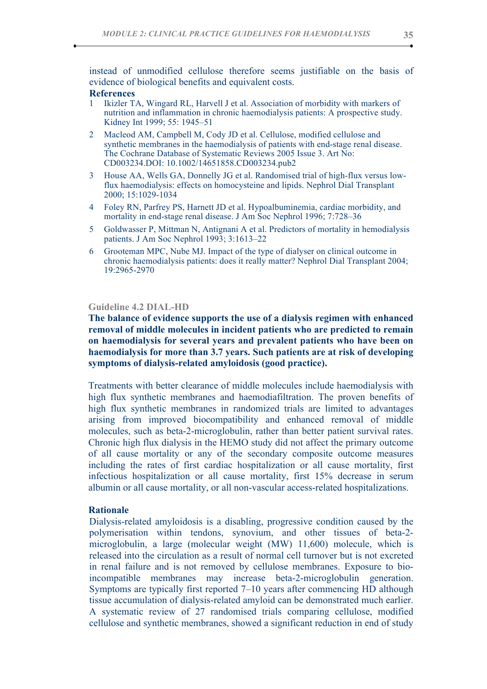instead of unmodified cellulose therefore seems justifiable on the basis of evidence of biological benefits and equivalent costs.

# **References**

- 1 Ikizler TA, Wingard RL, Harvell J et al. Association of morbidity with markers of nutrition and inflammation in chronic haemodialysis patients: A prospective study. Kidney Int 1999; 55: 1945–51
- 2 Macleod AM, Campbell M, Cody JD et al. Cellulose, modified cellulose and synthetic membranes in the haemodialysis of patients with end-stage renal disease. The Cochrane Database of Systematic Reviews 2005 Issue 3. Art No: CD003234.DOI: 10.1002/14651858.CD003234.pub2
- 3 House AA, Wells GA, Donnelly JG et al. Randomised trial of high-flux versus lowflux haemodialysis: effects on homocysteine and lipids. Nephrol Dial Transplant 2000; 15:1029-1034
- 4 Foley RN, Parfrey PS, Harnett JD et al. Hypoalbuminemia, cardiac morbidity, and mortality in end-stage renal disease. J Am Soc Nephrol 1996; 7:728–36
- 5 Goldwasser P, Mittman N, Antignani A et al. Predictors of mortality in hemodialysis patients. J Am Soc Nephrol 1993; 3:1613–22
- 6 Grooteman MPC, Nube MJ. Impact of the type of dialyser on clinical outcome in chronic haemodialysis patients: does it really matter? Nephrol Dial Transplant 2004; 19:2965-2970

### **Guideline 4.2 DIAL-HD**

# **The balance of evidence supports the use of a dialysis regimen with enhanced removal of middle molecules in incident patients who are predicted to remain on haemodialysis for several years and prevalent patients who have been on haemodialysis for more than 3.7 years. Such patients are at risk of developing symptoms of dialysis-related amyloidosis (good practice).**

Treatments with better clearance of middle molecules include haemodialysis with high flux synthetic membranes and haemodiafiltration. The proven benefits of high flux synthetic membranes in randomized trials are limited to advantages arising from improved biocompatibility and enhanced removal of middle molecules, such as beta-2-microglobulin, rather than better patient survival rates. Chronic high flux dialysis in the HEMO study did not affect the primary outcome of all cause mortality or any of the secondary composite outcome measures including the rates of first cardiac hospitalization or all cause mortality, first infectious hospitalization or all cause mortality, first 15% decrease in serum albumin or all cause mortality, or all non-vascular access-related hospitalizations.

### **Rationale**

Dialysis-related amyloidosis is a disabling, progressive condition caused by the polymerisation within tendons, synovium, and other tissues of beta-2 microglobulin, a large (molecular weight (MW) 11,600) molecule, which is released into the circulation as a result of normal cell turnover but is not excreted in renal failure and is not removed by cellulose membranes. Exposure to bioincompatible membranes may increase beta-2-microglobulin generation. Symptoms are typically first reported 7–10 years after commencing HD although tissue accumulation of dialysis-related amyloid can be demonstrated much earlier. A systematic review of 27 randomised trials comparing cellulose, modified cellulose and synthetic membranes, showed a significant reduction in end of study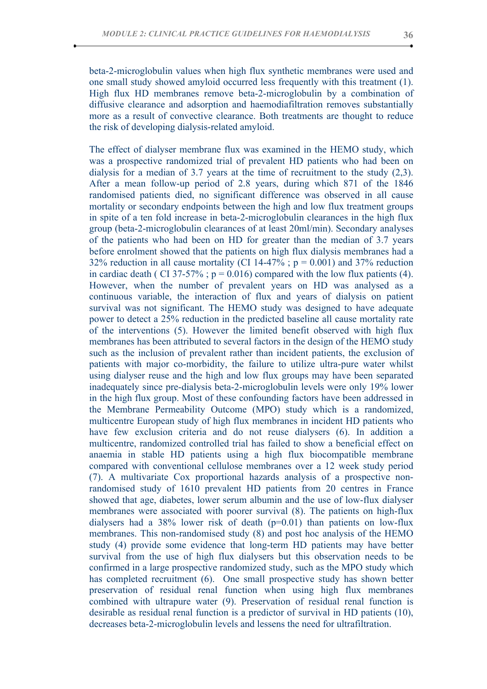The effect of dialyser membrane flux was examined in the HEMO study, which was a prospective randomized trial of prevalent HD patients who had been on dialysis for a median of 3.7 years at the time of recruitment to the study (2,3). After a mean follow-up period of 2.8 years, during which 871 of the 1846 randomised patients died, no significant difference was observed in all cause mortality or secondary endpoints between the high and low flux treatment groups in spite of a ten fold increase in beta-2-microglobulin clearances in the high flux group (beta-2-microglobulin clearances of at least 20ml/min). Secondary analyses of the patients who had been on HD for greater than the median of 3.7 years before enrolment showed that the patients on high flux dialysis membranes had a 32% reduction in all cause mortality (CI 14-47% ;  $p = 0.001$ ) and 37% reduction in cardiac death ( CI 37-57% ;  $p = 0.016$ ) compared with the low flux patients (4). However, when the number of prevalent years on HD was analysed as a continuous variable, the interaction of flux and years of dialysis on patient survival was not significant. The HEMO study was designed to have adequate power to detect a 25% reduction in the predicted baseline all cause mortality rate of the interventions (5). However the limited benefit observed with high flux membranes has been attributed to several factors in the design of the HEMO study such as the inclusion of prevalent rather than incident patients, the exclusion of patients with major co-morbidity, the failure to utilize ultra-pure water whilst using dialyser reuse and the high and low flux groups may have been separated inadequately since pre-dialysis beta-2-microglobulin levels were only 19% lower in the high flux group. Most of these confounding factors have been addressed in the Membrane Permeability Outcome (MPO) study which is a randomized, multicentre European study of high flux membranes in incident HD patients who have few exclusion criteria and do not reuse dialysers (6). In addition a multicentre, randomized controlled trial has failed to show a beneficial effect on anaemia in stable HD patients using a high flux biocompatible membrane compared with conventional cellulose membranes over a 12 week study period (7). A multivariate Cox proportional hazards analysis of a prospective nonrandomised study of 1610 prevalent HD patients from 20 centres in France showed that age, diabetes, lower serum albumin and the use of low-flux dialyser membranes were associated with poorer survival (8). The patients on high-flux dialysers had a 38% lower risk of death  $(p=0.01)$  than patients on low-flux membranes. This non-randomised study (8) and post hoc analysis of the HEMO study (4) provide some evidence that long-term HD patients may have better survival from the use of high flux dialysers but this observation needs to be confirmed in a large prospective randomized study, such as the MPO study which has completed recruitment (6). One small prospective study has shown better preservation of residual renal function when using high flux membranes combined with ultrapure water (9). Preservation of residual renal function is desirable as residual renal function is a predictor of survival in HD patients (10), decreases beta-2-microglobulin levels and lessens the need for ultrafiltration.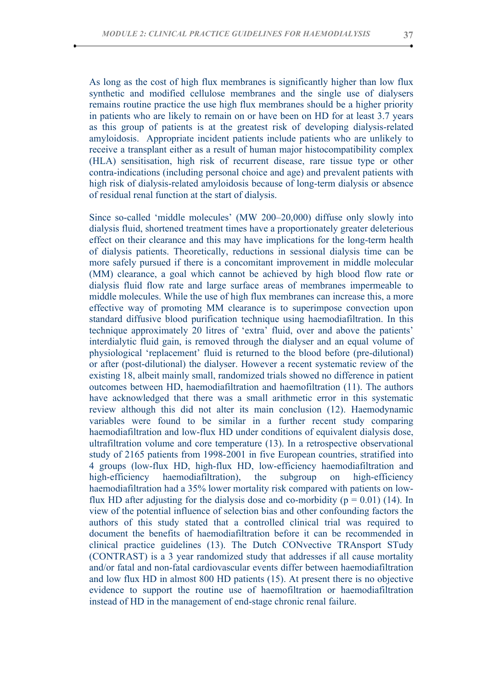As long as the cost of high flux membranes is significantly higher than low flux synthetic and modified cellulose membranes and the single use of dialysers remains routine practice the use high flux membranes should be a higher priority in patients who are likely to remain on or have been on HD for at least 3.7 years as this group of patients is at the greatest risk of developing dialysis-related amyloidosis. Appropriate incident patients include patients who are unlikely to receive a transplant either as a result of human major histocompatibility complex (HLA) sensitisation, high risk of recurrent disease, rare tissue type or other contra-indications (including personal choice and age) and prevalent patients with high risk of dialysis-related amyloidosis because of long-term dialysis or absence of residual renal function at the start of dialysis.

Since so-called 'middle molecules' (MW 200–20,000) diffuse only slowly into dialysis fluid, shortened treatment times have a proportionately greater deleterious effect on their clearance and this may have implications for the long-term health of dialysis patients. Theoretically, reductions in sessional dialysis time can be more safely pursued if there is a concomitant improvement in middle molecular (MM) clearance, a goal which cannot be achieved by high blood flow rate or dialysis fluid flow rate and large surface areas of membranes impermeable to middle molecules. While the use of high flux membranes can increase this, a more effective way of promoting MM clearance is to superimpose convection upon standard diffusive blood purification technique using haemodiafiltration. In this technique approximately 20 litres of 'extra' fluid, over and above the patients' interdialytic fluid gain, is removed through the dialyser and an equal volume of physiological 'replacement' fluid is returned to the blood before (pre-dilutional) or after (post-dilutional) the dialyser. However a recent systematic review of the existing 18, albeit mainly small, randomized trials showed no difference in patient outcomes between HD, haemodiafiltration and haemofiltration (11). The authors have acknowledged that there was a small arithmetic error in this systematic review although this did not alter its main conclusion (12). Haemodynamic variables were found to be similar in a further recent study comparing haemodiafiltration and low-flux HD under conditions of equivalent dialysis dose, ultrafiltration volume and core temperature (13). In a retrospective observational study of 2165 patients from 1998-2001 in five European countries, stratified into 4 groups (low-flux HD, high-flux HD, low-efficiency haemodiafiltration and high-efficiency haemodiafiltration), the subgroup on high-efficiency haemodiafiltration had a 35% lower mortality risk compared with patients on lowflux HD after adjusting for the dialysis dose and co-morbidity ( $p = 0.01$ ) (14). In view of the potential influence of selection bias and other confounding factors the authors of this study stated that a controlled clinical trial was required to document the benefits of haemodiafiltration before it can be recommended in clinical practice guidelines (13). The Dutch CONvective TRAnsport STudy (CONTRAST) is a 3 year randomized study that addresses if all cause mortality and/or fatal and non-fatal cardiovascular events differ between haemodiafiltration and low flux HD in almost 800 HD patients (15). At present there is no objective evidence to support the routine use of haemofiltration or haemodiafiltration instead of HD in the management of end-stage chronic renal failure.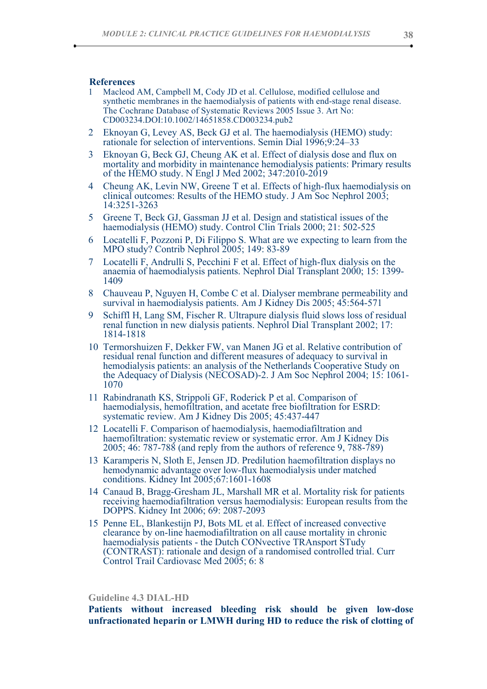#### **References**

- 1 Macleod AM, Campbell M, Cody JD et al. Cellulose, modified cellulose and synthetic membranes in the haemodialysis of patients with end-stage renal disease. The Cochrane Database of Systematic Reviews 2005 Issue 3. Art No: CD003234.DOI:10.1002/14651858.CD003234.pub2
- 2 Eknoyan G, Levey AS, Beck GJ et al. The haemodialysis (HEMO) study: rationale for selection of interventions. Semin Dial 1996;9:24–33
- 3 Eknoyan G, Beck GJ, Cheung AK et al. Effect of dialysis dose and flux on mortality and morbidity in maintenance hemodialysis patients: Primary results of the HEMO study. N Engl J Med 2002; 347:2010-2019
- 4 Cheung AK, Levin NW, Greene T et al. Effects of high-flux haemodialysis on clinical outcomes: Results of the HEMO study. J Am Soc Nephrol 2003; 14:3251-3263
- 5 Greene T, Beck GJ, Gassman JJ et al. Design and statistical issues of the haemodialysis (HEMO) study. Control Clin Trials 2000; 21: 502-525
- 6 Locatelli F, Pozzoni P, Di Filippo S. What are we expecting to learn from the MPO study? Contrib Nephrol 2005; 149: 83-89
- Locatelli F, Andrulli S, Pecchini F et al. Effect of high-flux dialysis on the anaemia of haemodialysis patients. Nephrol Dial Transplant 2000; 15: 1399- <sup>1409</sup>
- 8 Chauveau P, Nguyen H, Combe C et al. Dialyser membrane permeability and survival in haemodialysis patients. Am J Kidney Dis 2005; 45:564-571
- 9 Schiffl H, Lang SM, Fischer R. Ultrapure dialysis fluid slows loss of residual renal function in new dialysis patients. Nephrol Dial Transplant 2002; 17: 1814-1818
- 10 Termorshuizen F, Dekker FW, van Manen JG et al. Relative contribution of residual renal function and different measures of adequacy to survival in hemodialysis patients: an analysis of the Netherlands Cooperative Study on the Adequacy of Dialysis (NECOSAD)-2. J Am Soc Nephrol 2004; 15: 1061- <sup>1070</sup>
- 11 Rabindranath KS, Strippoli GF, Roderick P et al. Comparison of haemodialysis, hemofiltration, and acetate free biofiltration for ESRD: systematic review. Am J Kidney Dis 2005; 45:437-447
- 12 Locatelli F. Comparison of haemodialysis, haemodiafiltration and haemofiltration: systematic review or systematic error. Am J Kidney Dis 2005; 46: 787-788 (and reply from the authors of reference 9, 788-789)
- 13 Karamperis N, Sloth E, Jensen JD. Predilution haemofiltration displays no hemodynamic advantage over low-flux haemodialysis under matched conditions. Kidney Int 2005;67:1601-1608
- 14 Canaud B, Bragg-Gresham JL, Marshall MR et al. Mortality risk for patients receiving haemodiafiltration versus haemodialysis: European results from the DOPPS. Kidney Int 2006; 69: 2087-2093
- 15 Penne EL, Blankestijn PJ, Bots ML et al. Effect of increased convective clearance by on-line haemodiafiltration on all cause mortality in chronic haemodialysis patients - the Dutch CONvective TRAnsport STudy (CONTRAST): rationale and design of a randomised controlled trial. Curr Control Trail Cardiovasc Med 2005; 6: 8

#### **Guideline 4.3 DIAL-HD**

**Patients without increased bleeding risk should be given low-dose unfractionated heparin or LMWH during HD to reduce the risk of clotting of**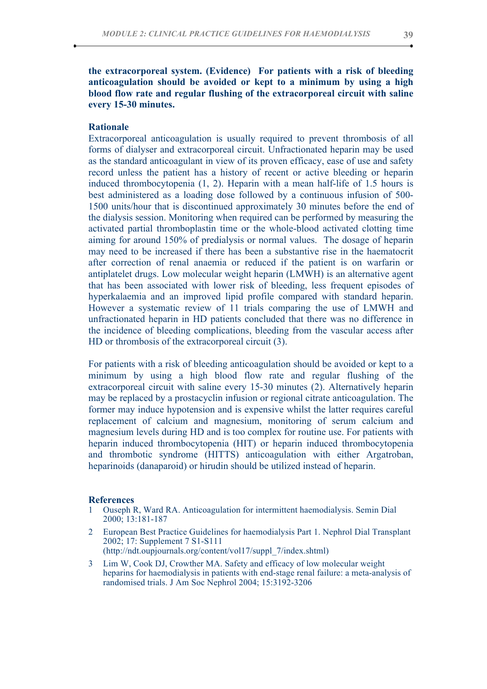**the extracorporeal system. (Evidence) For patients with a risk of bleeding anticoagulation should be avoided or kept to a minimum by using a high blood flow rate and regular flushing of the extracorporeal circuit with saline every 15-30 minutes.**

# **Rationale**

Extracorporeal anticoagulation is usually required to prevent thrombosis of all forms of dialyser and extracorporeal circuit. Unfractionated heparin may be used as the standard anticoagulant in view of its proven efficacy, ease of use and safety record unless the patient has a history of recent or active bleeding or heparin induced thrombocytopenia (1, 2). Heparin with a mean half-life of 1.5 hours is best administered as a loading dose followed by a continuous infusion of 500- 1500 units/hour that is discontinued approximately 30 minutes before the end of the dialysis session. Monitoring when required can be performed by measuring the activated partial thromboplastin time or the whole-blood activated clotting time aiming for around 150% of predialysis or normal values. The dosage of heparin may need to be increased if there has been a substantive rise in the haematocrit after correction of renal anaemia or reduced if the patient is on warfarin or antiplatelet drugs. Low molecular weight heparin (LMWH) is an alternative agent that has been associated with lower risk of bleeding, less frequent episodes of hyperkalaemia and an improved lipid profile compared with standard heparin. However a systematic review of 11 trials comparing the use of LMWH and unfractionated heparin in HD patients concluded that there was no difference in the incidence of bleeding complications, bleeding from the vascular access after HD or thrombosis of the extracorporeal circuit (3).

For patients with a risk of bleeding anticoagulation should be avoided or kept to a minimum by using a high blood flow rate and regular flushing of the extracorporeal circuit with saline every 15-30 minutes (2). Alternatively heparin may be replaced by a prostacyclin infusion or regional citrate anticoagulation. The former may induce hypotension and is expensive whilst the latter requires careful replacement of calcium and magnesium, monitoring of serum calcium and magnesium levels during HD and is too complex for routine use. For patients with heparin induced thrombocytopenia (HIT) or heparin induced thrombocytopenia and thrombotic syndrome (HITTS) anticoagulation with either Argatroban, heparinoids (danaparoid) or hirudin should be utilized instead of heparin.

- 1 Ouseph R, Ward RA. Anticoagulation for intermittent haemodialysis. Semin Dial 2000; 13:181-187
- 2 European Best Practice Guidelines for haemodialysis Part 1. Nephrol Dial Transplant 2002; 17: Supplement 7 S1-S111 (http://ndt.oupjournals.org/content/vol17/suppl\_7/index.shtml)
- 3 Lim W, Cook DJ, Crowther MA. Safety and efficacy of low molecular weight heparins for haemodialysis in patients with end-stage renal failure: a meta-analysis of randomised trials. J Am Soc Nephrol 2004; 15:3192-3206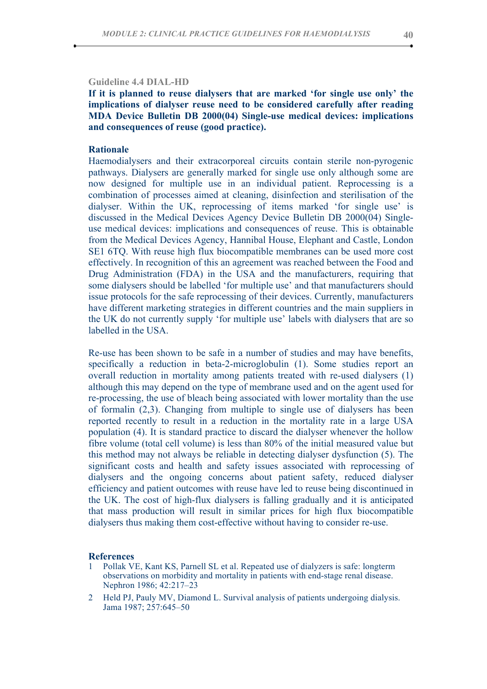#### **Guideline 4.4 DIAL-HD**

**If it is planned to reuse dialysers that are marked 'for single use only' the implications of dialyser reuse need to be considered carefully after reading MDA Device Bulletin DB 2000(04) Single-use medical devices: implications and consequences of reuse (good practice).**

### **Rationale**

Haemodialysers and their extracorporeal circuits contain sterile non-pyrogenic pathways. Dialysers are generally marked for single use only although some are now designed for multiple use in an individual patient. Reprocessing is a combination of processes aimed at cleaning, disinfection and sterilisation of the dialyser. Within the UK, reprocessing of items marked 'for single use' is discussed in the Medical Devices Agency Device Bulletin DB 2000(04) Singleuse medical devices: implications and consequences of reuse. This is obtainable from the Medical Devices Agency, Hannibal House, Elephant and Castle, London SE1 6TQ. With reuse high flux biocompatible membranes can be used more cost effectively. In recognition of this an agreement was reached between the Food and Drug Administration (FDA) in the USA and the manufacturers, requiring that some dialysers should be labelled 'for multiple use' and that manufacturers should issue protocols for the safe reprocessing of their devices. Currently, manufacturers have different marketing strategies in different countries and the main suppliers in the UK do not currently supply 'for multiple use' labels with dialysers that are so labelled in the USA.

Re-use has been shown to be safe in a number of studies and may have benefits, specifically a reduction in beta-2-microglobulin (1). Some studies report an overall reduction in mortality among patients treated with re-used dialysers (1) although this may depend on the type of membrane used and on the agent used for re-processing, the use of bleach being associated with lower mortality than the use of formalin (2,3). Changing from multiple to single use of dialysers has been reported recently to result in a reduction in the mortality rate in a large USA population (4). It is standard practice to discard the dialyser whenever the hollow fibre volume (total cell volume) is less than 80% of the initial measured value but this method may not always be reliable in detecting dialyser dysfunction (5). The significant costs and health and safety issues associated with reprocessing of dialysers and the ongoing concerns about patient safety, reduced dialyser efficiency and patient outcomes with reuse have led to reuse being discontinued in the UK. The cost of high-flux dialysers is falling gradually and it is anticipated that mass production will result in similar prices for high flux biocompatible dialysers thus making them cost-effective without having to consider re-use.

- 1 Pollak VE, Kant KS, Parnell SL et al. Repeated use of dialyzers is safe: longterm observations on morbidity and mortality in patients with end-stage renal disease. Nephron 1986; 42:217–23
- 2 Held PJ, Pauly MV, Diamond L. Survival analysis of patients undergoing dialysis. Jama 1987; 257:645–50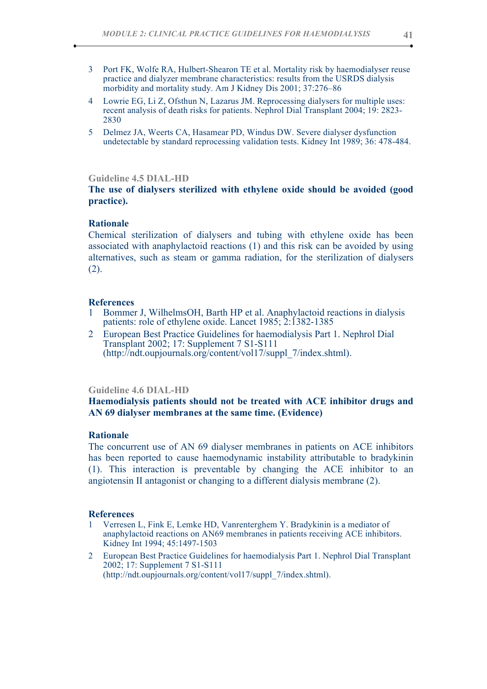- 3 Port FK, Wolfe RA, Hulbert-Shearon TE et al. Mortality risk by haemodialyser reuse practice and dialyzer membrane characteristics: results from the USRDS dialysis morbidity and mortality study. Am J Kidney Dis 2001; 37:276–86
- Lowrie EG, Li Z, Ofsthun N, Lazarus JM. Reprocessing dialysers for multiple uses: recent analysis of death risks for patients. Nephrol Dial Transplant 2004; 19: 2823- 2830
- 5 Delmez JA, Weerts CA, Hasamear PD, Windus DW. Severe dialyser dysfunction undetectable by standard reprocessing validation tests. Kidney Int 1989; 36: 478-484.

**Guideline 4.5 DIAL-HD**

# **The use of dialysers sterilized with ethylene oxide should be avoided (good practice).**

# **Rationale**

Chemical sterilization of dialysers and tubing with ethylene oxide has been associated with anaphylactoid reactions (1) and this risk can be avoided by using alternatives, such as steam or gamma radiation, for the sterilization of dialysers (2).

# **References**

- 1 Bommer J, WilhelmsOH, Barth HP et al. Anaphylactoid reactions in dialysis patients: role of ethylene oxide. Lancet 1985; 2:1382-1385
- 2 European Best Practice Guidelines for haemodialysis Part 1. Nephrol Dial Transplant 2002; 17: Supplement 7 S1-S111 (http://ndt.oupjournals.org/content/vol17/suppl\_7/index.shtml).

# **Guideline 4.6 DIAL-HD**

# **Haemodialysis patients should not be treated with ACE inhibitor drugs and AN 69 dialyser membranes at the same time. (Evidence)**

#### **Rationale**

The concurrent use of AN 69 dialyser membranes in patients on ACE inhibitors has been reported to cause haemodynamic instability attributable to bradykinin (1). This interaction is preventable by changing the ACE inhibitor to an angiotensin II antagonist or changing to a different dialysis membrane (2).

- 1 Verresen L, Fink E, Lemke HD, Vanrenterghem Y. Bradykinin is a mediator of anaphylactoid reactions on AN69 membranes in patients receiving ACE inhibitors. Kidney Int 1994; 45:1497-1503
- 2 European Best Practice Guidelines for haemodialysis Part 1. Nephrol Dial Transplant 2002; 17: Supplement 7 S1-S111 (http://ndt.oupjournals.org/content/vol17/suppl\_7/index.shtml).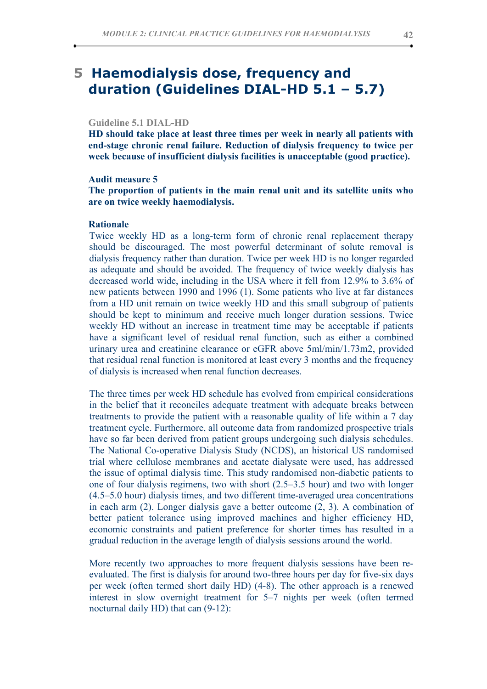# **5 Haemodialysis dose, frequency and duration (Guidelines DIAL-HD 5.1 – 5.7)**

# **Guideline 5.1 DIAL-HD**

**HD should take place at least three times per week in nearly all patients with end-stage chronic renal failure. Reduction of dialysis frequency to twice per week because of insufficient dialysis facilities is unacceptable (good practice).**

#### **Audit measure 5**

**The proportion of patients in the main renal unit and its satellite units who are on twice weekly haemodialysis.**

#### **Rationale**

Twice weekly HD as a long-term form of chronic renal replacement therapy should be discouraged. The most powerful determinant of solute removal is dialysis frequency rather than duration. Twice per week HD is no longer regarded as adequate and should be avoided. The frequency of twice weekly dialysis has decreased world wide, including in the USA where it fell from 12.9% to 3.6% of new patients between 1990 and 1996 (1). Some patients who live at far distances from a HD unit remain on twice weekly HD and this small subgroup of patients should be kept to minimum and receive much longer duration sessions. Twice weekly HD without an increase in treatment time may be acceptable if patients have a significant level of residual renal function, such as either a combined urinary urea and creatinine clearance or eGFR above 5ml/min/1.73m2, provided that residual renal function is monitored at least every 3 months and the frequency of dialysis is increased when renal function decreases.

The three times per week HD schedule has evolved from empirical considerations in the belief that it reconciles adequate treatment with adequate breaks between treatments to provide the patient with a reasonable quality of life within a 7 day treatment cycle. Furthermore, all outcome data from randomized prospective trials have so far been derived from patient groups undergoing such dialysis schedules. The National Co-operative Dialysis Study (NCDS), an historical US randomised trial where cellulose membranes and acetate dialysate were used, has addressed the issue of optimal dialysis time. This study randomised non-diabetic patients to one of four dialysis regimens, two with short (2.5–3.5 hour) and two with longer (4.5–5.0 hour) dialysis times, and two different time-averaged urea concentrations in each arm (2). Longer dialysis gave a better outcome (2, 3). A combination of better patient tolerance using improved machines and higher efficiency HD, economic constraints and patient preference for shorter times has resulted in a gradual reduction in the average length of dialysis sessions around the world.

More recently two approaches to more frequent dialysis sessions have been reevaluated. The first is dialysis for around two-three hours per day for five-six days per week (often termed short daily HD) (4-8). The other approach is a renewed interest in slow overnight treatment for 5–7 nights per week (often termed nocturnal daily HD) that can (9-12):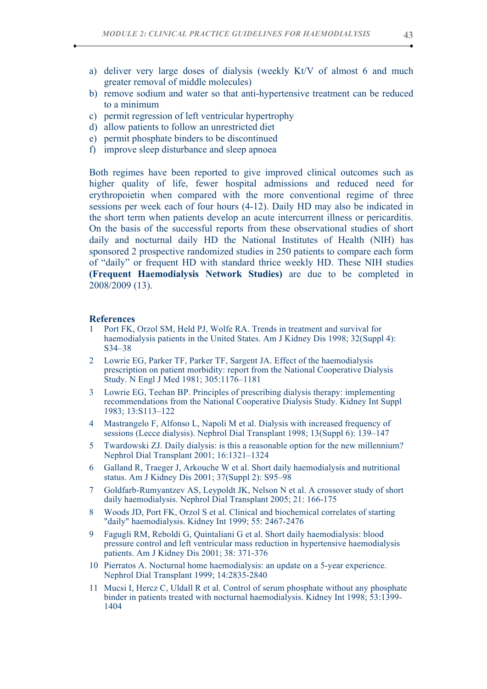- a) deliver very large doses of dialysis (weekly Kt/V of almost 6 and much greater removal of middle molecules)
- b) remove sodium and water so that anti-hypertensive treatment can be reduced to a minimum
- c) permit regression of left ventricular hypertrophy
- d) allow patients to follow an unrestricted diet
- e) permit phosphate binders to be discontinued
- f) improve sleep disturbance and sleep apnoea

Both regimes have been reported to give improved clinical outcomes such as higher quality of life, fewer hospital admissions and reduced need for erythropoietin when compared with the more conventional regime of three sessions per week each of four hours (4-12). Daily HD may also be indicated in the short term when patients develop an acute intercurrent illness or pericarditis. On the basis of the successful reports from these observational studies of short daily and nocturnal daily HD the National Institutes of Health (NIH) has sponsored 2 prospective randomized studies in 250 patients to compare each form of "daily" or frequent HD with standard thrice weekly HD. These NIH studies **(Frequent Haemodialysis Network Studies)** are due to be completed in 2008/2009 (13).

- 1 Port FK, Orzol SM, Held PJ, Wolfe RA. Trends in treatment and survival for haemodialysis patients in the United States. Am J Kidney Dis 1998; 32(Suppl 4): S34–38
- 2 Lowrie EG, Parker TF, Parker TF, Sargent JA. Effect of the haemodialysis prescription on patient morbidity: report from the National Cooperative Dialysis Study. N Engl J Med 1981; 305:1176–1181
- 3 Lowrie EG, Teehan BP. Principles of prescribing dialysis therapy: implementing recommendations from the National Cooperative Dialysis Study. Kidney Int Suppl 1983; 13:S113–122
- 4 Mastrangelo F, Alfonso L, Napoli M et al. Dialysis with increased frequency of sessions (Lecce dialysis). Nephrol Dial Transplant 1998; 13(Suppl 6): 139–147
- 5 Twardowski ZJ. Daily dialysis: is this a reasonable option for the new millennium? Nephrol Dial Transplant 2001; 16:1321–1324
- 6 Galland R, Traeger J, Arkouche W et al. Short daily haemodialysis and nutritional status. Am J Kidney Dis 2001; 37(Suppl 2): S95–98
- 7 Goldfarb-Rumyantzev AS, Leypoldt JK, Nelson N et al. A crossover study of short daily haemodialysis. Nephrol Dial Transplant 2005; 21: 166-175
- 8 Woods JD, Port FK, Orzol S et al. Clinical and biochemical correlates of starting "daily" haemodialysis. Kidney Int 1999; 55: 2467-2476
- 9 Fagugli RM, Reboldi G, Quintaliani G et al. Short daily haemodialysis: blood pressure control and left ventricular mass reduction in hypertensive haemodialysis patients. Am J Kidney Dis 2001; 38: 371-376
- 10 Pierratos A. Nocturnal home haemodialysis: an update on a 5-year experience. Nephrol Dial Transplant 1999; 14:2835-2840
- 11 Mucsi I, Hercz C, Uldall R et al. Control of serum phosphate without any phosphate binder in patients treated with nocturnal haemodialysis. Kidney Int 1998; 53:1399- 1404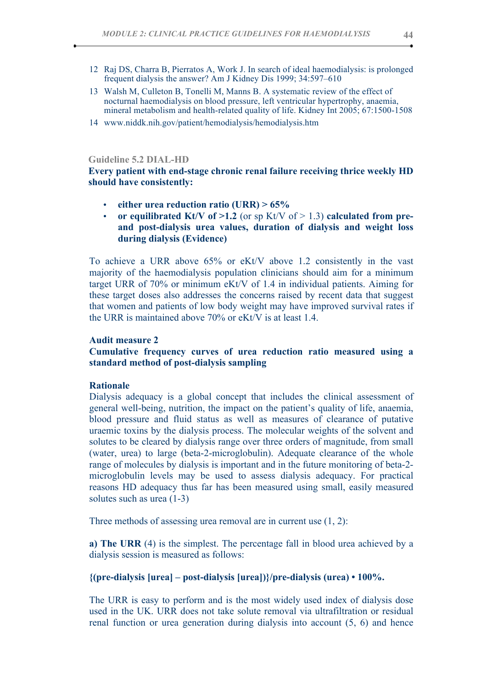- 12 Raj DS, Charra B, Pierratos A, Work J. In search of ideal haemodialysis: is prolonged frequent dialysis the answer? Am J Kidney Dis 1999; 34:597–610
- 13 Walsh M, Culleton B, Tonelli M, Manns B. A systematic review of the effect of nocturnal haemodialysis on blood pressure, left ventricular hypertrophy, anaemia, mineral metabolism and health-related quality of life. Kidney Int 2005; 67:1500-1508
- 14 www.niddk.nih.gov/patient/hemodialysis/hemodialysis.htm

# **Guideline 5.2 DIAL-HD**

# **Every patient with end-stage chronic renal failure receiving thrice weekly HD should have consistently:**

- **either urea reduction ratio (URR) > 65%**
- or equilibrated Kt/V of  $>1.2$  (or sp Kt/V of  $>1.3$ ) calculated from pre**and post-dialysis urea values, duration of dialysis and weight loss during dialysis (Evidence)**

To achieve a URR above 65% or eKt/V above 1.2 consistently in the vast majority of the haemodialysis population clinicians should aim for a minimum target URR of 70% or minimum eKt/V of 1.4 in individual patients. Aiming for these target doses also addresses the concerns raised by recent data that suggest that women and patients of low body weight may have improved survival rates if the URR is maintained above 70% or eKt/V is at least 1.4.

# **Audit measure 2**

# **Cumulative frequency curves of urea reduction ratio measured using a standard method of post-dialysis sampling**

# **Rationale**

Dialysis adequacy is a global concept that includes the clinical assessment of general well-being, nutrition, the impact on the patient's quality of life, anaemia, blood pressure and fluid status as well as measures of clearance of putative uraemic toxins by the dialysis process. The molecular weights of the solvent and solutes to be cleared by dialysis range over three orders of magnitude, from small (water, urea) to large (beta-2-microglobulin). Adequate clearance of the whole range of molecules by dialysis is important and in the future monitoring of beta-2 microglobulin levels may be used to assess dialysis adequacy. For practical reasons HD adequacy thus far has been measured using small, easily measured solutes such as urea (1-3)

Three methods of assessing urea removal are in current use (1, 2):

**a) The URR** (4) is the simplest. The percentage fall in blood urea achieved by a dialysis session is measured as follows:

# **{(pre-dialysis [urea] – post-dialysis [urea])}/pre-dialysis (urea) • 100%.**

The URR is easy to perform and is the most widely used index of dialysis dose used in the UK. URR does not take solute removal via ultrafiltration or residual renal function or urea generation during dialysis into account (5, 6) and hence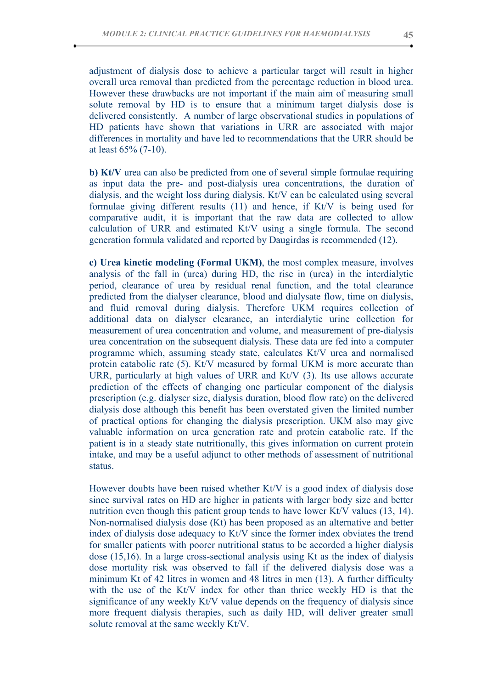adjustment of dialysis dose to achieve a particular target will result in higher overall urea removal than predicted from the percentage reduction in blood urea. However these drawbacks are not important if the main aim of measuring small solute removal by HD is to ensure that a minimum target dialysis dose is delivered consistently. A number of large observational studies in populations of HD patients have shown that variations in URR are associated with major differences in mortality and have led to recommendations that the URR should be at least 65% (7-10).

**b) Kt/V** urea can also be predicted from one of several simple formulae requiring as input data the pre- and post-dialysis urea concentrations, the duration of dialysis, and the weight loss during dialysis. Kt/V can be calculated using several formulae giving different results (11) and hence, if Kt/V is being used for comparative audit, it is important that the raw data are collected to allow calculation of URR and estimated Kt/V using a single formula. The second generation formula validated and reported by Daugirdas is recommended (12).

**c) Urea kinetic modeling (Formal UKM)**, the most complex measure, involves analysis of the fall in (urea) during HD, the rise in (urea) in the interdialytic period, clearance of urea by residual renal function, and the total clearance predicted from the dialyser clearance, blood and dialysate flow, time on dialysis, and fluid removal during dialysis. Therefore UKM requires collection of additional data on dialyser clearance, an interdialytic urine collection for measurement of urea concentration and volume, and measurement of pre-dialysis urea concentration on the subsequent dialysis. These data are fed into a computer programme which, assuming steady state, calculates Kt/V urea and normalised protein catabolic rate (5). Kt/V measured by formal UKM is more accurate than URR, particularly at high values of URR and  $Kt/V$  (3). Its use allows accurate prediction of the effects of changing one particular component of the dialysis prescription (e.g. dialyser size, dialysis duration, blood flow rate) on the delivered dialysis dose although this benefit has been overstated given the limited number of practical options for changing the dialysis prescription. UKM also may give valuable information on urea generation rate and protein catabolic rate. If the patient is in a steady state nutritionally, this gives information on current protein intake, and may be a useful adjunct to other methods of assessment of nutritional status.

However doubts have been raised whether Kt/V is a good index of dialysis dose since survival rates on HD are higher in patients with larger body size and better nutrition even though this patient group tends to have lower Kt/V values (13, 14). Non-normalised dialysis dose (Kt) has been proposed as an alternative and better index of dialysis dose adequacy to Kt/V since the former index obviates the trend for smaller patients with poorer nutritional status to be accorded a higher dialysis dose (15,16). In a large cross-sectional analysis using Kt as the index of dialysis dose mortality risk was observed to fall if the delivered dialysis dose was a minimum Kt of 42 litres in women and 48 litres in men (13). A further difficulty with the use of the Kt/V index for other than thrice weekly HD is that the significance of any weekly Kt/V value depends on the frequency of dialysis since more frequent dialysis therapies, such as daily HD, will deliver greater small solute removal at the same weekly Kt/V.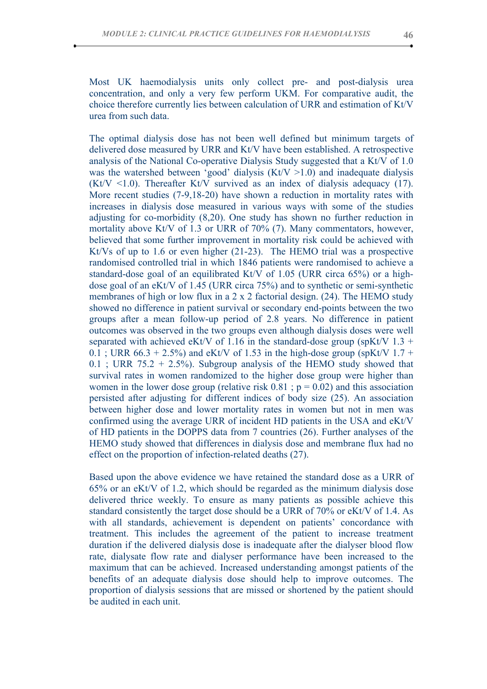Most UK haemodialysis units only collect pre- and post-dialysis urea concentration, and only a very few perform UKM. For comparative audit, the choice therefore currently lies between calculation of URR and estimation of Kt/V urea from such data.

The optimal dialysis dose has not been well defined but minimum targets of delivered dose measured by URR and Kt/V have been established. A retrospective analysis of the National Co-operative Dialysis Study suggested that a Kt/V of 1.0 was the watershed between 'good' dialysis  $(Kt/V > 1.0)$  and inadequate dialysis  $(Kt/V \le 1.0)$ . Thereafter Kt/V survived as an index of dialysis adequacy (17). More recent studies (7-9,18-20) have shown a reduction in mortality rates with increases in dialysis dose measured in various ways with some of the studies adjusting for co-morbidity (8,20). One study has shown no further reduction in mortality above Kt/V of 1.3 or URR of 70% (7). Many commentators, however, believed that some further improvement in mortality risk could be achieved with Kt/Vs of up to 1.6 or even higher (21-23). The HEMO trial was a prospective randomised controlled trial in which 1846 patients were randomised to achieve a standard-dose goal of an equilibrated Kt/V of 1.05 (URR circa 65%) or a highdose goal of an eKt/V of 1.45 (URR circa 75%) and to synthetic or semi-synthetic membranes of high or low flux in a 2 x 2 factorial design. (24). The HEMO study showed no difference in patient survival or secondary end-points between the two groups after a mean follow-up period of 2.8 years. No difference in patient outcomes was observed in the two groups even although dialysis doses were well separated with achieved eKt/V of 1.16 in the standard-dose group (spKt/V  $1.3 +$ 0.1; URR 66.3 + 2.5%) and eKt/V of 1.53 in the high-dose group (spKt/V 1.7 + 0.1 ; URR 75.2 + 2.5%). Subgroup analysis of the HEMO study showed that survival rates in women randomized to the higher dose group were higher than women in the lower dose group (relative risk  $0.81$ ;  $p = 0.02$ ) and this association persisted after adjusting for different indices of body size (25). An association between higher dose and lower mortality rates in women but not in men was confirmed using the average URR of incident HD patients in the USA and eKt/V of HD patients in the DOPPS data from 7 countries (26). Further analyses of the HEMO study showed that differences in dialysis dose and membrane flux had no effect on the proportion of infection-related deaths (27).

Based upon the above evidence we have retained the standard dose as a URR of 65% or an eKt/V of 1.2, which should be regarded as the minimum dialysis dose delivered thrice weekly. To ensure as many patients as possible achieve this standard consistently the target dose should be a URR of 70% or eKt/V of 1.4. As with all standards, achievement is dependent on patients' concordance with treatment. This includes the agreement of the patient to increase treatment duration if the delivered dialysis dose is inadequate after the dialyser blood flow rate, dialysate flow rate and dialyser performance have been increased to the maximum that can be achieved. Increased understanding amongst patients of the benefits of an adequate dialysis dose should help to improve outcomes. The proportion of dialysis sessions that are missed or shortened by the patient should be audited in each unit.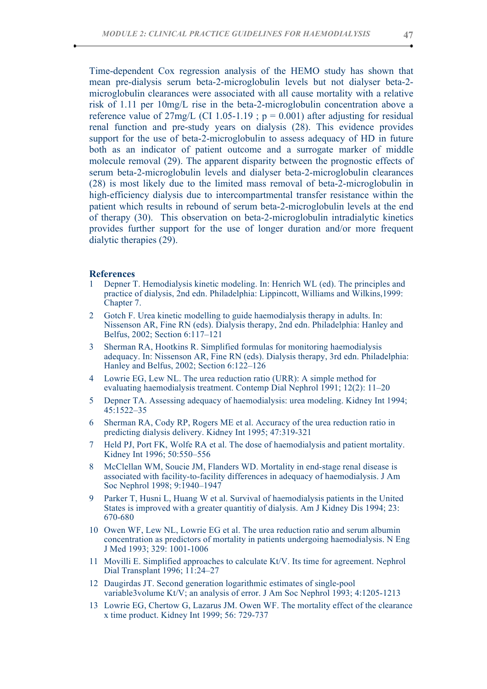Time-dependent Cox regression analysis of the HEMO study has shown that mean pre-dialysis serum beta-2-microglobulin levels but not dialyser beta-2 microglobulin clearances were associated with all cause mortality with a relative risk of 1.11 per 10mg/L rise in the beta-2-microglobulin concentration above a reference value of  $27mg/L$  (CI 1.05-1.19; p = 0.001) after adjusting for residual renal function and pre-study years on dialysis (28). This evidence provides support for the use of beta-2-microglobulin to assess adequacy of HD in future both as an indicator of patient outcome and a surrogate marker of middle molecule removal (29). The apparent disparity between the prognostic effects of serum beta-2-microglobulin levels and dialyser beta-2-microglobulin clearances (28) is most likely due to the limited mass removal of beta-2-microglobulin in high-efficiency dialysis due to intercompartmental transfer resistance within the patient which results in rebound of serum beta-2-microglobulin levels at the end of therapy (30). This observation on beta-2-microglobulin intradialytic kinetics provides further support for the use of longer duration and/or more frequent dialytic therapies (29).

- 1 Depner T. Hemodialysis kinetic modeling. In: Henrich WL (ed). The principles and practice of dialysis, 2nd edn. Philadelphia: Lippincott, Williams and Wilkins,1999: Chapter 7.
- 2 Gotch F. Urea kinetic modelling to guide haemodialysis therapy in adults. In: Nissenson AR, Fine RN (eds). Dialysis therapy, 2nd edn. Philadelphia: Hanley and Belfus, 2002; Section 6:117–121
- 3 Sherman RA, Hootkins R. Simplified formulas for monitoring haemodialysis adequacy. In: Nissenson AR, Fine RN (eds). Dialysis therapy, 3rd edn. Philadelphia: Hanley and Belfus, 2002; Section 6:122–126
- 4 Lowrie EG, Lew NL. The urea reduction ratio (URR): A simple method for evaluating haemodialysis treatment. Contemp Dial Nephrol 1991; 12(2): 11–20
- 5 Depner TA. Assessing adequacy of haemodialysis: urea modeling. Kidney Int 1994; 45:1522–35
- 6 Sherman RA, Cody RP, Rogers ME et al. Accuracy of the urea reduction ratio in predicting dialysis delivery. Kidney Int 1995; 47:319-321
- 7 Held PJ, Port FK, Wolfe RA et al. The dose of haemodialysis and patient mortality. Kidney Int 1996; 50:550–556
- 8 McClellan WM, Soucie JM, Flanders WD. Mortality in end-stage renal disease is associated with facility-to-facility differences in adequacy of haemodialysis. J Am Soc Nephrol 1998; 9:1940–1947
- 9 Parker T, Husni L, Huang W et al. Survival of haemodialysis patients in the United States is improved with a greater quantitiy of dialysis. Am J Kidney Dis 1994; 23: 670-680
- 10 Owen WF, Lew NL, Lowrie EG et al. The urea reduction ratio and serum albumin concentration as predictors of mortality in patients undergoing haemodialysis. N Eng J Med 1993; 329: 1001-1006
- 11 Movilli E. Simplified approaches to calculate Kt/V. Its time for agreement. Nephrol Dial Transplant 1996; 11:24-27
- 12 Daugirdas JT. Second generation logarithmic estimates of single-pool variable3volume Kt/V; an analysis of error. J Am Soc Nephrol 1993; 4:1205-1213
- 13 Lowrie EG, Chertow G, Lazarus JM. Owen WF. The mortality effect of the clearance x time product. Kidney Int 1999; 56: 729-737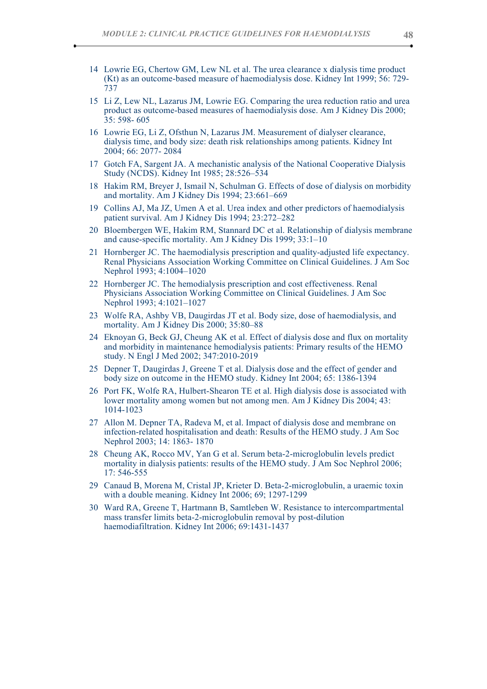- 14 Lowrie EG, Chertow GM, Lew NL et al. The urea clearance x dialysis time product (Kt) as an outcome-based measure of haemodialysis dose. Kidney Int 1999; 56: 729- 737
- 15 Li Z, Lew NL, Lazarus JM, Lowrie EG. Comparing the urea reduction ratio and urea product as outcome-based measures of haemodialysis dose. Am J Kidney Dis 2000; 35: 598- 605
- 16 Lowrie EG, Li Z, Ofsthun N, Lazarus JM. Measurement of dialyser clearance, dialysis time, and body size: death risk relationships among patients. Kidney Int 2004; 66: 2077- 2084
- 17 Gotch FA, Sargent JA. A mechanistic analysis of the National Cooperative Dialysis Study (NCDS). Kidney Int 1985; 28:526–534
- 18 Hakim RM, Breyer J, Ismail N, Schulman G. Effects of dose of dialysis on morbidity and mortality. Am J Kidney Dis 1994; 23:661–669
- 19 Collins AJ, Ma JZ, Umen A et al. Urea index and other predictors of haemodialysis patient survival. Am J Kidney Dis 1994; 23:272–282
- 20 Bloembergen WE, Hakim RM, Stannard DC et al. Relationship of dialysis membrane and cause-specific mortality. Am J Kidney Dis 1999; 33:1–10
- 21 Hornberger JC. The haemodialysis prescription and quality-adjusted life expectancy. Renal Physicians Association Working Committee on Clinical Guidelines. J Am Soc Nephrol 1993; 4:1004–1020
- 22 Hornberger JC. The hemodialysis prescription and cost effectiveness. Renal Physicians Association Working Committee on Clinical Guidelines. J Am Soc Nephrol 1993; 4:1021–1027
- 23 Wolfe RA, Ashby VB, Daugirdas JT et al. Body size, dose of haemodialysis, and mortality. Am J Kidney Dis 2000; 35:80–88
- 24 Eknoyan G, Beck GJ, Cheung AK et al. Effect of dialysis dose and flux on mortality and morbidity in maintenance hemodialysis patients: Primary results of the HEMO study. N Engl J Med 2002; 347:2010-2019
- 25 Depner T, Daugirdas J, Greene T et al. Dialysis dose and the effect of gender and body size on outcome in the HEMO study. Kidney Int 2004; 65: 1386-1394
- 26 Port FK, Wolfe RA, Hulbert-Shearon TE et al. High dialysis dose is associated with lower mortality among women but not among men. Am J Kidney Dis 2004; 43: 1014-1023
- 27 Allon M. Depner TA, Radeva M, et al. Impact of dialysis dose and membrane on infection-related hospitalisation and death: Results of the HEMO study. J Am Soc Nephrol 2003; 14: 1863- 1870
- 28 Cheung AK, Rocco MV, Yan G et al. Serum beta-2-microglobulin levels predict mortality in dialysis patients: results of the HEMO study. J Am Soc Nephrol 2006; 17: 546-555
- 29 Canaud B, Morena M, Cristal JP, Krieter D. Beta-2-microglobulin, a uraemic toxin with a double meaning. Kidney Int 2006; 69; 1297-1299
- 30 Ward RA, Greene T, Hartmann B, Samtleben W. Resistance to intercompartmental mass transfer limits beta-2-microglobulin removal by post-dilution haemodiafiltration. Kidney Int 2006; 69:1431-1437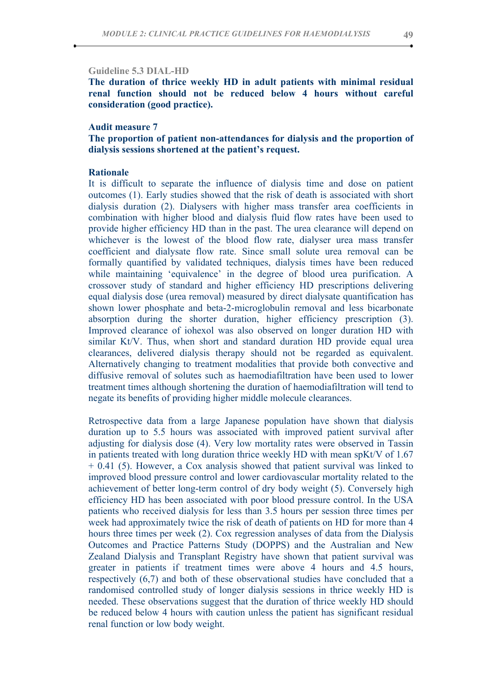#### **Guideline 5.3 DIAL-HD**

**The duration of thrice weekly HD in adult patients with minimal residual renal function should not be reduced below 4 hours without careful consideration (good practice).**

## **Audit measure 7**

**The proportion of patient non-attendances for dialysis and the proportion of dialysis sessions shortened at the patient's request.**

# **Rationale**

It is difficult to separate the influence of dialysis time and dose on patient outcomes (1). Early studies showed that the risk of death is associated with short dialysis duration (2). Dialysers with higher mass transfer area coefficients in combination with higher blood and dialysis fluid flow rates have been used to provide higher efficiency HD than in the past. The urea clearance will depend on whichever is the lowest of the blood flow rate, dialyser urea mass transfer coefficient and dialysate flow rate. Since small solute urea removal can be formally quantified by validated techniques, dialysis times have been reduced while maintaining 'equivalence' in the degree of blood urea purification. A crossover study of standard and higher efficiency HD prescriptions delivering equal dialysis dose (urea removal) measured by direct dialysate quantification has shown lower phosphate and beta-2-microglobulin removal and less bicarbonate absorption during the shorter duration, higher efficiency prescription (3). Improved clearance of iohexol was also observed on longer duration HD with similar Kt/V. Thus, when short and standard duration HD provide equal urea clearances, delivered dialysis therapy should not be regarded as equivalent. Alternatively changing to treatment modalities that provide both convective and diffusive removal of solutes such as haemodiafiltration have been used to lower treatment times although shortening the duration of haemodiafiltration will tend to negate its benefits of providing higher middle molecule clearances.

Retrospective data from a large Japanese population have shown that dialysis duration up to 5.5 hours was associated with improved patient survival after adjusting for dialysis dose (4). Very low mortality rates were observed in Tassin in patients treated with long duration thrice weekly HD with mean spKt/V of 1.67 + 0.41 (5). However, a Cox analysis showed that patient survival was linked to improved blood pressure control and lower cardiovascular mortality related to the achievement of better long-term control of dry body weight (5). Conversely high efficiency HD has been associated with poor blood pressure control. In the USA patients who received dialysis for less than 3.5 hours per session three times per week had approximately twice the risk of death of patients on HD for more than 4 hours three times per week (2). Cox regression analyses of data from the Dialysis Outcomes and Practice Patterns Study (DOPPS) and the Australian and New Zealand Dialysis and Transplant Registry have shown that patient survival was greater in patients if treatment times were above 4 hours and 4.5 hours, respectively (6,7) and both of these observational studies have concluded that a randomised controlled study of longer dialysis sessions in thrice weekly HD is needed. These observations suggest that the duration of thrice weekly HD should be reduced below 4 hours with caution unless the patient has significant residual renal function or low body weight.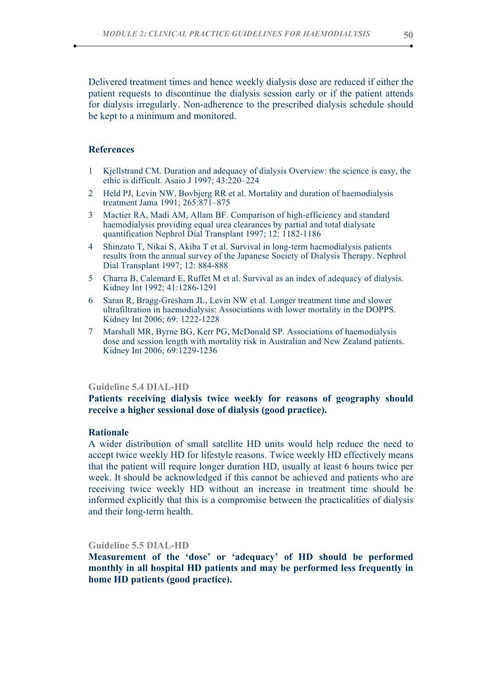Delivered treatment times and hence weekly dialysis dose are reduced if either the patient requests to discontinue the dialysis session early or if the patient attends for dialysis irregularly. Non-adherence to the prescribed dialysis schedule should be kept to a minimum and monitored.

# **References**

- 1 Kjellstrand CM. Duration and adequacy of dialysis Overview: the science is easy, the ethic is difficult. Asaio J 1997; 43:220–224
- 2 Held PJ, Levin NW, Bovbjerg RR et al. Mortality and duration of haemodialysis treatment Jama 1991; 265:871–875
- 3 Mactier RA, Madi AM, Allam BF. Comparison of high-efficiency and standard haemodialysis providing equal urea clearances by partial and total dialysate quantification Nephrol Dial Transplant 1997; 12: 1182-1186
- 4 Shinzato T, Nikai S, Akiba T et al. Survival in long-term haemodialysis patients results from the annual survey of the Japanese Society of Dialysis Therapy. Nephrol Dial Transplant 1997; 12: 884-888
- 5 Charra B, Calemard E, Ruffet M et al. Survival as an index of adequacy of dialysis. Kidney Int 1992; 41:1286-1291
- 6 Saran R, Bragg-Gresham JL, Levin NW et al. Longer treatment time and slower ultrafiltration in haemodialysis: Associations with lower mortality in the DOPPS. Kidney Int 2006; 69: 1222-1228
- 7 Marshall MR, Byrne BG, Kerr PG, McDonald SP. Associations of haemodialysis dose and session length with mortality risk in Australian and New Zealand patients. Kidney Int 2006; 69:1229-1236

# **Guideline 5.4 DIAL-HD**

# **Patients receiving dialysis twice weekly for reasons of geography should receive a higher sessional dose of dialysis (good practice).**

# **Rationale**

A wider distribution of small satellite HD units would help reduce the need to accept twice weekly HD for lifestyle reasons. Twice weekly HD effectively means that the patient will require longer duration HD, usually at least 6 hours twice per week. It should be acknowledged if this cannot be achieved and patients who are receiving twice weekly HD without an increase in treatment time should be informed explicitly that this is a compromise between the practicalities of dialysis and their long-term health.

**Guideline 5.5 DIAL-HD**

**Measurement of the 'dose' or 'adequacy' of HD should be performed monthly in all hospital HD patients and may be performed less frequently in home HD patients (good practice).**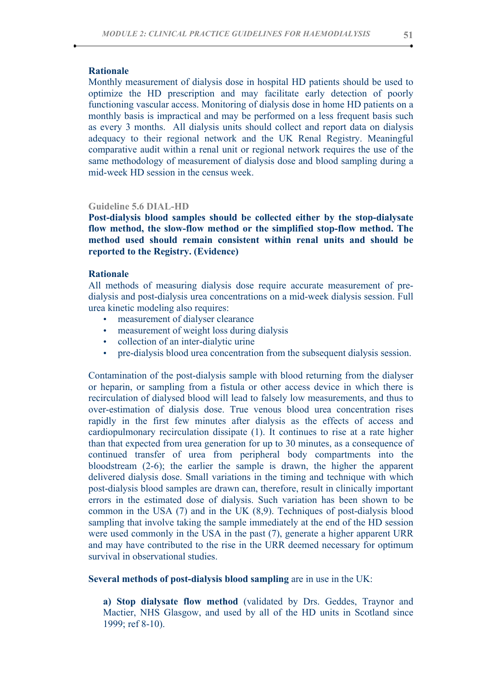# **Rationale**

Monthly measurement of dialysis dose in hospital HD patients should be used to optimize the HD prescription and may facilitate early detection of poorly functioning vascular access. Monitoring of dialysis dose in home HD patients on a monthly basis is impractical and may be performed on a less frequent basis such as every 3 months. All dialysis units should collect and report data on dialysis adequacy to their regional network and the UK Renal Registry. Meaningful comparative audit within a renal unit or regional network requires the use of the same methodology of measurement of dialysis dose and blood sampling during a mid-week HD session in the census week.

# **Guideline 5.6 DIAL-HD**

**Post-dialysis blood samples should be collected either by the stop-dialysate flow method, the slow-flow method or the simplified stop-flow method. The method used should remain consistent within renal units and should be reported to the Registry. (Evidence)**

# **Rationale**

All methods of measuring dialysis dose require accurate measurement of predialysis and post-dialysis urea concentrations on a mid-week dialysis session. Full urea kinetic modeling also requires:

- measurement of dialyser clearance
- measurement of weight loss during dialysis
- collection of an inter-dialytic urine
- pre-dialysis blood urea concentration from the subsequent dialysis session.

Contamination of the post-dialysis sample with blood returning from the dialyser or heparin, or sampling from a fistula or other access device in which there is recirculation of dialysed blood will lead to falsely low measurements, and thus to over-estimation of dialysis dose. True venous blood urea concentration rises rapidly in the first few minutes after dialysis as the effects of access and cardiopulmonary recirculation dissipate (1). It continues to rise at a rate higher than that expected from urea generation for up to 30 minutes, as a consequence of continued transfer of urea from peripheral body compartments into the bloodstream (2-6); the earlier the sample is drawn, the higher the apparent delivered dialysis dose. Small variations in the timing and technique with which post-dialysis blood samples are drawn can, therefore, result in clinically important errors in the estimated dose of dialysis. Such variation has been shown to be common in the USA (7) and in the UK (8,9). Techniques of post-dialysis blood sampling that involve taking the sample immediately at the end of the HD session were used commonly in the USA in the past (7), generate a higher apparent URR and may have contributed to the rise in the URR deemed necessary for optimum survival in observational studies.

#### **Several methods of post-dialysis blood sampling** are in use in the UK:

**a) Stop dialysate flow method** (validated by Drs. Geddes, Traynor and Mactier, NHS Glasgow, and used by all of the HD units in Scotland since 1999; ref 8-10).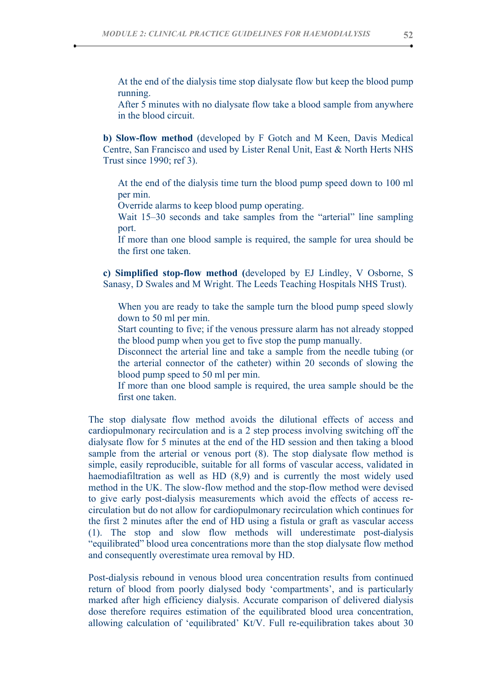At the end of the dialysis time stop dialysate flow but keep the blood pump running.

After 5 minutes with no dialysate flow take a blood sample from anywhere in the blood circuit.

**b) Slow-flow method** (developed by F Gotch and M Keen, Davis Medical Centre, San Francisco and used by Lister Renal Unit, East & North Herts NHS Trust since 1990; ref 3).

At the end of the dialysis time turn the blood pump speed down to 100 ml per min.

Override alarms to keep blood pump operating.

Wait 15–30 seconds and take samples from the "arterial" line sampling port.

If more than one blood sample is required, the sample for urea should be the first one taken.

**c) Simplified stop-flow method (**developed by EJ Lindley, V Osborne, S Sanasy, D Swales and M Wright. The Leeds Teaching Hospitals NHS Trust).

When you are ready to take the sample turn the blood pump speed slowly down to 50 ml per min.

Start counting to five; if the venous pressure alarm has not already stopped the blood pump when you get to five stop the pump manually.

Disconnect the arterial line and take a sample from the needle tubing (or the arterial connector of the catheter) within 20 seconds of slowing the blood pump speed to 50 ml per min.

If more than one blood sample is required, the urea sample should be the first one taken.

The stop dialysate flow method avoids the dilutional effects of access and cardiopulmonary recirculation and is a 2 step process involving switching off the dialysate flow for 5 minutes at the end of the HD session and then taking a blood sample from the arterial or venous port (8). The stop dialysate flow method is simple, easily reproducible, suitable for all forms of vascular access, validated in haemodiafiltration as well as HD (8,9) and is currently the most widely used method in the UK. The slow-flow method and the stop-flow method were devised to give early post-dialysis measurements which avoid the effects of access recirculation but do not allow for cardiopulmonary recirculation which continues for the first 2 minutes after the end of HD using a fistula or graft as vascular access (1). The stop and slow flow methods will underestimate post-dialysis "equilibrated" blood urea concentrations more than the stop dialysate flow method and consequently overestimate urea removal by HD.

Post-dialysis rebound in venous blood urea concentration results from continued return of blood from poorly dialysed body 'compartments', and is particularly marked after high efficiency dialysis. Accurate comparison of delivered dialysis dose therefore requires estimation of the equilibrated blood urea concentration, allowing calculation of 'equilibrated' Kt/V. Full re-equilibration takes about 30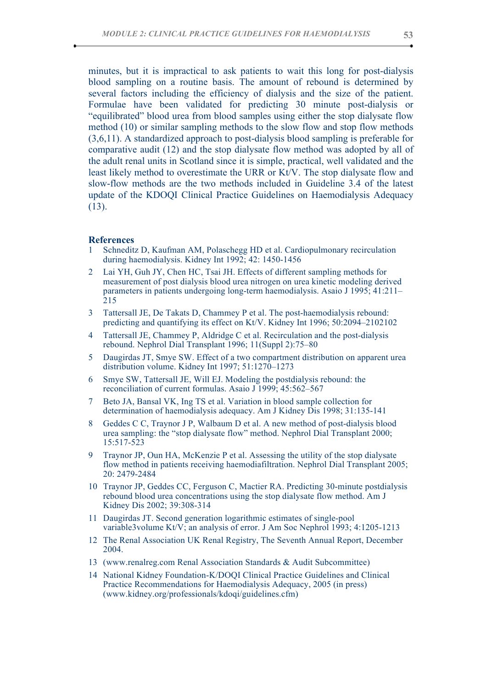minutes, but it is impractical to ask patients to wait this long for post-dialysis blood sampling on a routine basis. The amount of rebound is determined by several factors including the efficiency of dialysis and the size of the patient. Formulae have been validated for predicting 30 minute post-dialysis or "equilibrated" blood urea from blood samples using either the stop dialysate flow method (10) or similar sampling methods to the slow flow and stop flow methods (3,6,11). A standardized approach to post-dialysis blood sampling is preferable for comparative audit (12) and the stop dialysate flow method was adopted by all of the adult renal units in Scotland since it is simple, practical, well validated and the least likely method to overestimate the URR or Kt/V. The stop dialysate flow and slow-flow methods are the two methods included in Guideline 3.4 of the latest update of the KDOQI Clinical Practice Guidelines on Haemodialysis Adequacy (13).

- 1 Schneditz D, Kaufman AM, Polaschegg HD et al. Cardiopulmonary recirculation during haemodialysis. Kidney Int 1992; 42: 1450-1456
- 2 Lai YH, Guh JY, Chen HC, Tsai JH. Effects of different sampling methods for measurement of post dialysis blood urea nitrogen on urea kinetic modeling derived parameters in patients undergoing long-term haemodialysis. Asaio J 1995; 41:211– 215
- 3 Tattersall JE, De Takats D, Chammey P et al. The post-haemodialysis rebound: predicting and quantifying its effect on Kt/V. Kidney Int 1996; 50:2094–2102102
- 4 Tattersall JE, Chammey P, Aldridge C et al. Recirculation and the post-dialysis rebound. Nephrol Dial Transplant 1996; 11(Suppl 2):75–80
- 5 Daugirdas JT, Smye SW. Effect of a two compartment distribution on apparent urea distribution volume. Kidney Int 1997; 51:1270–1273
- 6 Smye SW, Tattersall JE, Will EJ. Modeling the postdialysis rebound: the reconciliation of current formulas. Asaio J 1999; 45:562–567
- 7 Beto JA, Bansal VK, Ing TS et al. Variation in blood sample collection for determination of haemodialysis adequacy. Am J Kidney Dis 1998; 31:135-141
- 8 Geddes C C, Traynor J P, Walbaum D et al. A new method of post-dialysis blood urea sampling: the "stop dialysate flow" method. Nephrol Dial Transplant 2000; 15:517-523
- 9 Traynor JP, Oun HA, McKenzie P et al. Assessing the utility of the stop dialysate flow method in patients receiving haemodiafiltration. Nephrol Dial Transplant 2005; 20: 2479-2484
- 10 Traynor JP, Geddes CC, Ferguson C, Mactier RA. Predicting 30-minute postdialysis rebound blood urea concentrations using the stop dialysate flow method. Am J Kidney Dis 2002; 39:308-314
- 11 Daugirdas JT. Second generation logarithmic estimates of single-pool variable3volume Kt/V; an analysis of error. J Am Soc Nephrol 1993; 4:1205-1213
- 12 The Renal Association UK Renal Registry, The Seventh Annual Report, December 2004.
- 13 (www.renalreg.com Renal Association Standards & Audit Subcommittee)
- 14 National Kidney Foundation-K/DOQI Clinical Practice Guidelines and Clinical Practice Recommendations for Haemodialysis Adequacy, 2005 (in press) (www.kidney.org/professionals/kdoqi/guidelines.cfm)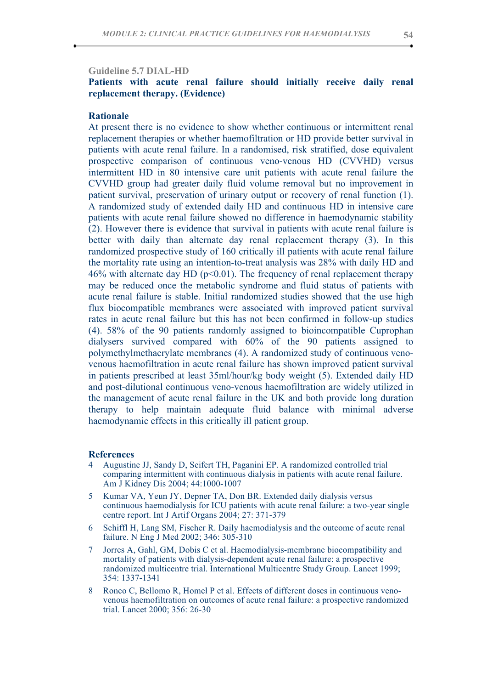#### **Guideline 5.7 DIAL-HD**

# **Patients with acute renal failure should initially receive daily renal replacement therapy. (Evidence)**

#### **Rationale**

At present there is no evidence to show whether continuous or intermittent renal replacement therapies or whether haemofiltration or HD provide better survival in patients with acute renal failure. In a randomised, risk stratified, dose equivalent prospective comparison of continuous veno-venous HD (CVVHD) versus intermittent HD in 80 intensive care unit patients with acute renal failure the CVVHD group had greater daily fluid volume removal but no improvement in patient survival, preservation of urinary output or recovery of renal function (1). A randomized study of extended daily HD and continuous HD in intensive care patients with acute renal failure showed no difference in haemodynamic stability (2). However there is evidence that survival in patients with acute renal failure is better with daily than alternate day renal replacement therapy (3). In this randomized prospective study of 160 critically ill patients with acute renal failure the mortality rate using an intention-to-treat analysis was 28% with daily HD and 46% with alternate day HD ( $p<0.01$ ). The frequency of renal replacement therapy may be reduced once the metabolic syndrome and fluid status of patients with acute renal failure is stable. Initial randomized studies showed that the use high flux biocompatible membranes were associated with improved patient survival rates in acute renal failure but this has not been confirmed in follow-up studies (4). 58% of the 90 patients randomly assigned to bioincompatible Cuprophan dialysers survived compared with 60% of the 90 patients assigned to polymethylmethacrylate membranes (4). A randomized study of continuous venovenous haemofiltration in acute renal failure has shown improved patient survival in patients prescribed at least 35ml/hour/kg body weight (5). Extended daily HD and post-dilutional continuous veno-venous haemofiltration are widely utilized in the management of acute renal failure in the UK and both provide long duration therapy to help maintain adequate fluid balance with minimal adverse haemodynamic effects in this critically ill patient group.

- 4 Augustine JJ, Sandy D, Seifert TH, Paganini EP. A randomized controlled trial comparing intermittent with continuous dialysis in patients with acute renal failure. Am J Kidney Dis 2004; 44:1000-1007
- 5 Kumar VA, Yeun JY, Depner TA, Don BR. Extended daily dialysis versus continuous haemodialysis for ICU patients with acute renal failure: a two-year single centre report. Int J Artif Organs 2004; 27: 371-379
- 6 Schiffl H, Lang SM, Fischer R. Daily haemodialysis and the outcome of acute renal failure. N Eng J Med 2002; 346: 305-310
- 7 Jorres A, Gahl, GM, Dobis C et al. Haemodialysis-membrane biocompatibility and mortality of patients with dialysis-dependent acute renal failure: a prospective randomized multicentre trial. International Multicentre Study Group. Lancet 1999; 354: 1337-1341
- 8 Ronco C, Bellomo R, Homel P et al. Effects of different doses in continuous venovenous haemofiltration on outcomes of acute renal failure: a prospective randomized trial. Lancet 2000; 356: 26-30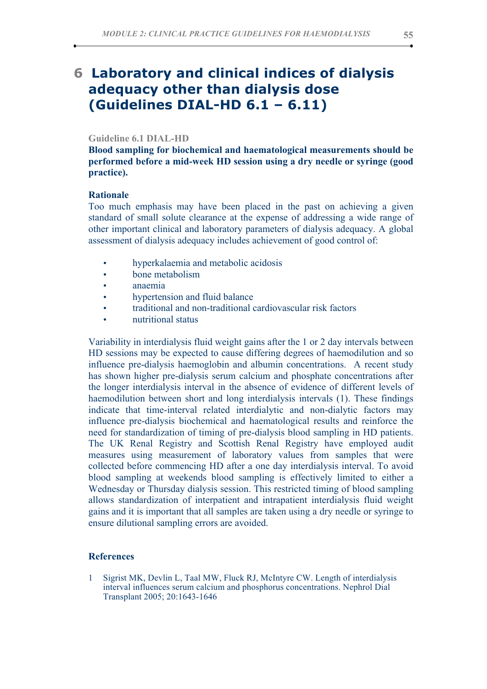# **6 Laboratory and clinical indices of dialysis adequacy other than dialysis dose (Guidelines DIAL-HD 6.1 – 6.11)**

# **Guideline 6.1 DIAL-HD**

**Blood sampling for biochemical and haematological measurements should be performed before a mid-week HD session using a dry needle or syringe (good practice).**

## **Rationale**

Too much emphasis may have been placed in the past on achieving a given standard of small solute clearance at the expense of addressing a wide range of other important clinical and laboratory parameters of dialysis adequacy. A global assessment of dialysis adequacy includes achievement of good control of:

- hyperkalaemia and metabolic acidosis
- bone metabolism
- anaemia
- hypertension and fluid balance
- traditional and non-traditional cardiovascular risk factors
- nutritional status

Variability in interdialysis fluid weight gains after the 1 or 2 day intervals between HD sessions may be expected to cause differing degrees of haemodilution and so influence pre-dialysis haemoglobin and albumin concentrations. A recent study has shown higher pre-dialysis serum calcium and phosphate concentrations after the longer interdialysis interval in the absence of evidence of different levels of haemodilution between short and long interdialysis intervals (1). These findings indicate that time-interval related interdialytic and non-dialytic factors may influence pre-dialysis biochemical and haematological results and reinforce the need for standardization of timing of pre-dialysis blood sampling in HD patients. The UK Renal Registry and Scottish Renal Registry have employed audit measures using measurement of laboratory values from samples that were collected before commencing HD after a one day interdialysis interval. To avoid blood sampling at weekends blood sampling is effectively limited to either a Wednesday or Thursday dialysis session. This restricted timing of blood sampling allows standardization of interpatient and intrapatient interdialysis fluid weight gains and it is important that all samples are taken using a dry needle or syringe to ensure dilutional sampling errors are avoided.

# **References**

1 Sigrist MK, Devlin L, Taal MW, Fluck RJ, McIntyre CW. Length of interdialysis interval influences serum calcium and phosphorus concentrations. Nephrol Dial Transplant 2005; 20:1643-1646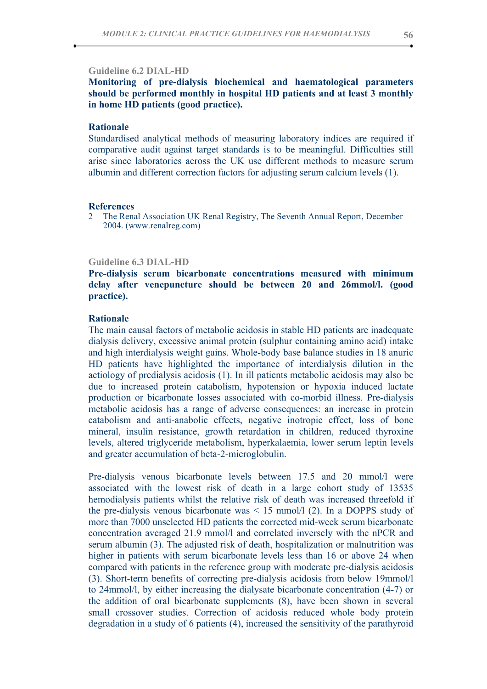#### **Guideline 6.2 DIAL-HD**

**Monitoring of pre-dialysis biochemical and haematological parameters should be performed monthly in hospital HD patients and at least 3 monthly in home HD patients (good practice).**

#### **Rationale**

Standardised analytical methods of measuring laboratory indices are required if comparative audit against target standards is to be meaningful. Difficulties still arise since laboratories across the UK use different methods to measure serum albumin and different correction factors for adjusting serum calcium levels (1).

#### **References**

2 The Renal Association UK Renal Registry, The Seventh Annual Report, December 2004. (www.renalreg.com)

#### **Guideline 6.3 DIAL-HD**

# **Pre-dialysis serum bicarbonate concentrations measured with minimum delay after venepuncture should be between 20 and 26mmol/l. (good practice).**

#### **Rationale**

The main causal factors of metabolic acidosis in stable HD patients are inadequate dialysis delivery, excessive animal protein (sulphur containing amino acid) intake and high interdialysis weight gains. Whole-body base balance studies in 18 anuric HD patients have highlighted the importance of interdialysis dilution in the aetiology of predialysis acidosis (1). In ill patients metabolic acidosis may also be due to increased protein catabolism, hypotension or hypoxia induced lactate production or bicarbonate losses associated with co-morbid illness. Pre-dialysis metabolic acidosis has a range of adverse consequences: an increase in protein catabolism and anti-anabolic effects, negative inotropic effect, loss of bone mineral, insulin resistance, growth retardation in children, reduced thyroxine levels, altered triglyceride metabolism, hyperkalaemia, lower serum leptin levels and greater accumulation of beta-2-microglobulin.

Pre-dialysis venous bicarbonate levels between 17.5 and 20 mmol/l were associated with the lowest risk of death in a large cohort study of 13535 hemodialysis patients whilst the relative risk of death was increased threefold if the pre-dialysis venous bicarbonate was  $\leq 15$  mmol/l (2). In a DOPPS study of more than 7000 unselected HD patients the corrected mid-week serum bicarbonate concentration averaged 21.9 mmol/l and correlated inversely with the nPCR and serum albumin (3). The adjusted risk of death, hospitalization or malnutrition was higher in patients with serum bicarbonate levels less than 16 or above 24 when compared with patients in the reference group with moderate pre-dialysis acidosis (3). Short-term benefits of correcting pre-dialysis acidosis from below 19mmol/l to 24mmol/l, by either increasing the dialysate bicarbonate concentration (4-7) or the addition of oral bicarbonate supplements (8), have been shown in several small crossover studies. Correction of acidosis reduced whole body protein degradation in a study of 6 patients (4), increased the sensitivity of the parathyroid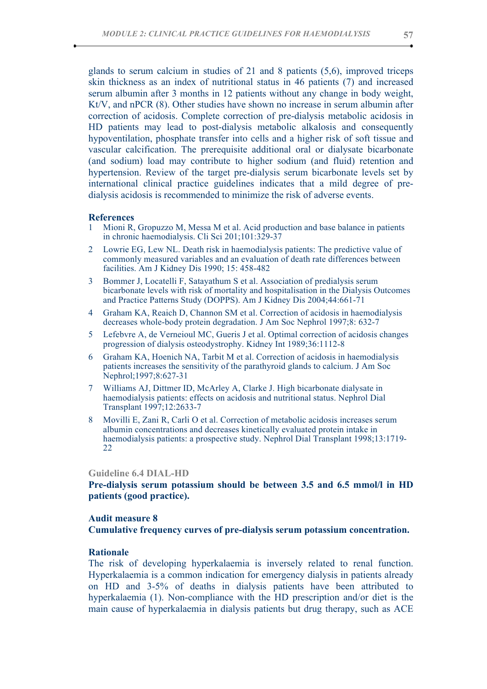glands to serum calcium in studies of 21 and 8 patients (5,6), improved triceps skin thickness as an index of nutritional status in 46 patients (7) and increased serum albumin after 3 months in 12 patients without any change in body weight, Kt/V, and nPCR (8). Other studies have shown no increase in serum albumin after correction of acidosis. Complete correction of pre-dialysis metabolic acidosis in HD patients may lead to post-dialysis metabolic alkalosis and consequently hypoventilation, phosphate transfer into cells and a higher risk of soft tissue and vascular calcification. The prerequisite additional oral or dialysate bicarbonate (and sodium) load may contribute to higher sodium (and fluid) retention and hypertension. Review of the target pre-dialysis serum bicarbonate levels set by international clinical practice guidelines indicates that a mild degree of predialysis acidosis is recommended to minimize the risk of adverse events.

#### **References**

- 1 Mioni R, Gropuzzo M, Messa M et al. Acid production and base balance in patients in chronic haemodialysis. Cli Sci 201;101:329-37
- 2 Lowrie EG, Lew NL. Death risk in haemodialysis patients: The predictive value of commonly measured variables and an evaluation of death rate differences between facilities. Am J Kidney Dis 1990; 15: 458-482
- 3 Bommer J, Locatelli F, Satayathum S et al. Association of predialysis serum bicarbonate levels with risk of mortality and hospitalisation in the Dialysis Outcomes and Practice Patterns Study (DOPPS). Am J Kidney Dis 2004;44:661-71
- 4 Graham KA, Reaich D, Channon SM et al. Correction of acidosis in haemodialysis decreases whole-body protein degradation. J Am Soc Nephrol 1997;8: 632-7
- 5 Lefebvre A, de Verneioul MC, Gueris J et al. Optimal correction of acidosis changes progression of dialysis osteodystrophy. Kidney Int 1989;36:1112-8
- 6 Graham KA, Hoenich NA, Tarbit M et al. Correction of acidosis in haemodialysis patients increases the sensitivity of the parathyroid glands to calcium. J Am Soc Nephrol;1997;8:627-31
- 7 Williams AJ, Dittmer ID, McArley A, Clarke J. High bicarbonate dialysate in haemodialysis patients: effects on acidosis and nutritional status. Nephrol Dial Transplant 1997;12:2633-7
- 8 Movilli E, Zani R, Carli O et al. Correction of metabolic acidosis increases serum albumin concentrations and decreases kinetically evaluated protein intake in haemodialysis patients: a prospective study. Nephrol Dial Transplant 1998;13:1719- 22

#### **Guideline 6.4 DIAL-HD**

# **Pre-dialysis serum potassium should be between 3.5 and 6.5 mmol/l in HD patients (good practice).**

# **Audit measure 8**

# **Cumulative frequency curves of pre-dialysis serum potassium concentration.**

# **Rationale**

The risk of developing hyperkalaemia is inversely related to renal function. Hyperkalaemia is a common indication for emergency dialysis in patients already on HD and 3-5% of deaths in dialysis patients have been attributed to hyperkalaemia (1). Non-compliance with the HD prescription and/or diet is the main cause of hyperkalaemia in dialysis patients but drug therapy, such as ACE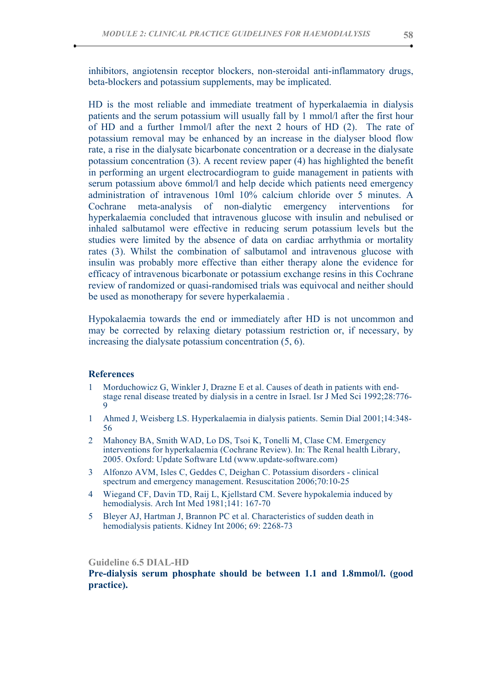inhibitors, angiotensin receptor blockers, non-steroidal anti-inflammatory drugs, beta-blockers and potassium supplements, may be implicated.

HD is the most reliable and immediate treatment of hyperkalaemia in dialysis patients and the serum potassium will usually fall by 1 mmol/l after the first hour of HD and a further 1mmol/l after the next 2 hours of HD (2). The rate of potassium removal may be enhanced by an increase in the dialyser blood flow rate, a rise in the dialysate bicarbonate concentration or a decrease in the dialysate potassium concentration (3). A recent review paper (4) has highlighted the benefit in performing an urgent electrocardiogram to guide management in patients with serum potassium above 6mmol/l and help decide which patients need emergency administration of intravenous 10ml 10% calcium chloride over 5 minutes. A Cochrane meta-analysis of non-dialytic emergency interventions for hyperkalaemia concluded that intravenous glucose with insulin and nebulised or inhaled salbutamol were effective in reducing serum potassium levels but the studies were limited by the absence of data on cardiac arrhythmia or mortality rates (3). Whilst the combination of salbutamol and intravenous glucose with insulin was probably more effective than either therapy alone the evidence for efficacy of intravenous bicarbonate or potassium exchange resins in this Cochrane review of randomized or quasi-randomised trials was equivocal and neither should be used as monotherapy for severe hyperkalaemia .

Hypokalaemia towards the end or immediately after HD is not uncommon and may be corrected by relaxing dietary potassium restriction or, if necessary, by increasing the dialysate potassium concentration (5, 6).

# **References**

- 1 Morduchowicz G, Winkler J, Drazne E et al. Causes of death in patients with endstage renal disease treated by dialysis in a centre in Israel. Isr J Med Sci 1992;28:776- 9
- 1 Ahmed J, Weisberg LS. Hyperkalaemia in dialysis patients. Semin Dial 2001;14:348- 56
- 2 Mahoney BA, Smith WAD, Lo DS, Tsoi K, Tonelli M, Clase CM. Emergency interventions for hyperkalaemia (Cochrane Review). In: The Renal health Library, 2005. Oxford: Update Software Ltd (www.update-software.com)
- 3 Alfonzo AVM, Isles C, Geddes C, Deighan C. Potassium disorders clinical spectrum and emergency management. Resuscitation 2006;70:10-25
- 4 Wiegand CF, Davin TD, Raij L, Kjellstard CM. Severe hypokalemia induced by hemodialysis. Arch Int Med 1981;141: 167-70
- 5 Bleyer AJ, Hartman J, Brannon PC et al. Characteristics of sudden death in hemodialysis patients. Kidney Int 2006; 69: 2268-73

**Guideline 6.5 DIAL-HD**

# **Pre-dialysis serum phosphate should be between 1.1 and 1.8mmol/l. (good practice).**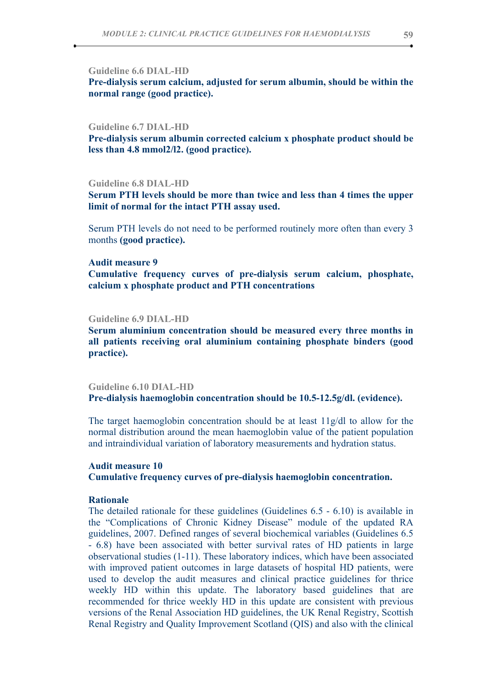**Pre-dialysis serum calcium, adjusted for serum albumin, should be within the normal range (good practice).**

#### **Guideline 6.7 DIAL-HD**

**Pre-dialysis serum albumin corrected calcium x phosphate product should be less than 4.8 mmol2/l2. (good practice).**

## **Guideline 6.8 DIAL-HD**

**Serum PTH levels should be more than twice and less than 4 times the upper limit of normal for the intact PTH assay used.**

Serum PTH levels do not need to be performed routinely more often than every 3 months **(good practice).**

#### **Audit measure 9**

**Cumulative frequency curves of pre-dialysis serum calcium, phosphate, calcium x phosphate product and PTH concentrations**

# **Guideline 6.9 DIAL-HD**

**Serum aluminium concentration should be measured every three months in all patients receiving oral aluminium containing phosphate binders (good practice).**

# **Guideline 6.10 DIAL-HD Pre-dialysis haemoglobin concentration should be 10.5-12.5g/dl. (evidence).**

The target haemoglobin concentration should be at least 11g/dl to allow for the normal distribution around the mean haemoglobin value of the patient population and intraindividual variation of laboratory measurements and hydration status.

# **Audit measure 10 Cumulative frequency curves of pre-dialysis haemoglobin concentration.**

#### **Rationale**

The detailed rationale for these guidelines (Guidelines 6.5 - 6.10) is available in the "Complications of Chronic Kidney Disease" module of the updated RA guidelines, 2007. Defined ranges of several biochemical variables (Guidelines 6.5 - 6.8) have been associated with better survival rates of HD patients in large observational studies (1-11). These laboratory indices, which have been associated with improved patient outcomes in large datasets of hospital HD patients, were used to develop the audit measures and clinical practice guidelines for thrice weekly HD within this update. The laboratory based guidelines that are recommended for thrice weekly HD in this update are consistent with previous versions of the Renal Association HD guidelines, the UK Renal Registry, Scottish Renal Registry and Quality Improvement Scotland (QIS) and also with the clinical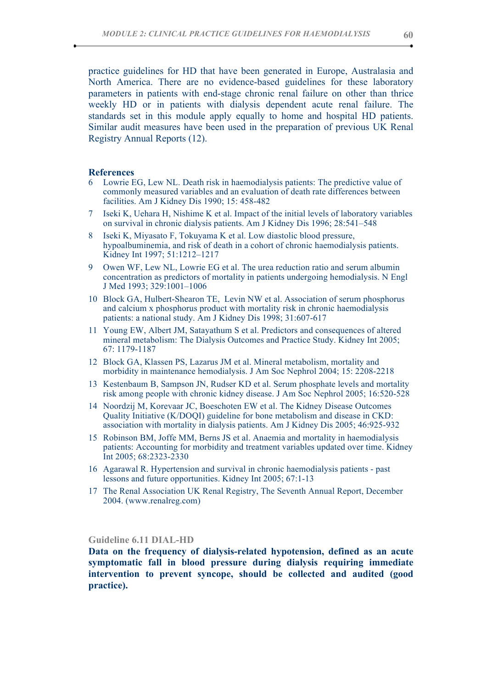practice guidelines for HD that have been generated in Europe, Australasia and North America. There are no evidence-based guidelines for these laboratory parameters in patients with end-stage chronic renal failure on other than thrice weekly HD or in patients with dialysis dependent acute renal failure. The standards set in this module apply equally to home and hospital HD patients. Similar audit measures have been used in the preparation of previous UK Renal Registry Annual Reports (12).

#### **References**

- 6 Lowrie EG, Lew NL. Death risk in haemodialysis patients: The predictive value of commonly measured variables and an evaluation of death rate differences between facilities. Am J Kidney Dis 1990; 15: 458-482
- 7 Iseki K, Uehara H, Nishime K et al. Impact of the initial levels of laboratory variables on survival in chronic dialysis patients. Am J Kidney Dis 1996; 28:541–548
- 8 Iseki K, Miyasato F, Tokuyama K et al. Low diastolic blood pressure, hypoalbuminemia, and risk of death in a cohort of chronic haemodialysis patients. Kidney Int 1997; 51:1212–1217
- 9 Owen WF, Lew NL, Lowrie EG et al. The urea reduction ratio and serum albumin concentration as predictors of mortality in patients undergoing hemodialysis. N Engl J Med 1993; 329:1001–1006
- 10 Block GA, Hulbert-Shearon TE, Levin NW et al. Association of serum phosphorus and calcium x phosphorus product with mortality risk in chronic haemodialysis patients: a national study. Am J Kidney Dis 1998; 31:607-617
- 11 Young EW, Albert JM, Satayathum S et al. Predictors and consequences of altered mineral metabolism: The Dialysis Outcomes and Practice Study. Kidney Int 2005; 67: 1179-1187
- 12 Block GA, Klassen PS, Lazarus JM et al. Mineral metabolism, mortality and morbidity in maintenance hemodialysis. J Am Soc Nephrol 2004; 15: 2208-2218
- 13 Kestenbaum B, Sampson JN, Rudser KD et al. Serum phosphate levels and mortality risk among people with chronic kidney disease. J Am Soc Nephrol 2005; 16:520-528
- 14 Noordzij M, Korevaar JC, Boeschoten EW et al. The Kidney Disease Outcomes Quality Initiative (K/DOQI) guideline for bone metabolism and disease in CKD: association with mortality in dialysis patients. Am J Kidney Dis 2005; 46:925-932
- 15 Robinson BM, Joffe MM, Berns JS et al. Anaemia and mortality in haemodialysis patients: Accounting for morbidity and treatment variables updated over time. Kidney Int 2005; 68:2323-2330
- 16 Agarawal R. Hypertension and survival in chronic haemodialysis patients past lessons and future opportunities. Kidney Int 2005; 67:1-13
- 17 The Renal Association UK Renal Registry, The Seventh Annual Report, December 2004. (www.renalreg.com)

#### **Guideline 6.11 DIAL-HD**

**Data on the frequency of dialysis-related hypotension, defined as an acute symptomatic fall in blood pressure during dialysis requiring immediate intervention to prevent syncope, should be collected and audited (good practice).**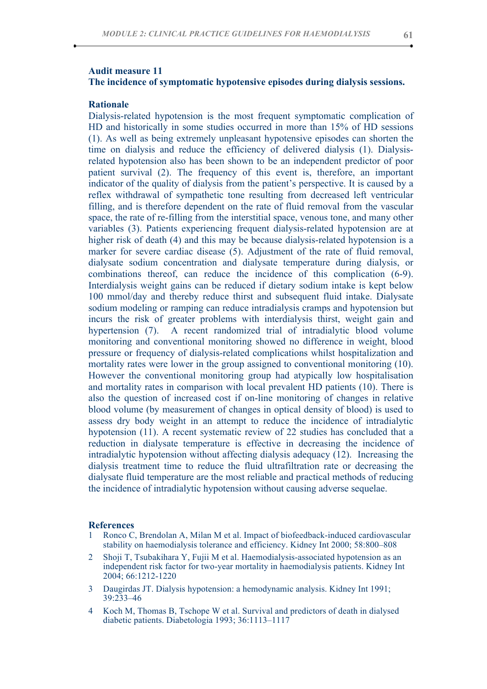# **Audit measure 11 The incidence of symptomatic hypotensive episodes during dialysis sessions.**

#### **Rationale**

Dialysis-related hypotension is the most frequent symptomatic complication of HD and historically in some studies occurred in more than 15% of HD sessions (1). As well as being extremely unpleasant hypotensive episodes can shorten the time on dialysis and reduce the efficiency of delivered dialysis (1). Dialysisrelated hypotension also has been shown to be an independent predictor of poor patient survival (2). The frequency of this event is, therefore, an important indicator of the quality of dialysis from the patient's perspective. It is caused by a reflex withdrawal of sympathetic tone resulting from decreased left ventricular filling, and is therefore dependent on the rate of fluid removal from the vascular space, the rate of re-filling from the interstitial space, venous tone, and many other variables (3). Patients experiencing frequent dialysis-related hypotension are at higher risk of death (4) and this may be because dialysis-related hypotension is a marker for severe cardiac disease (5). Adjustment of the rate of fluid removal, dialysate sodium concentration and dialysate temperature during dialysis, or combinations thereof, can reduce the incidence of this complication (6-9). Interdialysis weight gains can be reduced if dietary sodium intake is kept below 100 mmol/day and thereby reduce thirst and subsequent fluid intake. Dialysate sodium modeling or ramping can reduce intradialysis cramps and hypotension but incurs the risk of greater problems with interdialysis thirst, weight gain and hypertension (7). A recent randomized trial of intradialytic blood volume monitoring and conventional monitoring showed no difference in weight, blood pressure or frequency of dialysis-related complications whilst hospitalization and mortality rates were lower in the group assigned to conventional monitoring (10). However the conventional monitoring group had atypically low hospitalisation and mortality rates in comparison with local prevalent HD patients (10). There is also the question of increased cost if on-line monitoring of changes in relative blood volume (by measurement of changes in optical density of blood) is used to assess dry body weight in an attempt to reduce the incidence of intradialytic hypotension (11). A recent systematic review of 22 studies has concluded that a reduction in dialysate temperature is effective in decreasing the incidence of intradialytic hypotension without affecting dialysis adequacy (12). Increasing the dialysis treatment time to reduce the fluid ultrafiltration rate or decreasing the dialysate fluid temperature are the most reliable and practical methods of reducing the incidence of intradialytic hypotension without causing adverse sequelae.

- Ronco C, Brendolan A, Milan M et al. Impact of biofeedback-induced cardiovascular stability on haemodialysis tolerance and efficiency. Kidney Int 2000; 58:800–808
- 2 Shoji T, Tsubakihara Y, Fujii M et al. Haemodialysis-associated hypotension as an independent risk factor for two-year mortality in haemodialysis patients. Kidney Int 2004; 66:1212-1220
- 3 Daugirdas JT. Dialysis hypotension: a hemodynamic analysis. Kidney Int 1991; 39:233–46
- 4 Koch M, Thomas B, Tschope W et al. Survival and predictors of death in dialysed diabetic patients. Diabetologia 1993; 36:1113–1117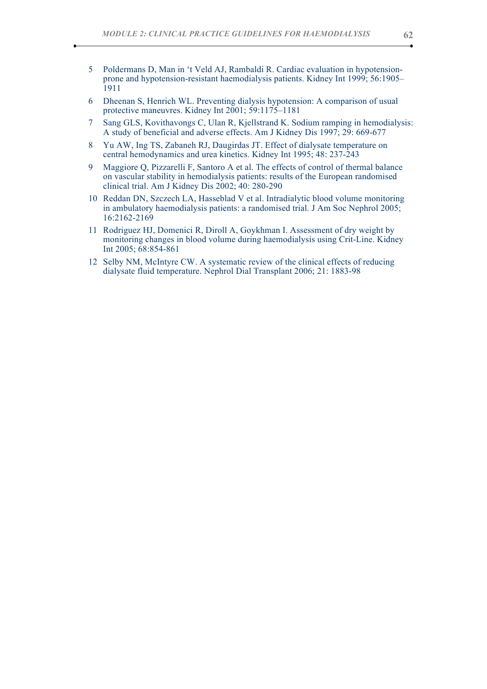- 5 Poldermans D, Man in 't Veld AJ, Rambaldi R. Cardiac evaluation in hypotensionprone and hypotension-resistant haemodialysis patients. Kidney Int 1999; 56:1905– 1911
- 6 Dheenan S, Henrich WL. Preventing dialysis hypotension: A comparison of usual protective maneuvres. Kidney Int 2001; 59:1175–1181
- 7 Sang GLS, Kovithavongs C, Ulan R, Kjellstrand K. Sodium ramping in hemodialysis: A study of beneficial and adverse effects. Am J Kidney Dis 1997; 29: 669-677
- 8 Yu AW, Ing TS, Zabaneh RJ, Daugirdas JT. Effect of dialysate temperature on central hemodynamics and urea kinetics. Kidney Int 1995; 48: 237-243
- 9 Maggiore Q, Pizzarelli F, Santoro A et al. The effects of control of thermal balance on vascular stability in hemodialysis patients: results of the European randomised clinical trial. Am J Kidney Dis 2002; 40: 280-290
- 10 Reddan DN, Szczech LA, Hasseblad V et al. Intradialytic blood volume monitoring in ambulatory haemodialysis patients: a randomised trial. J Am Soc Nephrol 2005; 16:2162-2169
- 11 Rodriguez HJ, Domenici R, Diroll A, Goykhman I. Assessment of dry weight by monitoring changes in blood volume during haemodialysis using Crit-Line. Kidney Int 2005; 68:854-861
- 12 Selby NM, McIntyre CW. A systematic review of the clinical effects of reducing dialysate fluid temperature. Nephrol Dial Transplant 2006; 21: 1883-98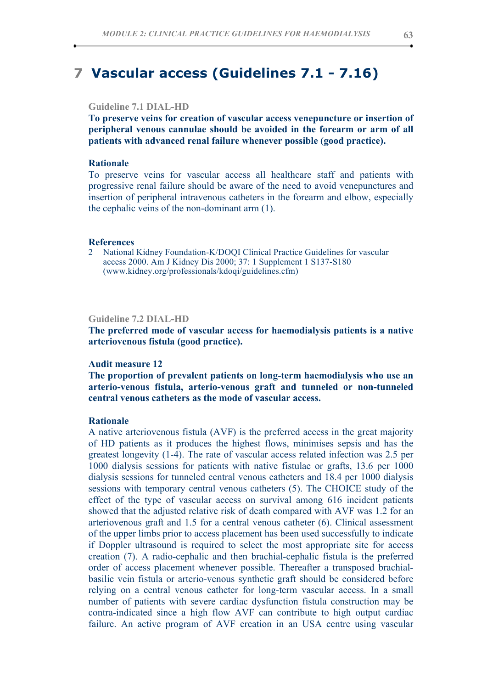# **7 Vascular access (Guidelines 7.1 - 7.16)**

### **Guideline 7.1 DIAL-HD**

**To preserve veins for creation of vascular access venepuncture or insertion of peripheral venous cannulae should be avoided in the forearm or arm of all patients with advanced renal failure whenever possible (good practice).**

#### **Rationale**

To preserve veins for vascular access all healthcare staff and patients with progressive renal failure should be aware of the need to avoid venepunctures and insertion of peripheral intravenous catheters in the forearm and elbow, especially the cephalic veins of the non-dominant arm (1).

## **References**

2 National Kidney Foundation-K/DOQI Clinical Practice Guidelines for vascular access 2000. Am J Kidney Dis 2000; 37: 1 Supplement 1 S137-S180 (www.kidney.org/professionals/kdoqi/guidelines.cfm)

# **Guideline 7.2 DIAL-HD**

**The preferred mode of vascular access for haemodialysis patients is a native arteriovenous fistula (good practice).**

#### **Audit measure 12**

**The proportion of prevalent patients on long-term haemodialysis who use an arterio-venous fistula, arterio-venous graft and tunneled or non-tunneled central venous catheters as the mode of vascular access.**

#### **Rationale**

A native arteriovenous fistula (AVF) is the preferred access in the great majority of HD patients as it produces the highest flows, minimises sepsis and has the greatest longevity (1-4). The rate of vascular access related infection was 2.5 per 1000 dialysis sessions for patients with native fistulae or grafts, 13.6 per 1000 dialysis sessions for tunneled central venous catheters and 18.4 per 1000 dialysis sessions with temporary central venous catheters (5). The CHOICE study of the effect of the type of vascular access on survival among 616 incident patients showed that the adjusted relative risk of death compared with AVF was 1.2 for an arteriovenous graft and 1.5 for a central venous catheter (6). Clinical assessment of the upper limbs prior to access placement has been used successfully to indicate if Doppler ultrasound is required to select the most appropriate site for access creation (7). A radio-cephalic and then brachial-cephalic fistula is the preferred order of access placement whenever possible. Thereafter a transposed brachialbasilic vein fistula or arterio-venous synthetic graft should be considered before relying on a central venous catheter for long-term vascular access. In a small number of patients with severe cardiac dysfunction fistula construction may be contra-indicated since a high flow AVF can contribute to high output cardiac failure. An active program of AVF creation in an USA centre using vascular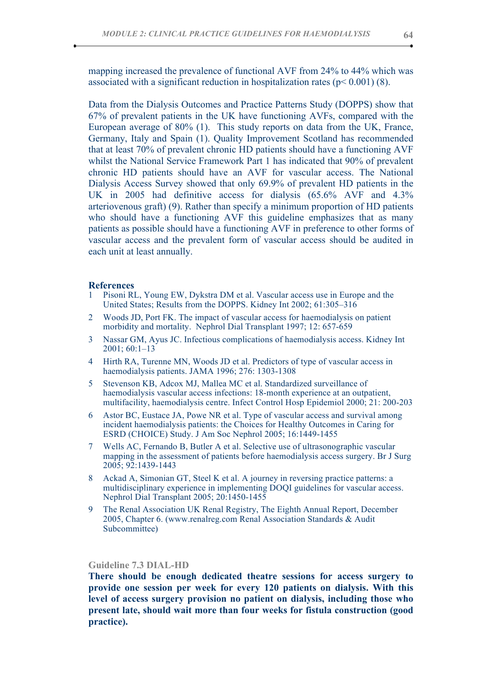mapping increased the prevalence of functional AVF from 24% to 44% which was associated with a significant reduction in hospitalization rates ( $p < 0.001$ ) (8).

Data from the Dialysis Outcomes and Practice Patterns Study (DOPPS) show that 67% of prevalent patients in the UK have functioning AVFs, compared with the European average of 80% (1). This study reports on data from the UK, France, Germany, Italy and Spain (1). Quality Improvement Scotland has recommended that at least 70% of prevalent chronic HD patients should have a functioning AVF whilst the National Service Framework Part 1 has indicated that 90% of prevalent chronic HD patients should have an AVF for vascular access. The National Dialysis Access Survey showed that only 69.9% of prevalent HD patients in the UK in 2005 had definitive access for dialysis (65.6% AVF and 4.3% arteriovenous graft) (9). Rather than specify a minimum proportion of HD patients who should have a functioning AVF this guideline emphasizes that as many patients as possible should have a functioning AVF in preference to other forms of vascular access and the prevalent form of vascular access should be audited in each unit at least annually.

#### **References**

- 1 Pisoni RL, Young EW, Dykstra DM et al. Vascular access use in Europe and the United States; Results from the DOPPS. Kidney Int 2002; 61:305–316
- 2 Woods JD, Port FK. The impact of vascular access for haemodialysis on patient morbidity and mortality. Nephrol Dial Transplant 1997; 12: 657-659
- 3 Nassar GM, Ayus JC. Infectious complications of haemodialysis access. Kidney Int 2001; 60:1–13
- 4 Hirth RA, Turenne MN, Woods JD et al. Predictors of type of vascular access in haemodialysis patients. JAMA 1996; 276: 1303-1308
- 5 Stevenson KB, Adcox MJ, Mallea MC et al. Standardized surveillance of haemodialysis vascular access infections: 18-month experience at an outpatient, multifacility, haemodialysis centre. Infect Control Hosp Epidemiol 2000; 21: 200-203
- 6 Astor BC, Eustace JA, Powe NR et al. Type of vascular access and survival among incident haemodialysis patients: the Choices for Healthy Outcomes in Caring for ESRD (CHOICE) Study. J Am Soc Nephrol 2005; 16:1449-1455
- 7 Wells AC, Fernando B, Butler A et al. Selective use of ultrasonographic vascular mapping in the assessment of patients before haemodialysis access surgery. Br J Surg 2005; 92:1439-1443
- 8 Ackad A, Simonian GT, Steel K et al. A journey in reversing practice patterns: a multidisciplinary experience in implementing DOQI guidelines for vascular access. Nephrol Dial Transplant 2005; 20:1450-1455
- 9 The Renal Association UK Renal Registry, The Eighth Annual Report, December 2005, Chapter 6. (www.renalreg.com Renal Association Standards & Audit Subcommittee)

### **Guideline 7.3 DIAL-HD**

**There should be enough dedicated theatre sessions for access surgery to provide one session per week for every 120 patients on dialysis. With this level of access surgery provision no patient on dialysis, including those who present late, should wait more than four weeks for fistula construction (good practice).**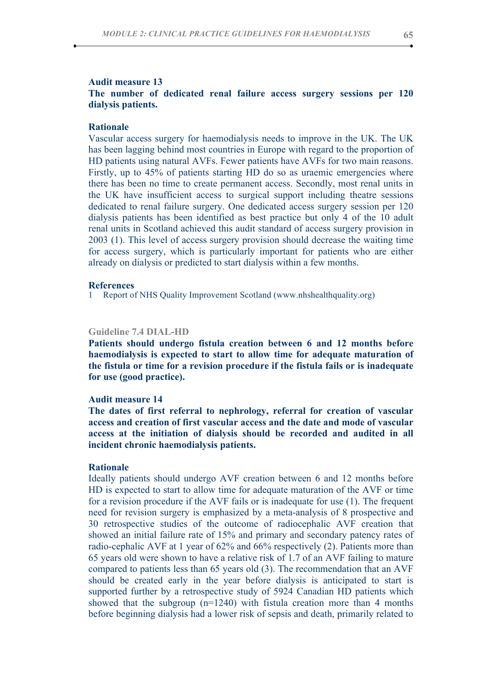#### **Audit measure 13**

# **The number of dedicated renal failure access surgery sessions per 120 dialysis patients.**

#### **Rationale**

Vascular access surgery for haemodialysis needs to improve in the UK. The UK has been lagging behind most countries in Europe with regard to the proportion of HD patients using natural AVFs. Fewer patients have AVFs for two main reasons. Firstly, up to 45% of patients starting HD do so as uraemic emergencies where there has been no time to create permanent access. Secondly, most renal units in the UK have insufficient access to surgical support including theatre sessions dedicated to renal failure surgery. One dedicated access surgery session per 120 dialysis patients has been identified as best practice but only 4 of the 10 adult renal units in Scotland achieved this audit standard of access surgery provision in 2003 (1). This level of access surgery provision should decrease the waiting time for access surgery, which is particularly important for patients who are either already on dialysis or predicted to start dialysis within a few months.

#### **References**

1 Report of NHS Quality Improvement Scotland (www.nhshealthquality.org)

#### **Guideline 7.4 DIAL-HD**

**Patients should undergo fistula creation between 6 and 12 months before haemodialysis is expected to start to allow time for adequate maturation of the fistula or time for a revision procedure if the fistula fails or is inadequate for use (good practice).**

#### **Audit measure 14**

**The dates of first referral to nephrology, referral for creation of vascular access and creation of first vascular access and the date and mode of vascular access at the initiation of dialysis should be recorded and audited in all incident chronic haemodialysis patients.**

#### **Rationale**

Ideally patients should undergo AVF creation between 6 and 12 months before HD is expected to start to allow time for adequate maturation of the AVF or time for a revision procedure if the AVF fails or is inadequate for use (1). The frequent need for revision surgery is emphasized by a meta-analysis of 8 prospective and 30 retrospective studies of the outcome of radiocephalic AVF creation that showed an initial failure rate of 15% and primary and secondary patency rates of radio-cephalic AVF at 1 year of 62% and 66% respectively (2). Patients more than 65 years old were shown to have a relative risk of 1.7 of an AVF failing to mature compared to patients less than 65 years old (3). The recommendation that an AVF should be created early in the year before dialysis is anticipated to start is supported further by a retrospective study of 5924 Canadian HD patients which showed that the subgroup  $(n=1240)$  with fistula creation more than 4 months before beginning dialysis had a lower risk of sepsis and death, primarily related to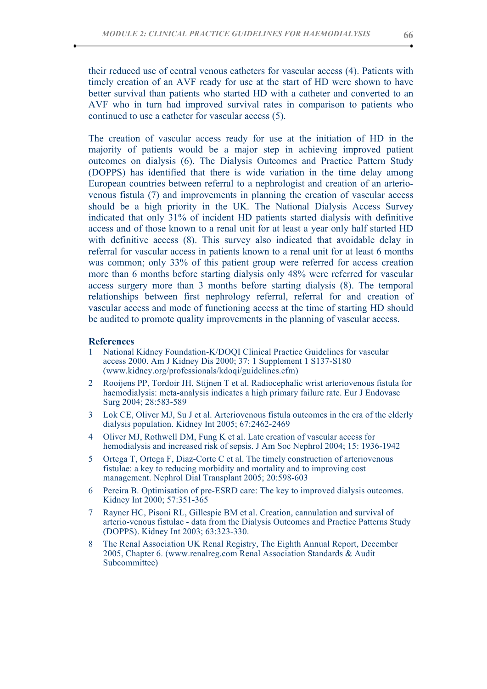their reduced use of central venous catheters for vascular access (4). Patients with timely creation of an AVF ready for use at the start of HD were shown to have better survival than patients who started HD with a catheter and converted to an AVF who in turn had improved survival rates in comparison to patients who continued to use a catheter for vascular access (5).

The creation of vascular access ready for use at the initiation of HD in the majority of patients would be a major step in achieving improved patient outcomes on dialysis (6). The Dialysis Outcomes and Practice Pattern Study (DOPPS) has identified that there is wide variation in the time delay among European countries between referral to a nephrologist and creation of an arteriovenous fistula (7) and improvements in planning the creation of vascular access should be a high priority in the UK. The National Dialysis Access Survey indicated that only 31% of incident HD patients started dialysis with definitive access and of those known to a renal unit for at least a year only half started HD with definitive access (8). This survey also indicated that avoidable delay in referral for vascular access in patients known to a renal unit for at least 6 months was common; only 33% of this patient group were referred for access creation more than 6 months before starting dialysis only 48% were referred for vascular access surgery more than 3 months before starting dialysis (8). The temporal relationships between first nephrology referral, referral for and creation of vascular access and mode of functioning access at the time of starting HD should be audited to promote quality improvements in the planning of vascular access.

- 1 National Kidney Foundation-K/DOQI Clinical Practice Guidelines for vascular access 2000. Am J Kidney Dis 2000; 37: 1 Supplement 1 S137-S180 (www.kidney.org/professionals/kdoqi/guidelines.cfm)
- 2 Rooijens PP, Tordoir JH, Stijnen T et al. Radiocephalic wrist arteriovenous fistula for haemodialysis: meta-analysis indicates a high primary failure rate. Eur J Endovasc Surg 2004; 28:583-589
- 3 Lok CE, Oliver MJ, Su J et al. Arteriovenous fistula outcomes in the era of the elderly dialysis population. Kidney Int 2005; 67:2462-2469
- 4 Oliver MJ, Rothwell DM, Fung K et al. Late creation of vascular access for hemodialysis and increased risk of sepsis. J Am Soc Nephrol 2004; 15: 1936-1942
- 5 Ortega T, Ortega F, Diaz-Corte C et al. The timely construction of arteriovenous fistulae: a key to reducing morbidity and mortality and to improving cost management. Nephrol Dial Transplant 2005; 20:598-603
- 6 Pereira B. Optimisation of pre-ESRD care: The key to improved dialysis outcomes. Kidney Int 2000; 57:351-365
- 7 Rayner HC, Pisoni RL, Gillespie BM et al. Creation, cannulation and survival of arterio-venous fistulae - data from the Dialysis Outcomes and Practice Patterns Study (DOPPS). Kidney Int 2003; 63:323-330.
- The Renal Association UK Renal Registry, The Eighth Annual Report, December 2005, Chapter 6. (www.renalreg.com Renal Association Standards & Audit Subcommittee)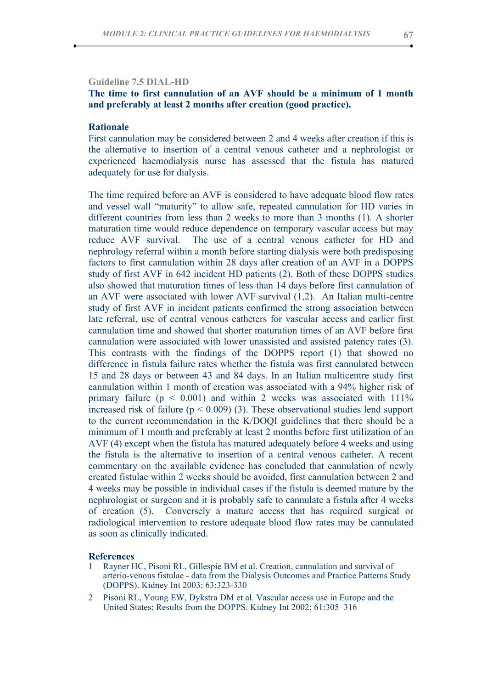#### **Guideline 7.5 DIAL-HD**

# **The time to first cannulation of an AVF should be a minimum of 1 month and preferably at least 2 months after creation (good practice).**

### **Rationale**

First cannulation may be considered between 2 and 4 weeks after creation if this is the alternative to insertion of a central venous catheter and a nephrologist or experienced haemodialysis nurse has assessed that the fistula has matured adequately for use for dialysis.

The time required before an AVF is considered to have adequate blood flow rates and vessel wall "maturity" to allow safe, repeated cannulation for HD varies in different countries from less than 2 weeks to more than 3 months (1). A shorter maturation time would reduce dependence on temporary vascular access but may reduce AVF survival. The use of a central venous catheter for HD and nephrology referral within a month before starting dialysis were both predisposing factors to first cannulation within 28 days after creation of an AVF in a DOPPS study of first AVF in 642 incident HD patients (2). Both of these DOPPS studies also showed that maturation times of less than 14 days before first cannulation of an AVF were associated with lower AVF survival (1,2). An Italian multi-centre study of first AVF in incident patients confirmed the strong association between late referral, use of central venous catheters for vascular access and earlier first cannulation time and showed that shorter maturation times of an AVF before first cannulation were associated with lower unassisted and assisted patency rates (3). This contrasts with the findings of the DOPPS report (1) that showed no difference in fistula failure rates whether the fistula was first cannulated between 15 and 28 days or between 43 and 84 days. In an Italian multicentre study first cannulation within 1 month of creation was associated with a 94% higher risk of primary failure ( $p < 0.001$ ) and within 2 weeks was associated with  $111\%$ increased risk of failure ( $p < 0.009$ ) (3). These observational studies lend support to the current recommendation in the K/DOQI guidelines that there should be a minimum of 1 month and preferably at least 2 months before first utilization of an AVF (4) except when the fistula has matured adequately before 4 weeks and using the fistula is the alternative to insertion of a central venous catheter. A recent commentary on the available evidence has concluded that cannulation of newly created fistulae within 2 weeks should be avoided, first cannulation between 2 and 4 weeks may be possible in individual cases if the fistula is deemed mature by the nephrologist or surgeon and it is probably safe to cannulate a fistula after 4 weeks of creation (5). Conversely a mature access that has required surgical or radiological intervention to restore adequate blood flow rates may be cannulated as soon as clinically indicated.

- 1 Rayner HC, Pisoni RL, Gillespie BM et al. Creation, cannulation and survival of arterio-venous fistulae - data from the Dialysis Outcomes and Practice Patterns Study (DOPPS). Kidney Int 2003; 63:323-330
- 2 Pisoni RL, Young EW, Dykstra DM et al. Vascular access use in Europe and the United States; Results from the DOPPS. Kidney Int 2002; 61:305–316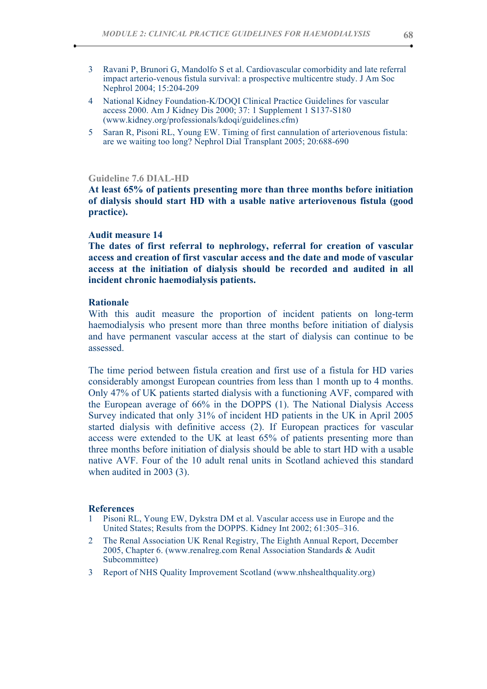- 3 Ravani P, Brunori G, Mandolfo S et al. Cardiovascular comorbidity and late referral impact arterio-venous fistula survival: a prospective multicentre study. J Am Soc Nephrol 2004; 15:204-209
- 4 National Kidney Foundation-K/DOQI Clinical Practice Guidelines for vascular access 2000. Am J Kidney Dis 2000; 37: 1 Supplement 1 S137-S180 (www.kidney.org/professionals/kdoqi/guidelines.cfm)
- 5 Saran R, Pisoni RL, Young EW. Timing of first cannulation of arteriovenous fistula: are we waiting too long? Nephrol Dial Transplant 2005; 20:688-690

# **Guideline 7.6 DIAL-HD**

# **At least 65% of patients presenting more than three months before initiation of dialysis should start HD with a usable native arteriovenous fistula (good practice).**

## **Audit measure 14**

**The dates of first referral to nephrology, referral for creation of vascular access and creation of first vascular access and the date and mode of vascular access at the initiation of dialysis should be recorded and audited in all incident chronic haemodialysis patients.**

# **Rationale**

With this audit measure the proportion of incident patients on long-term haemodialysis who present more than three months before initiation of dialysis and have permanent vascular access at the start of dialysis can continue to be assessed.

The time period between fistula creation and first use of a fistula for HD varies considerably amongst European countries from less than 1 month up to 4 months. Only 47% of UK patients started dialysis with a functioning AVF, compared with the European average of 66% in the DOPPS (1). The National Dialysis Access Survey indicated that only 31% of incident HD patients in the UK in April 2005 started dialysis with definitive access (2). If European practices for vascular access were extended to the UK at least 65% of patients presenting more than three months before initiation of dialysis should be able to start HD with a usable native AVF. Four of the 10 adult renal units in Scotland achieved this standard when audited in 2003 (3).

- 1 Pisoni RL, Young EW, Dykstra DM et al. Vascular access use in Europe and the United States; Results from the DOPPS. Kidney Int 2002; 61:305–316.
- 2 The Renal Association UK Renal Registry, The Eighth Annual Report, December 2005, Chapter 6. (www.renalreg.com Renal Association Standards & Audit Subcommittee)
- 3 Report of NHS Quality Improvement Scotland (www.nhshealthquality.org)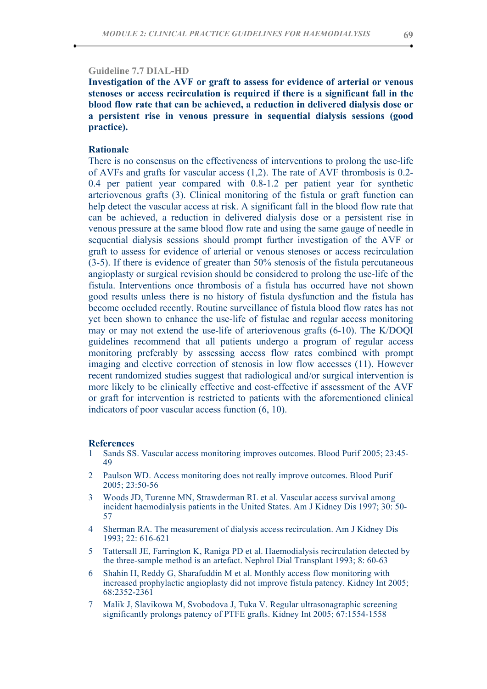#### **Guideline 7.7 DIAL-HD**

**Investigation of the AVF or graft to assess for evidence of arterial or venous stenoses or access recirculation is required if there is a significant fall in the blood flow rate that can be achieved, a reduction in delivered dialysis dose or a persistent rise in venous pressure in sequential dialysis sessions (good practice).**

# **Rationale**

There is no consensus on the effectiveness of interventions to prolong the use-life of AVFs and grafts for vascular access (1,2). The rate of AVF thrombosis is 0.2- 0.4 per patient year compared with 0.8-1.2 per patient year for synthetic arteriovenous grafts (3). Clinical monitoring of the fistula or graft function can help detect the vascular access at risk. A significant fall in the blood flow rate that can be achieved, a reduction in delivered dialysis dose or a persistent rise in venous pressure at the same blood flow rate and using the same gauge of needle in sequential dialysis sessions should prompt further investigation of the AVF or graft to assess for evidence of arterial or venous stenoses or access recirculation (3-5). If there is evidence of greater than 50% stenosis of the fistula percutaneous angioplasty or surgical revision should be considered to prolong the use-life of the fistula. Interventions once thrombosis of a fistula has occurred have not shown good results unless there is no history of fistula dysfunction and the fistula has become occluded recently. Routine surveillance of fistula blood flow rates has not yet been shown to enhance the use-life of fistulae and regular access monitoring may or may not extend the use-life of arteriovenous grafts (6-10). The K/DOQI guidelines recommend that all patients undergo a program of regular access monitoring preferably by assessing access flow rates combined with prompt imaging and elective correction of stenosis in low flow accesses (11). However recent randomized studies suggest that radiological and/or surgical intervention is more likely to be clinically effective and cost-effective if assessment of the AVF or graft for intervention is restricted to patients with the aforementioned clinical indicators of poor vascular access function (6, 10).

- 1 Sands SS. Vascular access monitoring improves outcomes. Blood Purif 2005; 23:45- 49
- 2 Paulson WD. Access monitoring does not really improve outcomes. Blood Purif 2005; 23:50-56
- 3 Woods JD, Turenne MN, Strawderman RL et al. Vascular access survival among incident haemodialysis patients in the United States. Am J Kidney Dis 1997; 30: 50- 57
- 4 Sherman RA. The measurement of dialysis access recirculation. Am J Kidney Dis 1993; 22: 616-621
- 5 Tattersall JE, Farrington K, Raniga PD et al. Haemodialysis recirculation detected by the three-sample method is an artefact. Nephrol Dial Transplant 1993; 8: 60-63
- 6 Shahin H, Reddy G, Sharafuddin M et al. Monthly access flow monitoring with increased prophylactic angioplasty did not improve fistula patency. Kidney Int 2005; 68:2352-2361
- 7 Malik J, Slavikowa M, Svobodova J, Tuka V. Regular ultrasonagraphic screening significantly prolongs patency of PTFE grafts. Kidney Int 2005; 67:1554-1558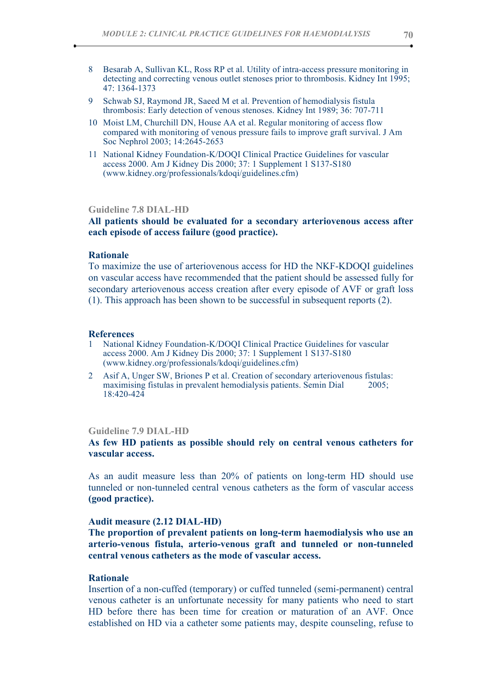- 8 Besarab A, Sullivan KL, Ross RP et al. Utility of intra-access pressure monitoring in detecting and correcting venous outlet stenoses prior to thrombosis. Kidney Int 1995; 47: 1364-1373
- 9 Schwab SJ, Raymond JR, Saeed M et al. Prevention of hemodialysis fistula thrombosis: Early detection of venous stenoses. Kidney Int 1989; 36: 707-711
- 10 Moist LM, Churchill DN, House AA et al. Regular monitoring of access flow compared with monitoring of venous pressure fails to improve graft survival. J Am Soc Nephrol 2003; 14:2645-2653
- 11 National Kidney Foundation-K/DOQI Clinical Practice Guidelines for vascular access 2000. Am J Kidney Dis 2000; 37: 1 Supplement 1 S137-S180 (www.kidney.org/professionals/kdoqi/guidelines.cfm)

# **Guideline 7.8 DIAL-HD**

**All patients should be evaluated for a secondary arteriovenous access after each episode of access failure (good practice).**

### **Rationale**

To maximize the use of arteriovenous access for HD the NKF-KDOQI guidelines on vascular access have recommended that the patient should be assessed fully for secondary arteriovenous access creation after every episode of AVF or graft loss (1). This approach has been shown to be successful in subsequent reports (2).

#### **References**

- 1 National Kidney Foundation-K/DOQI Clinical Practice Guidelines for vascular access 2000. Am J Kidney Dis 2000; 37: 1 Supplement 1 S137-S180 (www.kidney.org/professionals/kdoqi/guidelines.cfm)
- 2 Asif A, Unger SW, Briones P et al. Creation of secondary arteriovenous fistulas: maximising fistulas in prevalent hemodialysis patients. Semin Dial 2005; 18:420-424

#### **Guideline 7.9 DIAL-HD**

# **As few HD patients as possible should rely on central venous catheters for vascular access.**

As an audit measure less than 20% of patients on long-term HD should use tunneled or non-tunneled central venous catheters as the form of vascular access **(good practice).**

#### **Audit measure (2.12 DIAL-HD)**

**The proportion of prevalent patients on long-term haemodialysis who use an arterio-venous fistula, arterio-venous graft and tunneled or non-tunneled central venous catheters as the mode of vascular access.**

# **Rationale**

Insertion of a non-cuffed (temporary) or cuffed tunneled (semi-permanent) central venous catheter is an unfortunate necessity for many patients who need to start HD before there has been time for creation or maturation of an AVF. Once established on HD via a catheter some patients may, despite counseling, refuse to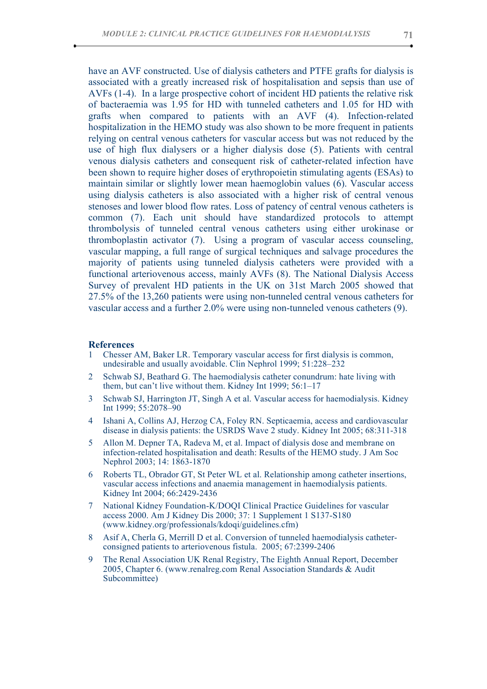have an AVF constructed. Use of dialysis catheters and PTFE grafts for dialysis is associated with a greatly increased risk of hospitalisation and sepsis than use of AVFs (1-4). In a large prospective cohort of incident HD patients the relative risk of bacteraemia was 1.95 for HD with tunneled catheters and 1.05 for HD with grafts when compared to patients with an AVF (4). Infection-related hospitalization in the HEMO study was also shown to be more frequent in patients relying on central venous catheters for vascular access but was not reduced by the use of high flux dialysers or a higher dialysis dose (5). Patients with central venous dialysis catheters and consequent risk of catheter-related infection have been shown to require higher doses of erythropoietin stimulating agents (ESAs) to maintain similar or slightly lower mean haemoglobin values (6). Vascular access using dialysis catheters is also associated with a higher risk of central venous stenoses and lower blood flow rates. Loss of patency of central venous catheters is common (7). Each unit should have standardized protocols to attempt thrombolysis of tunneled central venous catheters using either urokinase or thromboplastin activator (7). Using a program of vascular access counseling, vascular mapping, a full range of surgical techniques and salvage procedures the majority of patients using tunneled dialysis catheters were provided with a functional arteriovenous access, mainly AVFs (8). The National Dialysis Access Survey of prevalent HD patients in the UK on 31st March 2005 showed that 27.5% of the 13,260 patients were using non-tunneled central venous catheters for vascular access and a further 2.0% were using non-tunneled venous catheters (9).

- 1 Chesser AM, Baker LR. Temporary vascular access for first dialysis is common, undesirable and usually avoidable. Clin Nephrol 1999; 51:228–232
- 2 Schwab SJ, Beathard G. The haemodialysis catheter conundrum: hate living with them, but can't live without them. Kidney Int 1999; 56:1–17
- 3 Schwab SJ, Harrington JT, Singh A et al. Vascular access for haemodialysis. Kidney Int 1999; 55:2078–90
- 4 Ishani A, Collins AJ, Herzog CA, Foley RN. Septicaemia, access and cardiovascular disease in dialysis patients: the USRDS Wave 2 study. Kidney Int 2005; 68:311-318
- 5 Allon M. Depner TA, Radeva M, et al. Impact of dialysis dose and membrane on infection-related hospitalisation and death: Results of the HEMO study. J Am Soc Nephrol 2003; 14: 1863-1870
- 6 Roberts TL, Obrador GT, St Peter WL et al. Relationship among catheter insertions, vascular access infections and anaemia management in haemodialysis patients. Kidney Int 2004; 66:2429-2436
- 7 National Kidney Foundation-K/DOQI Clinical Practice Guidelines for vascular access 2000. Am J Kidney Dis 2000; 37: 1 Supplement 1 S137-S180 (www.kidney.org/professionals/kdoqi/guidelines.cfm)
- 8 Asif A, Cherla G, Merrill D et al. Conversion of tunneled haemodialysis catheterconsigned patients to arteriovenous fistula. 2005; 67:2399-2406
- 9 The Renal Association UK Renal Registry, The Eighth Annual Report, December 2005, Chapter 6. (www.renalreg.com Renal Association Standards & Audit Subcommittee)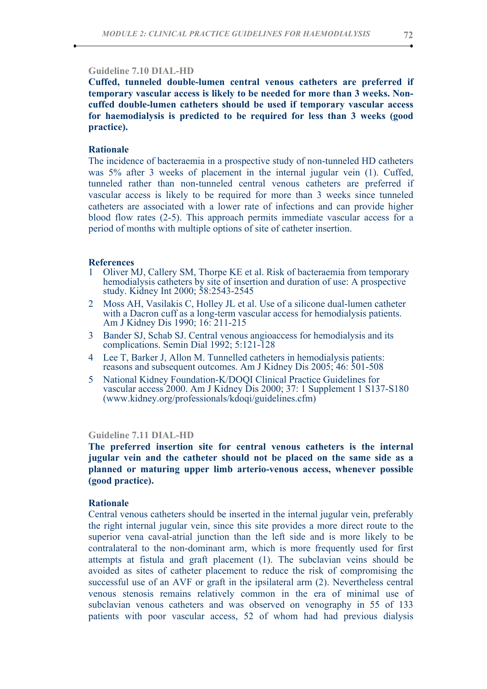# **Guideline 7.10 DIAL-HD**

**Cuffed, tunneled double-lumen central venous catheters are preferred if temporary vascular access is likely to be needed for more than 3 weeks. Noncuffed double-lumen catheters should be used if temporary vascular access for haemodialysis is predicted to be required for less than 3 weeks (good practice).**

# **Rationale**

The incidence of bacteraemia in a prospective study of non-tunneled HD catheters was 5% after 3 weeks of placement in the internal jugular vein (1). Cuffed, tunneled rather than non-tunneled central venous catheters are preferred if vascular access is likely to be required for more than 3 weeks since tunneled catheters are associated with a lower rate of infections and can provide higher blood flow rates (2-5). This approach permits immediate vascular access for a period of months with multiple options of site of catheter insertion.

# **References**

- 1 Oliver MJ, Callery SM, Thorpe KE et al. Risk of bacteraemia from temporary hemodialysis catheters by site of insertion and duration of use: A prospective study. Kidney Int 2000; 58:2543-2545
- 2 Moss AH, Vasilakis C, Holley JL et al. Use of a silicone dual-lumen catheter with a Dacron cuff as a long-term vascular access for hemodialysis patients. Am J Kidney Dis 1990; 16: 211-215
- 3 Bander SJ, Schab SJ. Central venous angioaccess for hemodialysis and its complications. Semin Dial 1992; 5:121-128
- 4 Lee T, Barker J, Allon M. Tunnelled catheters in hemodialysis patients: reasons and subsequent outcomes. Am J Kidney Dis 2005; 46: 501-508
- 5 National Kidney Foundation-K/DOQI Clinical Practice Guidelines for vascular access 2000. Am J Kidney Dis 2000; 37: 1 Supplement 1 S137-S180 (www.kidney.org/professionals/kdoqi/guidelines.cfm)

# **Guideline 7.11 DIAL-HD**

**The preferred insertion site for central venous catheters is the internal jugular vein and the catheter should not be placed on the same side as a planned or maturing upper limb arterio-venous access, whenever possible (good practice).**

# **Rationale**

Central venous catheters should be inserted in the internal jugular vein, preferably the right internal jugular vein, since this site provides a more direct route to the superior vena caval-atrial junction than the left side and is more likely to be contralateral to the non-dominant arm, which is more frequently used for first attempts at fistula and graft placement (1). The subclavian veins should be avoided as sites of catheter placement to reduce the risk of compromising the successful use of an AVF or graft in the ipsilateral arm (2). Nevertheless central venous stenosis remains relatively common in the era of minimal use of subclavian venous catheters and was observed on venography in 55 of 133 patients with poor vascular access, 52 of whom had had previous dialysis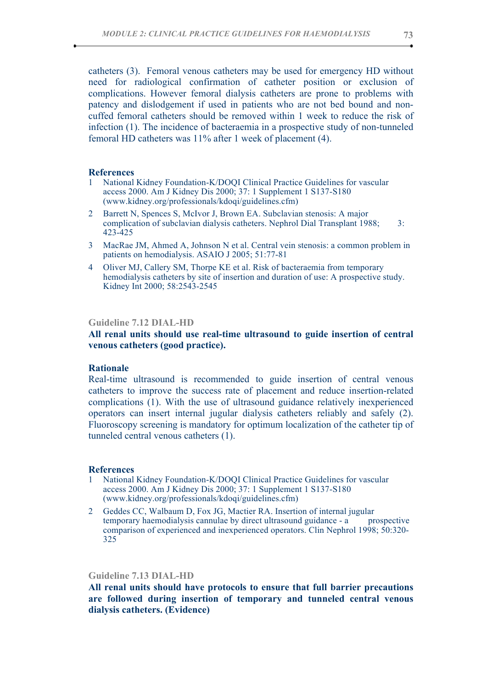catheters (3). Femoral venous catheters may be used for emergency HD without need for radiological confirmation of catheter position or exclusion of complications. However femoral dialysis catheters are prone to problems with patency and dislodgement if used in patients who are not bed bound and noncuffed femoral catheters should be removed within 1 week to reduce the risk of infection (1). The incidence of bacteraemia in a prospective study of non-tunneled femoral HD catheters was 11% after 1 week of placement (4).

# **References**

- 1 National Kidney Foundation-K/DOQI Clinical Practice Guidelines for vascular access 2000. Am J Kidney Dis 2000; 37: 1 Supplement 1 S137-S180 (www.kidney.org/professionals/kdoqi/guidelines.cfm)
- 2 Barrett N, Spences S, McIvor J, Brown EA. Subclavian stenosis: A major complication of subclavian dialysis catheters. Nephrol Dial Transplant 1988; 3: 423-425
- 3 MacRae JM, Ahmed A, Johnson N et al. Central vein stenosis: a common problem in patients on hemodialysis. ASAIO J 2005; 51:77-81
- 4 Oliver MJ, Callery SM, Thorpe KE et al. Risk of bacteraemia from temporary hemodialysis catheters by site of insertion and duration of use: A prospective study. Kidney Int 2000; 58:2543-2545

# **Guideline 7.12 DIAL-HD**

# **All renal units should use real-time ultrasound to guide insertion of central venous catheters (good practice).**

# **Rationale**

Real-time ultrasound is recommended to guide insertion of central venous catheters to improve the success rate of placement and reduce insertion-related complications (1). With the use of ultrasound guidance relatively inexperienced operators can insert internal jugular dialysis catheters reliably and safely (2). Fluoroscopy screening is mandatory for optimum localization of the catheter tip of tunneled central venous catheters (1).

# **References**

- 1 National Kidney Foundation-K/DOQI Clinical Practice Guidelines for vascular access 2000. Am J Kidney Dis 2000; 37: 1 Supplement 1 S137-S180 (www.kidney.org/professionals/kdoqi/guidelines.cfm)
- 2 Geddes CC, Walbaum D, Fox JG, Mactier RA. Insertion of internal jugular temporary haemodialysis cannulae by direct ultrasound guidance - a prospective comparison of experienced and inexperienced operators. Clin Nephrol 1998; 50:320- 325

## **Guideline 7.13 DIAL-HD**

**All renal units should have protocols to ensure that full barrier precautions are followed during insertion of temporary and tunneled central venous dialysis catheters. (Evidence)**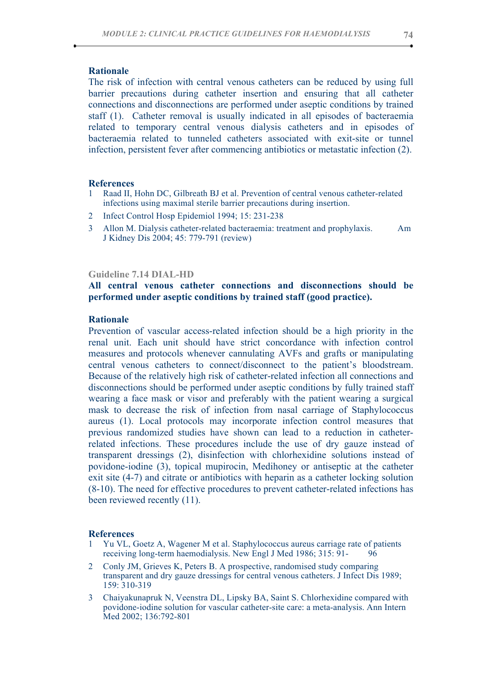# **Rationale**

The risk of infection with central venous catheters can be reduced by using full barrier precautions during catheter insertion and ensuring that all catheter connections and disconnections are performed under aseptic conditions by trained staff (1). Catheter removal is usually indicated in all episodes of bacteraemia related to temporary central venous dialysis catheters and in episodes of bacteraemia related to tunneled catheters associated with exit-site or tunnel infection, persistent fever after commencing antibiotics or metastatic infection (2).

# **References**

- 1 Raad II, Hohn DC, Gilbreath BJ et al. Prevention of central venous catheter-related infections using maximal sterile barrier precautions during insertion.
- 2 Infect Control Hosp Epidemiol 1994; 15: 231-238
- 3 Allon M. Dialysis catheter-related bacteraemia: treatment and prophylaxis. Am J Kidney Dis 2004; 45: 779-791 (review)

# **Guideline 7.14 DIAL-HD**

# **All central venous catheter connections and disconnections should be performed under aseptic conditions by trained staff (good practice).**

# **Rationale**

Prevention of vascular access-related infection should be a high priority in the renal unit. Each unit should have strict concordance with infection control measures and protocols whenever cannulating AVFs and grafts or manipulating central venous catheters to connect/disconnect to the patient's bloodstream. Because of the relatively high risk of catheter-related infection all connections and disconnections should be performed under aseptic conditions by fully trained staff wearing a face mask or visor and preferably with the patient wearing a surgical mask to decrease the risk of infection from nasal carriage of Staphylococcus aureus (1). Local protocols may incorporate infection control measures that previous randomized studies have shown can lead to a reduction in catheterrelated infections. These procedures include the use of dry gauze instead of transparent dressings (2), disinfection with chlorhexidine solutions instead of povidone-iodine (3), topical mupirocin, Medihoney or antiseptic at the catheter exit site (4-7) and citrate or antibiotics with heparin as a catheter locking solution (8-10). The need for effective procedures to prevent catheter-related infections has been reviewed recently (11).

- 1 Yu VL, Goetz A, Wagener M et al. Staphylococcus aureus carriage rate of patients receiving long-term haemodialysis. New Engl J Med 1986; 315: 91- 96
- 2 Conly JM, Grieves K, Peters B. A prospective, randomised study comparing transparent and dry gauze dressings for central venous catheters. J Infect Dis 1989; 159: 310-319
- 3 Chaiyakunapruk N, Veenstra DL, Lipsky BA, Saint S. Chlorhexidine compared with povidone-iodine solution for vascular catheter-site care: a meta-analysis. Ann Intern Med 2002; 136:792-801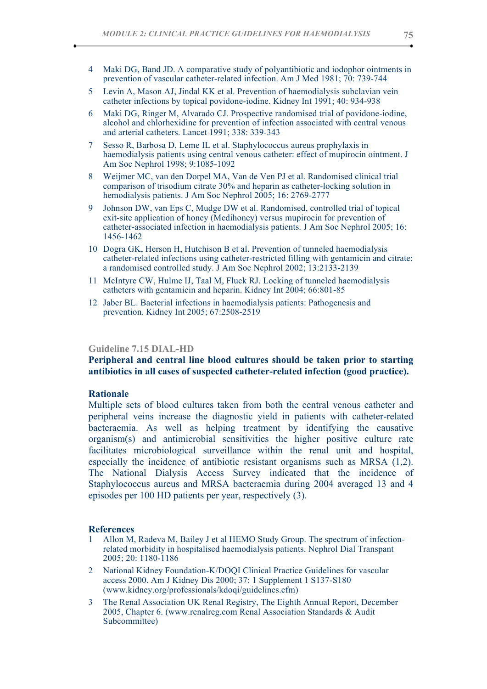- 4 Maki DG, Band JD. A comparative study of polyantibiotic and iodophor ointments in prevention of vascular catheter-related infection. Am J Med 1981; 70: 739-744
- 5 Levin A, Mason AJ, Jindal KK et al. Prevention of haemodialysis subclavian vein catheter infections by topical povidone-iodine. Kidney Int 1991; 40: 934-938
- 6 Maki DG, Ringer M, Alvarado CJ. Prospective randomised trial of povidone-iodine, alcohol and chlorhexidine for prevention of infection associated with central venous and arterial catheters. Lancet 1991; 338: 339-343
- 7 Sesso R, Barbosa D, Leme IL et al. Staphylococcus aureus prophylaxis in haemodialysis patients using central venous catheter: effect of mupirocin ointment. J Am Soc Nephrol 1998; 9:1085-1092
- 8 Weijmer MC, van den Dorpel MA, Van de Ven PJ et al. Randomised clinical trial comparison of trisodium citrate 30% and heparin as catheter-locking solution in hemodialysis patients. J Am Soc Nephrol 2005; 16: 2769-2777
- 9 Johnson DW, van Eps C, Mudge DW et al. Randomised, controlled trial of topical exit-site application of honey (Medihoney) versus mupirocin for prevention of catheter-associated infection in haemodialysis patients. J Am Soc Nephrol 2005; 16: 1456-1462
- 10 Dogra GK, Herson H, Hutchison B et al. Prevention of tunneled haemodialysis catheter-related infections using catheter-restricted filling with gentamicin and citrate: a randomised controlled study. J Am Soc Nephrol 2002; 13:2133-2139
- 11 McIntyre CW, Hulme IJ, Taal M, Fluck RJ. Locking of tunneled haemodialysis catheters with gentamicin and heparin. Kidney Int 2004; 66:801-85
- 12 Jaber BL. Bacterial infections in haemodialysis patients: Pathogenesis and prevention. Kidney Int 2005; 67:2508-2519

# **Guideline 7.15 DIAL-HD**

# **Peripheral and central line blood cultures should be taken prior to starting antibiotics in all cases of suspected catheter-related infection (good practice).**

# **Rationale**

Multiple sets of blood cultures taken from both the central venous catheter and peripheral veins increase the diagnostic yield in patients with catheter-related bacteraemia. As well as helping treatment by identifying the causative organism(s) and antimicrobial sensitivities the higher positive culture rate facilitates microbiological surveillance within the renal unit and hospital, especially the incidence of antibiotic resistant organisms such as MRSA (1,2). The National Dialysis Access Survey indicated that the incidence of Staphylococcus aureus and MRSA bacteraemia during 2004 averaged 13 and 4 episodes per 100 HD patients per year, respectively (3).

- 1 Allon M, Radeva M, Bailey J et al HEMO Study Group. The spectrum of infectionrelated morbidity in hospitalised haemodialysis patients. Nephrol Dial Transpant 2005; 20: 1180-1186
- 2 National Kidney Foundation-K/DOQI Clinical Practice Guidelines for vascular access 2000. Am J Kidney Dis 2000; 37: 1 Supplement 1 S137-S180 (www.kidney.org/professionals/kdoqi/guidelines.cfm)
- 3 The Renal Association UK Renal Registry, The Eighth Annual Report, December 2005, Chapter 6. (www.renalreg.com Renal Association Standards & Audit Subcommittee)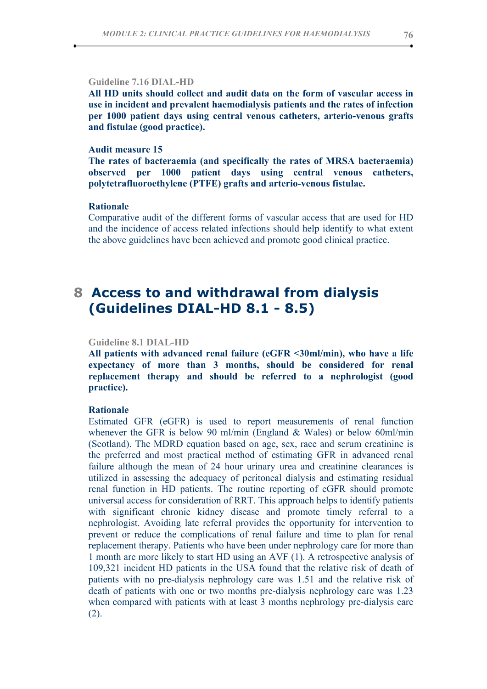**All HD units should collect and audit data on the form of vascular access in use in incident and prevalent haemodialysis patients and the rates of infection per 1000 patient days using central venous catheters, arterio-venous grafts and fistulae (good practice).**

# **Audit measure 15**

**The rates of bacteraemia (and specifically the rates of MRSA bacteraemia) observed per 1000 patient days using central venous catheters, polytetrafluoroethylene (PTFE) grafts and arterio-venous fistulae.**

## **Rationale**

Comparative audit of the different forms of vascular access that are used for HD and the incidence of access related infections should help identify to what extent the above guidelines have been achieved and promote good clinical practice.

# **8 Access to and withdrawal from dialysis (Guidelines DIAL-HD 8.1 - 8.5)**

## **Guideline 8.1 DIAL-HD**

**All patients with advanced renal failure (eGFR <30ml/min), who have a life expectancy of more than 3 months, should be considered for renal replacement therapy and should be referred to a nephrologist (good practice).**

# **Rationale**

Estimated GFR (eGFR) is used to report measurements of renal function whenever the GFR is below 90 ml/min (England & Wales) or below 60ml/min (Scotland). The MDRD equation based on age, sex, race and serum creatinine is the preferred and most practical method of estimating GFR in advanced renal failure although the mean of 24 hour urinary urea and creatinine clearances is utilized in assessing the adequacy of peritoneal dialysis and estimating residual renal function in HD patients. The routine reporting of eGFR should promote universal access for consideration of RRT. This approach helps to identify patients with significant chronic kidney disease and promote timely referral to a nephrologist. Avoiding late referral provides the opportunity for intervention to prevent or reduce the complications of renal failure and time to plan for renal replacement therapy. Patients who have been under nephrology care for more than 1 month are more likely to start HD using an AVF (1). A retrospective analysis of 109,321 incident HD patients in the USA found that the relative risk of death of patients with no pre-dialysis nephrology care was 1.51 and the relative risk of death of patients with one or two months pre-dialysis nephrology care was 1.23 when compared with patients with at least 3 months nephrology pre-dialysis care (2).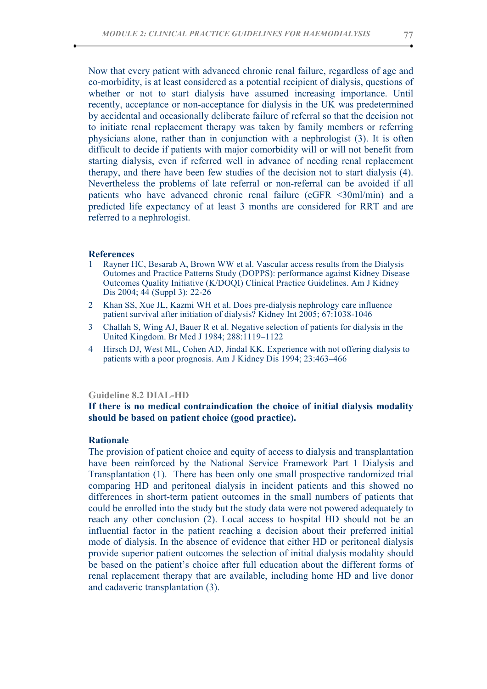Now that every patient with advanced chronic renal failure, regardless of age and co-morbidity, is at least considered as a potential recipient of dialysis, questions of whether or not to start dialysis have assumed increasing importance. Until recently, acceptance or non-acceptance for dialysis in the UK was predetermined by accidental and occasionally deliberate failure of referral so that the decision not to initiate renal replacement therapy was taken by family members or referring physicians alone, rather than in conjunction with a nephrologist (3). It is often difficult to decide if patients with major comorbidity will or will not benefit from starting dialysis, even if referred well in advance of needing renal replacement therapy, and there have been few studies of the decision not to start dialysis (4). Nevertheless the problems of late referral or non-referral can be avoided if all patients who have advanced chronic renal failure (eGFR <30ml/min) and a predicted life expectancy of at least 3 months are considered for RRT and are referred to a nephrologist.

# **References**

- Rayner HC, Besarab A, Brown WW et al. Vascular access results from the Dialysis Outomes and Practice Patterns Study (DOPPS): performance against Kidney Disease Outcomes Quality Initiative (K/DOQI) Clinical Practice Guidelines. Am J Kidney Dis 2004; 44 (Suppl 3): 22-26
- 2 Khan SS, Xue JL, Kazmi WH et al. Does pre-dialysis nephrology care influence patient survival after initiation of dialysis? Kidney Int 2005; 67:1038-1046
- 3 Challah S, Wing AJ, Bauer R et al. Negative selection of patients for dialysis in the United Kingdom. Br Med J 1984; 288:1119–1122
- 4 Hirsch DJ, West ML, Cohen AD, Jindal KK. Experience with not offering dialysis to patients with a poor prognosis. Am J Kidney Dis 1994; 23:463–466

# **Guideline 8.2 DIAL-HD**

# **If there is no medical contraindication the choice of initial dialysis modality should be based on patient choice (good practice).**

# **Rationale**

The provision of patient choice and equity of access to dialysis and transplantation have been reinforced by the National Service Framework Part 1 Dialysis and Transplantation (1). There has been only one small prospective randomized trial comparing HD and peritoneal dialysis in incident patients and this showed no differences in short-term patient outcomes in the small numbers of patients that could be enrolled into the study but the study data were not powered adequately to reach any other conclusion (2). Local access to hospital HD should not be an influential factor in the patient reaching a decision about their preferred initial mode of dialysis. In the absence of evidence that either HD or peritoneal dialysis provide superior patient outcomes the selection of initial dialysis modality should be based on the patient's choice after full education about the different forms of renal replacement therapy that are available, including home HD and live donor and cadaveric transplantation (3).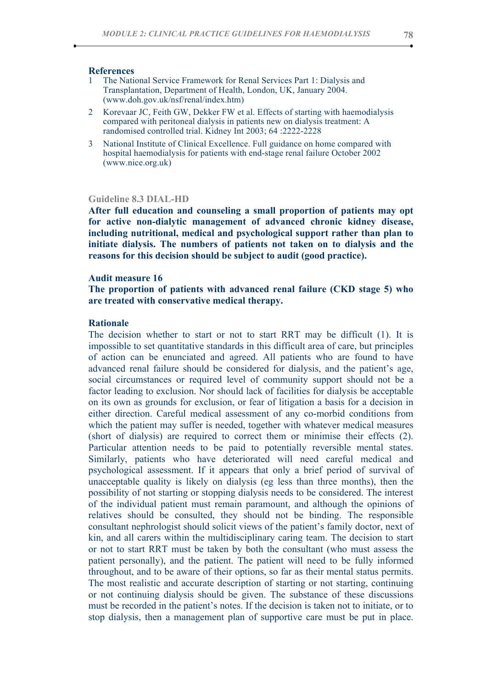#### **References**

- 1 The National Service Framework for Renal Services Part 1: Dialysis and Transplantation, Department of Health, London, UK, January 2004. (www.doh.gov.uk/nsf/renal/index.htm)
- 2 Korevaar JC, Feith GW, Dekker FW et al. Effects of starting with haemodialysis compared with peritoneal dialysis in patients new on dialysis treatment: A randomised controlled trial. Kidney Int 2003; 64 :2222-2228
- 3 National Institute of Clinical Excellence. Full guidance on home compared with hospital haemodialysis for patients with end-stage renal failure October 2002 (www.nice.org.uk)

## **Guideline 8.3 DIAL-HD**

**After full education and counseling a small proportion of patients may opt for active non-dialytic management of advanced chronic kidney disease, including nutritional, medical and psychological support rather than plan to initiate dialysis. The numbers of patients not taken on to dialysis and the reasons for this decision should be subject to audit (good practice).**

#### **Audit measure 16**

**The proportion of patients with advanced renal failure (CKD stage 5) who are treated with conservative medical therapy.**

## **Rationale**

The decision whether to start or not to start RRT may be difficult (1). It is impossible to set quantitative standards in this difficult area of care, but principles of action can be enunciated and agreed. All patients who are found to have advanced renal failure should be considered for dialysis, and the patient's age, social circumstances or required level of community support should not be a factor leading to exclusion. Nor should lack of facilities for dialysis be acceptable on its own as grounds for exclusion, or fear of litigation a basis for a decision in either direction. Careful medical assessment of any co-morbid conditions from which the patient may suffer is needed, together with whatever medical measures (short of dialysis) are required to correct them or minimise their effects (2). Particular attention needs to be paid to potentially reversible mental states. Similarly, patients who have deteriorated will need careful medical and psychological assessment. If it appears that only a brief period of survival of unacceptable quality is likely on dialysis (eg less than three months), then the possibility of not starting or stopping dialysis needs to be considered. The interest of the individual patient must remain paramount, and although the opinions of relatives should be consulted, they should not be binding. The responsible consultant nephrologist should solicit views of the patient's family doctor, next of kin, and all carers within the multidisciplinary caring team. The decision to start or not to start RRT must be taken by both the consultant (who must assess the patient personally), and the patient. The patient will need to be fully informed throughout, and to be aware of their options, so far as their mental status permits. The most realistic and accurate description of starting or not starting, continuing or not continuing dialysis should be given. The substance of these discussions must be recorded in the patient's notes. If the decision is taken not to initiate, or to stop dialysis, then a management plan of supportive care must be put in place.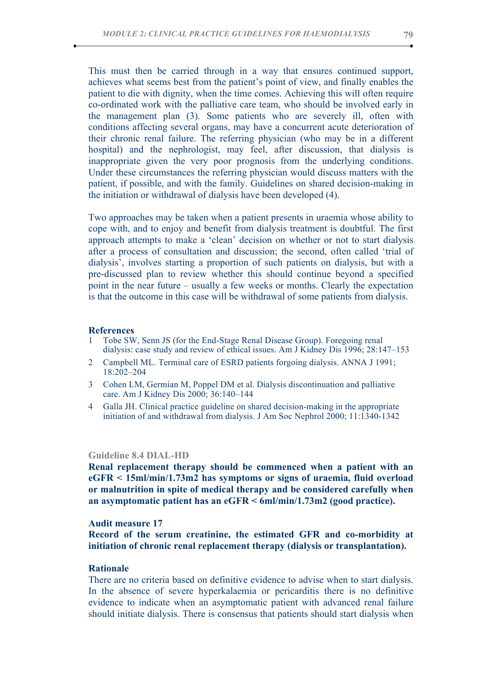This must then be carried through in a way that ensures continued support, achieves what seems best from the patient's point of view, and finally enables the patient to die with dignity, when the time comes. Achieving this will often require co-ordinated work with the palliative care team, who should be involved early in the management plan (3). Some patients who are severely ill, often with conditions affecting several organs, may have a concurrent acute deterioration of their chronic renal failure. The referring physician (who may be in a different hospital) and the nephrologist, may feel, after discussion, that dialysis is inappropriate given the very poor prognosis from the underlying conditions. Under these circumstances the referring physician would discuss matters with the patient, if possible, and with the family. Guidelines on shared decision-making in the initiation or withdrawal of dialysis have been developed (4).

Two approaches may be taken when a patient presents in uraemia whose ability to cope with, and to enjoy and benefit from dialysis treatment is doubtful. The first approach attempts to make a 'clean' decision on whether or not to start dialysis after a process of consultation and discussion; the second, often called 'trial of dialysis', involves starting a proportion of such patients on dialysis, but with a pre-discussed plan to review whether this should continue beyond a specified point in the near future – usually a few weeks or months. Clearly the expectation is that the outcome in this case will be withdrawal of some patients from dialysis.

#### **References**

- 1 Tobe SW, Senn JS (for the End-Stage Renal Disease Group). Foregoing renal dialysis: case study and review of ethical issues. Am J Kidney Dis 1996; 28:147–153
- 2 Campbell ML. Terminal care of ESRD patients forgoing dialysis. ANNA J 1991; 18:202–204
- 3 Cohen LM, Germian M, Poppel DM et al. Dialysis discontinuation and palliative care. Am J Kidney Dis 2000; 36:140–144
- 4 Galla JH. Clinical practice guideline on shared decision-making in the appropriate initiation of and withdrawal from dialysis. J Am Soc Nephrol 2000; 11:1340-1342

#### **Guideline 8.4 DIAL-HD**

**Renal replacement therapy should be commenced when a patient with an eGFR < 15ml/min/1.73m2 has symptoms or signs of uraemia, fluid overload or malnutrition in spite of medical therapy and be considered carefully when an asymptomatic patient has an eGFR < 6ml/min/1.73m2 (good practice).**

## **Audit measure 17**

**Record of the serum creatinine, the estimated GFR and co-morbidity at initiation of chronic renal replacement therapy (dialysis or transplantation).**

# **Rationale**

There are no criteria based on definitive evidence to advise when to start dialysis. In the absence of severe hyperkalaemia or pericarditis there is no definitive evidence to indicate when an asymptomatic patient with advanced renal failure should initiate dialysis. There is consensus that patients should start dialysis when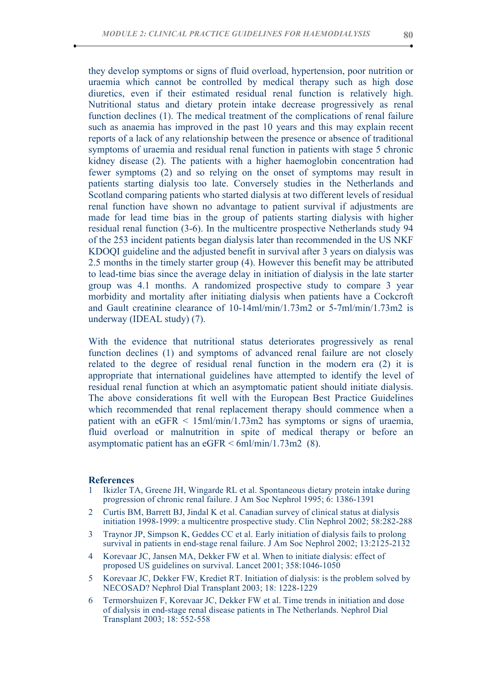they develop symptoms or signs of fluid overload, hypertension, poor nutrition or uraemia which cannot be controlled by medical therapy such as high dose diuretics, even if their estimated residual renal function is relatively high. Nutritional status and dietary protein intake decrease progressively as renal function declines (1). The medical treatment of the complications of renal failure such as anaemia has improved in the past 10 years and this may explain recent reports of a lack of any relationship between the presence or absence of traditional symptoms of uraemia and residual renal function in patients with stage 5 chronic kidney disease (2). The patients with a higher haemoglobin concentration had fewer symptoms (2) and so relying on the onset of symptoms may result in patients starting dialysis too late. Conversely studies in the Netherlands and Scotland comparing patients who started dialysis at two different levels of residual renal function have shown no advantage to patient survival if adjustments are made for lead time bias in the group of patients starting dialysis with higher residual renal function (3-6). In the multicentre prospective Netherlands study 94 of the 253 incident patients began dialysis later than recommended in the US NKF KDOQI guideline and the adjusted benefit in survival after 3 years on dialysis was 2.5 months in the timely starter group (4). However this benefit may be attributed to lead-time bias since the average delay in initiation of dialysis in the late starter group was 4.1 months. A randomized prospective study to compare 3 year morbidity and mortality after initiating dialysis when patients have a Cockcroft and Gault creatinine clearance of 10-14ml/min/1.73m2 or 5-7ml/min/1.73m2 is underway (IDEAL study) (7).

With the evidence that nutritional status deteriorates progressively as renal function declines (1) and symptoms of advanced renal failure are not closely related to the degree of residual renal function in the modern era (2) it is appropriate that international guidelines have attempted to identify the level of residual renal function at which an asymptomatic patient should initiate dialysis. The above considerations fit well with the European Best Practice Guidelines which recommended that renal replacement therapy should commence when a patient with an eGFR < 15ml/min/1.73m2 has symptoms or signs of uraemia, fluid overload or malnutrition in spite of medical therapy or before an asymptomatic patient has an eGFR < 6ml/min/1.73m2 (8).

- 1 Ikizler TA, Greene JH, Wingarde RL et al. Spontaneous dietary protein intake during progression of chronic renal failure. J Am Soc Nephrol 1995; 6: 1386-1391
- 2 Curtis BM, Barrett BJ, Jindal K et al. Canadian survey of clinical status at dialysis initiation 1998-1999: a multicentre prospective study. Clin Nephrol 2002; 58:282-288
- 3 Traynor JP, Simpson K, Geddes CC et al. Early initiation of dialysis fails to prolong survival in patients in end-stage renal failure. J Am Soc Nephrol 2002; 13:2125-2132
- 4 Korevaar JC, Jansen MA, Dekker FW et al. When to initiate dialysis: effect of proposed US guidelines on survival. Lancet 2001; 358:1046-1050
- 5 Korevaar JC, Dekker FW, Krediet RT. Initiation of dialysis: is the problem solved by NECOSAD? Nephrol Dial Transplant 2003; 18: 1228-1229
- 6 Termorshuizen F, Korevaar JC, Dekker FW et al. Time trends in initiation and dose of dialysis in end-stage renal disease patients in The Netherlands. Nephrol Dial Transplant 2003; 18: 552-558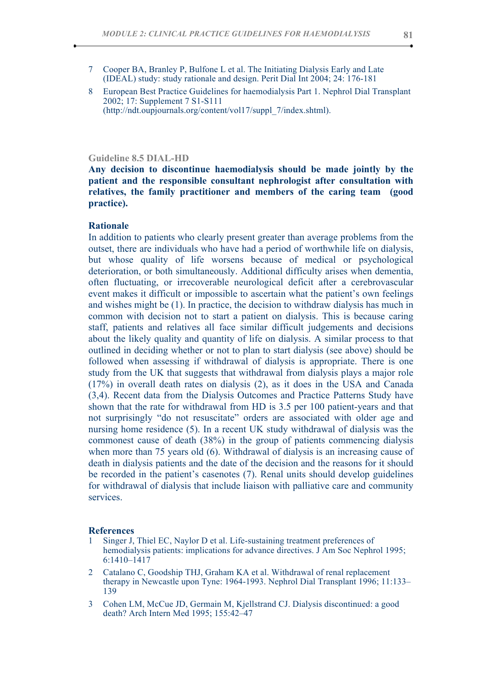- 7 Cooper BA, Branley P, Bulfone L et al. The Initiating Dialysis Early and Late (IDEAL) study: study rationale and design. Perit Dial Int 2004; 24: 176-181
- 8 European Best Practice Guidelines for haemodialysis Part 1. Nephrol Dial Transplant 2002; 17: Supplement 7 S1-S111 (http://ndt.oupjournals.org/content/vol17/suppl\_7/index.shtml).

# **Guideline 8.5 DIAL-HD**

**Any decision to discontinue haemodialysis should be made jointly by the patient and the responsible consultant nephrologist after consultation with relatives, the family practitioner and members of the caring team (good practice).**

## **Rationale**

In addition to patients who clearly present greater than average problems from the outset, there are individuals who have had a period of worthwhile life on dialysis, but whose quality of life worsens because of medical or psychological deterioration, or both simultaneously. Additional difficulty arises when dementia, often fluctuating, or irrecoverable neurological deficit after a cerebrovascular event makes it difficult or impossible to ascertain what the patient's own feelings and wishes might be (1). In practice, the decision to withdraw dialysis has much in common with decision not to start a patient on dialysis. This is because caring staff, patients and relatives all face similar difficult judgements and decisions about the likely quality and quantity of life on dialysis. A similar process to that outlined in deciding whether or not to plan to start dialysis (see above) should be followed when assessing if withdrawal of dialysis is appropriate. There is one study from the UK that suggests that withdrawal from dialysis plays a major role (17%) in overall death rates on dialysis (2), as it does in the USA and Canada (3,4). Recent data from the Dialysis Outcomes and Practice Patterns Study have shown that the rate for withdrawal from HD is 3.5 per 100 patient-years and that not surprisingly "do not resuscitate" orders are associated with older age and nursing home residence (5). In a recent UK study withdrawal of dialysis was the commonest cause of death (38%) in the group of patients commencing dialysis when more than 75 years old (6). Withdrawal of dialysis is an increasing cause of death in dialysis patients and the date of the decision and the reasons for it should be recorded in the patient's casenotes (7). Renal units should develop guidelines for withdrawal of dialysis that include liaison with palliative care and community services.

- 1 Singer J, Thiel EC, Naylor D et al. Life-sustaining treatment preferences of hemodialysis patients: implications for advance directives. J Am Soc Nephrol 1995; 6:1410–1417
- 2 Catalano C, Goodship THJ, Graham KA et al. Withdrawal of renal replacement therapy in Newcastle upon Tyne: 1964-1993. Nephrol Dial Transplant 1996; 11:133– 139
- 3 Cohen LM, McCue JD, Germain M, Kjellstrand CJ. Dialysis discontinued: a good death? Arch Intern Med 1995; 155:42–47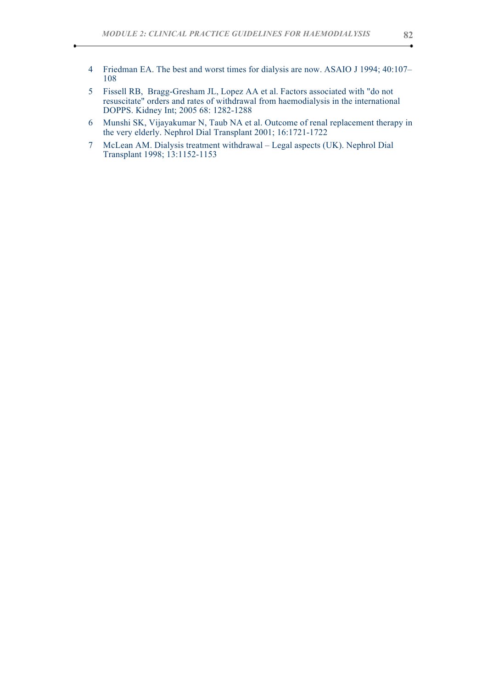- 4 Friedman EA. The best and worst times for dialysis are now. ASAIO J 1994; 40:107– 108
- 5 Fissell RB, Bragg-Gresham JL, Lopez AA et al. Factors associated with "do not resuscitate" orders and rates of withdrawal from haemodialysis in the international DOPPS. Kidney Int; 2005 68: 1282-1288
- 6 Munshi SK, Vijayakumar N, Taub NA et al. Outcome of renal replacement therapy in the very elderly. Nephrol Dial Transplant 2001; 16:1721-1722
- 7 McLean AM. Dialysis treatment withdrawal Legal aspects (UK). Nephrol Dial Transplant 1998; 13:1152-1153